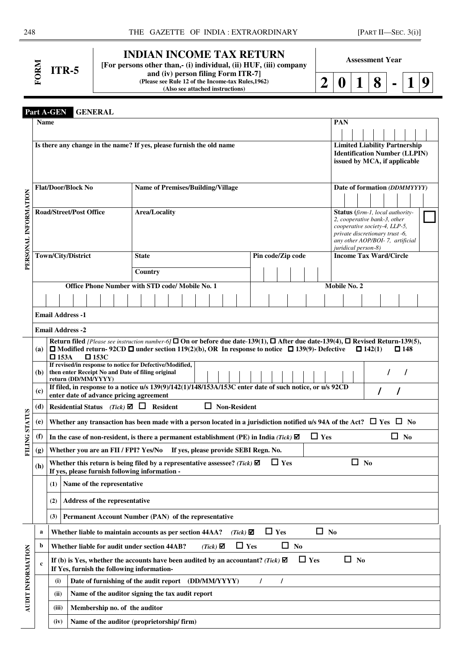## **INDIAN INCOME TAX RETURN**

**[For persons other than,- (i) individual, (ii) HUF, (iii) company and (iv) person filing Form ITR-7] (Please see Rule 12 of the Income-tax Rules,1962) (Also see attached instructions)** 

**Assessment Year** 

**2 0 1 8 - 1 9**

|                      |                                  | Part A-GEN<br><b>GENERAL</b>                                                                                                                                                                                                                                                                                                                                 |                                          |  |                                                                                                              |                     |  |                   |            |                |            |                                                      |                                                                                                                                                                         |  |           |  |  |
|----------------------|----------------------------------|--------------------------------------------------------------------------------------------------------------------------------------------------------------------------------------------------------------------------------------------------------------------------------------------------------------------------------------------------------------|------------------------------------------|--|--------------------------------------------------------------------------------------------------------------|---------------------|--|-------------------|------------|----------------|------------|------------------------------------------------------|-------------------------------------------------------------------------------------------------------------------------------------------------------------------------|--|-----------|--|--|
|                      | <b>Name</b>                      |                                                                                                                                                                                                                                                                                                                                                              |                                          |  |                                                                                                              |                     |  |                   |            |                |            | <b>PAN</b>                                           |                                                                                                                                                                         |  |           |  |  |
|                      |                                  | Is there any change in the name? If yes, please furnish the old name                                                                                                                                                                                                                                                                                         |                                          |  | <b>Limited Liability Partnership</b><br><b>Identification Number (LLPIN)</b><br>issued by MCA, if applicable |                     |  |                   |            |                |            |                                                      |                                                                                                                                                                         |  |           |  |  |
|                      |                                  | <b>Flat/Door/Block No</b>                                                                                                                                                                                                                                                                                                                                    | <b>Name of Premises/Building/Village</b> |  |                                                                                                              |                     |  |                   |            |                |            |                                                      | Date of formation (DDMMYYYY)                                                                                                                                            |  |           |  |  |
| PERSONAL INFORMATION |                                  | <b>Road/Street/Post Office</b><br><b>Area/Locality</b>                                                                                                                                                                                                                                                                                                       |                                          |  |                                                                                                              |                     |  |                   |            |                |            |                                                      | Status (firm-1, local authority-<br>2, cooperative bank-3, other<br>cooperative society-4, LLP-5,<br>private discretionary trust -6,<br>any other AOP/BOI-7, artificial |  |           |  |  |
|                      |                                  | Town/City/District                                                                                                                                                                                                                                                                                                                                           | <b>State</b>                             |  |                                                                                                              |                     |  | Pin code/Zip code |            |                |            | juridical person-8)<br><b>Income Tax Ward/Circle</b> |                                                                                                                                                                         |  |           |  |  |
|                      |                                  |                                                                                                                                                                                                                                                                                                                                                              | Country                                  |  |                                                                                                              |                     |  |                   |            |                |            |                                                      |                                                                                                                                                                         |  |           |  |  |
|                      |                                  | Office Phone Number with STD code/ Mobile No. 1                                                                                                                                                                                                                                                                                                              |                                          |  |                                                                                                              |                     |  |                   |            |                |            | Mobile No. 2                                         |                                                                                                                                                                         |  |           |  |  |
|                      |                                  |                                                                                                                                                                                                                                                                                                                                                              |                                          |  |                                                                                                              |                     |  |                   |            |                |            |                                                      |                                                                                                                                                                         |  |           |  |  |
|                      |                                  | <b>Email Address -1</b>                                                                                                                                                                                                                                                                                                                                      |                                          |  |                                                                                                              |                     |  |                   |            |                |            |                                                      |                                                                                                                                                                         |  |           |  |  |
|                      |                                  | <b>Email Address -2</b>                                                                                                                                                                                                                                                                                                                                      |                                          |  |                                                                                                              |                     |  |                   |            |                |            |                                                      |                                                                                                                                                                         |  |           |  |  |
|                      | (a)                              | Return filed <i>[Please see instruction number-6]</i> $\square$ On or before due date-139(1), $\square$ After due date-139(4), $\square$ Revised Return-139(5),<br>$\Box$ Modified return-92CD $\Box$ under section 119(2)(b), OR In response to notice $\Box$ 139(9)- Defective<br>$\square$ 148<br>$\Box$ 142(1)<br>$\Box$ 153A<br>$\square$ 153 $\square$ |                                          |  |                                                                                                              |                     |  |                   |            |                |            |                                                      |                                                                                                                                                                         |  |           |  |  |
|                      | (b)                              | If revised/in response to notice for Defective/Modified,<br>then enter Receipt No and Date of filing original<br>return (DD/MM/YYYY)<br>If filed, in response to a notice u/s 139(9)/142(1)/148/153A/153C enter date of such notice, or u/s 92CD                                                                                                             |                                          |  |                                                                                                              |                     |  |                   |            |                |            |                                                      |                                                                                                                                                                         |  |           |  |  |
|                      | (c)                              | enter date of advance pricing agreement                                                                                                                                                                                                                                                                                                                      |                                          |  |                                                                                                              |                     |  |                   |            |                |            |                                                      |                                                                                                                                                                         |  |           |  |  |
|                      | (d)                              | Residential Status (Tick) $\Box$ Resident                                                                                                                                                                                                                                                                                                                    |                                          |  |                                                                                                              | $\Box$ Non-Resident |  |                   |            |                |            |                                                      |                                                                                                                                                                         |  |           |  |  |
| ILING STATUS         | (e)                              | Whether any transaction has been made with a person located in a jurisdiction notified u/s 94A of the Act? $\Box$ Yes $\Box$ No                                                                                                                                                                                                                              |                                          |  |                                                                                                              |                     |  |                   |            |                |            |                                                      |                                                                                                                                                                         |  |           |  |  |
|                      | (f)                              | In the case of non-resident, is there a permanent establishment (PE) in India (Tick) $\Box$                                                                                                                                                                                                                                                                  |                                          |  |                                                                                                              |                     |  |                   |            |                | $\Box$ Yes |                                                      |                                                                                                                                                                         |  | $\Box$ No |  |  |
|                      | $\left( \mathbf{g} \right)$<br>9 | Whether you are an FII / FPI? Yes/No If yes, please provide SEBI Regn. No.                                                                                                                                                                                                                                                                                   |                                          |  |                                                                                                              |                     |  |                   |            |                |            |                                                      |                                                                                                                                                                         |  |           |  |  |
|                      | (h)                              | Whether this return is being filed by a representative assessee? (Tick) $\boxtimes$<br>If yes, please furnish following information -                                                                                                                                                                                                                        |                                          |  |                                                                                                              |                     |  |                   | $\Box$ Yes |                |            | □                                                    | N <sub>0</sub>                                                                                                                                                          |  |           |  |  |
|                      |                                  | Name of the representative<br>(1)                                                                                                                                                                                                                                                                                                                            |                                          |  |                                                                                                              |                     |  |                   |            |                |            |                                                      |                                                                                                                                                                         |  |           |  |  |
|                      |                                  | Address of the representative<br>(2)                                                                                                                                                                                                                                                                                                                         |                                          |  |                                                                                                              |                     |  |                   |            |                |            |                                                      |                                                                                                                                                                         |  |           |  |  |
|                      |                                  | Permanent Account Number (PAN) of the representative<br>(3)                                                                                                                                                                                                                                                                                                  |                                          |  |                                                                                                              |                     |  |                   |            |                |            |                                                      |                                                                                                                                                                         |  |           |  |  |
|                      | a                                | Whether liable to maintain accounts as per section 44AA?                                                                                                                                                                                                                                                                                                     |                                          |  |                                                                                                              | $(Tick)$ $\Box$     |  | $\Box$ Yes        |            |                | $\Box$ No  |                                                      |                                                                                                                                                                         |  |           |  |  |
|                      | b                                | Whether liable for audit under section 44AB?                                                                                                                                                                                                                                                                                                                 |                                          |  | $(Tick)$ $\Box$                                                                                              | $\Box$ Yes          |  |                   | ◻          | N <sub>o</sub> |            |                                                      |                                                                                                                                                                         |  |           |  |  |
| AUDIT INFORMATION    | c                                | If (b) is Yes, whether the accounts have been audited by an accountant? (Tick) $\Box$<br>If Yes, furnish the following information-                                                                                                                                                                                                                          |                                          |  |                                                                                                              |                     |  |                   |            |                | $\Box$ Yes | $\Box$                                               | N <sub>0</sub>                                                                                                                                                          |  |           |  |  |
|                      |                                  | Date of furnishing of the audit report<br>(i)                                                                                                                                                                                                                                                                                                                |                                          |  | (DD/MM/YYYY)                                                                                                 |                     |  | $\prime$          | $\prime$   |                |            |                                                      |                                                                                                                                                                         |  |           |  |  |
|                      |                                  | Name of the auditor signing the tax audit report<br>(ii)                                                                                                                                                                                                                                                                                                     |                                          |  |                                                                                                              |                     |  |                   |            |                |            |                                                      |                                                                                                                                                                         |  |           |  |  |
|                      |                                  | (iii)<br>Membership no. of the auditor                                                                                                                                                                                                                                                                                                                       |                                          |  |                                                                                                              |                     |  |                   |            |                |            |                                                      |                                                                                                                                                                         |  |           |  |  |
|                      |                                  | Name of the auditor (proprietorship/firm)<br>(iv)                                                                                                                                                                                                                                                                                                            |                                          |  |                                                                                                              |                     |  |                   |            |                |            |                                                      |                                                                                                                                                                         |  |           |  |  |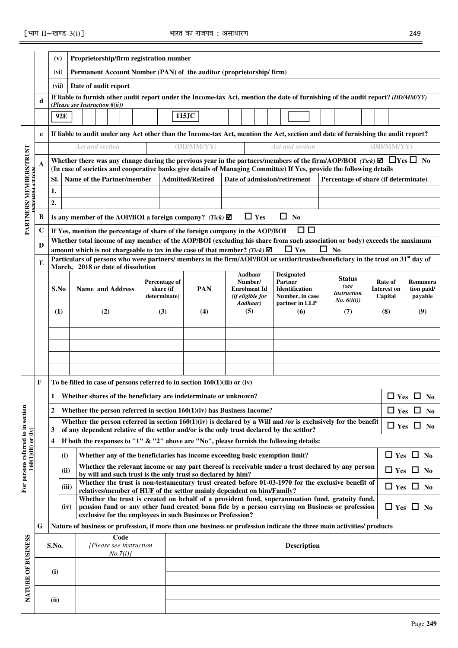|                                                         |                                                                                                                                     | (v)                                                                                                                                                                                                                                                                                                                                                                                                   |                                   | Proprietorship/firm registration number                                                                                                                                                   |     |  |                         |                              |                 |                                      |  |            |                        |  |  |  |
|---------------------------------------------------------|-------------------------------------------------------------------------------------------------------------------------------------|-------------------------------------------------------------------------------------------------------------------------------------------------------------------------------------------------------------------------------------------------------------------------------------------------------------------------------------------------------------------------------------------------------|-----------------------------------|-------------------------------------------------------------------------------------------------------------------------------------------------------------------------------------------|-----|--|-------------------------|------------------------------|-----------------|--------------------------------------|--|------------|------------------------|--|--|--|
|                                                         |                                                                                                                                     | (vi)                                                                                                                                                                                                                                                                                                                                                                                                  |                                   | Permanent Account Number (PAN) of the auditor (proprietorship/firm)                                                                                                                       |     |  |                         |                              |                 |                                      |  |            |                        |  |  |  |
|                                                         |                                                                                                                                     | (vii)                                                                                                                                                                                                                                                                                                                                                                                                 |                                   | Date of audit report                                                                                                                                                                      |     |  |                         |                              |                 |                                      |  |            |                        |  |  |  |
|                                                         | d                                                                                                                                   |                                                                                                                                                                                                                                                                                                                                                                                                       |                                   | If liable to furnish other audit report under the Income-tax Act, mention the date of furnishing of the audit report? (DD/MM/YY)<br>(Please see Instruction 6(ii))                        |     |  |                         |                              |                 |                                      |  |            |                        |  |  |  |
|                                                         |                                                                                                                                     |                                                                                                                                                                                                                                                                                                                                                                                                       | 92E                               |                                                                                                                                                                                           |     |  | 115JC                   |                              |                 |                                      |  |            |                        |  |  |  |
|                                                         | e                                                                                                                                   |                                                                                                                                                                                                                                                                                                                                                                                                       |                                   | If liable to audit under any Act other than the Income-tax Act, mention the Act, section and date of furnishing the audit report?                                                         |     |  |                         |                              |                 |                                      |  |            |                        |  |  |  |
|                                                         |                                                                                                                                     |                                                                                                                                                                                                                                                                                                                                                                                                       |                                   | Act and section                                                                                                                                                                           |     |  | (DD/MM/YY)              |                              | Act and section |                                      |  | (DD/MM/YY) |                        |  |  |  |
|                                                         | A                                                                                                                                   |                                                                                                                                                                                                                                                                                                                                                                                                       |                                   | Whether there was any change during the previous year in the partners/members of the firm/AOP/BOI (Tick) $\boxtimes~\Box$ Yes $\Box~$ No                                                  |     |  |                         |                              |                 |                                      |  |            |                        |  |  |  |
|                                                         |                                                                                                                                     | SI.                                                                                                                                                                                                                                                                                                                                                                                                   |                                   | (In case of societies and cooperative banks give details of Managing Committee) If Yes, provide the following details<br>Name of the Partner/member                                       |     |  | <b>Admitted/Retired</b> | Date of admission/retirement |                 | Percentage of share (if determinate) |  |            |                        |  |  |  |
| <b>CODMATI</b>                                          |                                                                                                                                     | 1.                                                                                                                                                                                                                                                                                                                                                                                                    |                                   |                                                                                                                                                                                           |     |  |                         |                              |                 |                                      |  |            |                        |  |  |  |
|                                                         |                                                                                                                                     | 2.                                                                                                                                                                                                                                                                                                                                                                                                    |                                   |                                                                                                                                                                                           |     |  |                         |                              |                 |                                      |  |            |                        |  |  |  |
| PARTNERS/MEMBERS/TRUST                                  | B                                                                                                                                   |                                                                                                                                                                                                                                                                                                                                                                                                       |                                   | Is any member of the AOP/BOI a foreign company? (Tick) $\boxtimes$                                                                                                                        |     |  |                         | $\Box$ Yes                   | $\Box$ No       |                                      |  |            |                        |  |  |  |
|                                                         | $\mathbf C$                                                                                                                         |                                                                                                                                                                                                                                                                                                                                                                                                       |                                   | If Yes, mention the percentage of share of the foreign company in the AOP/BOI                                                                                                             |     |  |                         |                              | $\Box$ $\Box$   |                                      |  |            |                        |  |  |  |
|                                                         | D                                                                                                                                   | Whether total income of any member of the AOP/BOI (excluding his share from such association or body) exceeds the maximum<br>$\Box$ Yes<br>□<br>amount which is not chargeable to tax in the case of that member? (Tick) $\boxtimes$<br>$\mathbf{N_0}$<br>Particulars of persons who were partners/members in the firm/AOP/BOI or settlor/trustee/beneficiary in the trust on 31 <sup>st</sup> day of |                                   |                                                                                                                                                                                           |     |  |                         |                              |                 |                                      |  |            |                        |  |  |  |
|                                                         | Е                                                                                                                                   |                                                                                                                                                                                                                                                                                                                                                                                                       |                                   |                                                                                                                                                                                           |     |  |                         |                              |                 |                                      |  |            |                        |  |  |  |
|                                                         | March, -2018 or date of dissolution<br><b>Designated</b><br>Aadhaar<br><b>Status</b><br>Number/<br>Partner<br>Percentage of<br>(see |                                                                                                                                                                                                                                                                                                                                                                                                       |                                   |                                                                                                                                                                                           |     |  |                         |                              |                 |                                      |  |            |                        |  |  |  |
|                                                         |                                                                                                                                     | Rate of<br><b>Interest on</b><br>Capital                                                                                                                                                                                                                                                                                                                                                              | Remunera<br>tion paid/<br>payable |                                                                                                                                                                                           |     |  |                         |                              |                 |                                      |  |            |                        |  |  |  |
|                                                         | instruction<br>determinate)<br>(if eligible for<br>Number, in case<br>No. 6(iii))<br>Aadhaar)<br>partner in LLP                     |                                                                                                                                                                                                                                                                                                                                                                                                       |                                   |                                                                                                                                                                                           |     |  |                         |                              |                 |                                      |  |            |                        |  |  |  |
|                                                         |                                                                                                                                     | (1)                                                                                                                                                                                                                                                                                                                                                                                                   |                                   | (2)                                                                                                                                                                                       | (3) |  | (4)                     | (5)                          | (6)             | (7)                                  |  | (8)        | (9)                    |  |  |  |
|                                                         |                                                                                                                                     |                                                                                                                                                                                                                                                                                                                                                                                                       |                                   |                                                                                                                                                                                           |     |  |                         |                              |                 |                                      |  |            |                        |  |  |  |
|                                                         |                                                                                                                                     |                                                                                                                                                                                                                                                                                                                                                                                                       |                                   |                                                                                                                                                                                           |     |  |                         |                              |                 |                                      |  |            |                        |  |  |  |
|                                                         |                                                                                                                                     |                                                                                                                                                                                                                                                                                                                                                                                                       |                                   |                                                                                                                                                                                           |     |  |                         |                              |                 |                                      |  |            |                        |  |  |  |
|                                                         | F                                                                                                                                   |                                                                                                                                                                                                                                                                                                                                                                                                       |                                   | To be filled in case of persons referred to in section $160(1)(iii)$ or $(iv)$                                                                                                            |     |  |                         |                              |                 |                                      |  |            |                        |  |  |  |
|                                                         |                                                                                                                                     | 1                                                                                                                                                                                                                                                                                                                                                                                                     |                                   | Whether shares of the beneficiary are indeterminate or unknown?                                                                                                                           |     |  |                         |                              |                 |                                      |  |            | $\Box$ Yes $\ \Box$ No |  |  |  |
|                                                         |                                                                                                                                     | 2                                                                                                                                                                                                                                                                                                                                                                                                     |                                   | Whether the person referred in section $160(1)(iv)$ has Business Income?                                                                                                                  |     |  |                         |                              |                 |                                      |  |            | $\Box$ Yes $\Box$ No   |  |  |  |
|                                                         |                                                                                                                                     |                                                                                                                                                                                                                                                                                                                                                                                                       |                                   | Whether the person referred in section $160(1)(iv)$ is declared by a Will and /or is exclusively for the benefit                                                                          |     |  |                         |                              |                 |                                      |  |            | $\Box$ Yes $\Box$ No   |  |  |  |
|                                                         |                                                                                                                                     | 3<br>4                                                                                                                                                                                                                                                                                                                                                                                                |                                   | of any dependent relative of the settlor and/or is the only trust declared by the settlor?<br>If both the responses to "1" $\&$ "2" above are "No", please furnish the following details: |     |  |                         |                              |                 |                                      |  |            |                        |  |  |  |
| $160(1)(iii)$ or $(iv)$                                 |                                                                                                                                     |                                                                                                                                                                                                                                                                                                                                                                                                       | (i)                               | Whether any of the beneficiaries has income exceeding basic exemption limit?                                                                                                              |     |  |                         |                              |                 |                                      |  |            | $\Box$ Yes $\Box$ No   |  |  |  |
| For persons referred to in section                      |                                                                                                                                     |                                                                                                                                                                                                                                                                                                                                                                                                       | (ii)                              | Whether the relevant income or any part thereof is receivable under a trust declared by any person                                                                                        |     |  |                         |                              |                 |                                      |  |            | $\Box$ Yes $\Box$ No   |  |  |  |
|                                                         |                                                                                                                                     |                                                                                                                                                                                                                                                                                                                                                                                                       |                                   | by will and such trust is the only trust so declared by him?<br>Whether the trust is non-testamentary trust created before 01-03-1970 for the exclusive benefit of                        |     |  |                         |                              |                 |                                      |  |            |                        |  |  |  |
|                                                         |                                                                                                                                     |                                                                                                                                                                                                                                                                                                                                                                                                       | (iii)                             | relatives/member of HUF of the settlor mainly dependent on him/Family?<br>Whether the trust is created on behalf of a provident fund, superannuation fund, gratuity fund,                 |     |  |                         |                              |                 |                                      |  |            | $\Box$ Yes $\Box$ No   |  |  |  |
|                                                         |                                                                                                                                     |                                                                                                                                                                                                                                                                                                                                                                                                       | (iv)                              | pension fund or any other fund created bona fide by a person carrying on Business or profession<br>exclusive for the employees in such Business or Profession?                            |     |  |                         |                              |                 |                                      |  |            | $\Box$ Yes $\Box$ No   |  |  |  |
|                                                         | G                                                                                                                                   |                                                                                                                                                                                                                                                                                                                                                                                                       |                                   | Nature of business or profession, if more than one business or profession indicate the three main activities/ products                                                                    |     |  |                         |                              |                 |                                      |  |            |                        |  |  |  |
| Code<br>[Please see instruction<br>S.No.<br>Description |                                                                                                                                     |                                                                                                                                                                                                                                                                                                                                                                                                       |                                   |                                                                                                                                                                                           |     |  |                         |                              |                 |                                      |  |            |                        |  |  |  |
| NATURE OF BUSINESS                                      |                                                                                                                                     |                                                                                                                                                                                                                                                                                                                                                                                                       |                                   | No.7(i)                                                                                                                                                                                   |     |  |                         |                              |                 |                                      |  |            |                        |  |  |  |
|                                                         |                                                                                                                                     | (i)                                                                                                                                                                                                                                                                                                                                                                                                   |                                   |                                                                                                                                                                                           |     |  |                         |                              |                 |                                      |  |            |                        |  |  |  |
|                                                         |                                                                                                                                     |                                                                                                                                                                                                                                                                                                                                                                                                       |                                   |                                                                                                                                                                                           |     |  |                         |                              |                 |                                      |  |            |                        |  |  |  |
|                                                         |                                                                                                                                     | (ii)                                                                                                                                                                                                                                                                                                                                                                                                  |                                   |                                                                                                                                                                                           |     |  |                         |                              |                 |                                      |  |            |                        |  |  |  |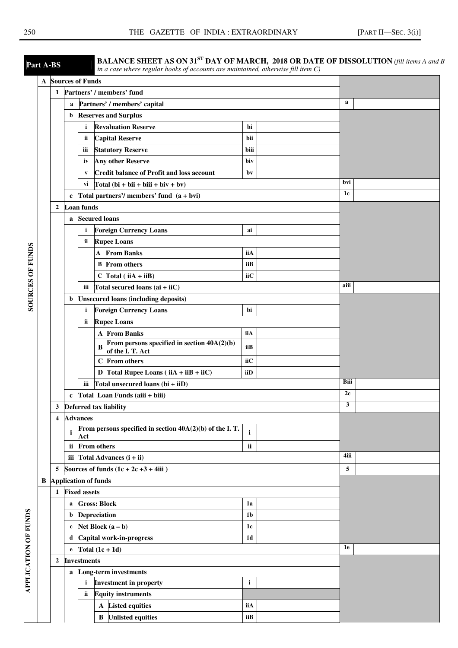| Part A-BS                            |   |              |              |                         | <b>BALANCE SHEET AS ON 31<sup>ST</sup> DAY OF MARCH, 2018 OR DATE OF DISSOLUTION</b> (fill items A and B<br>in a case where regular books of accounts are maintained, otherwise fill item C) |                |      |      |  |
|--------------------------------------|---|--------------|--------------|-------------------------|----------------------------------------------------------------------------------------------------------------------------------------------------------------------------------------------|----------------|------|------|--|
|                                      | A |              |              | <b>Sources of Funds</b> |                                                                                                                                                                                              |                |      |      |  |
|                                      |   |              |              |                         | 1 Partners' / members' fund                                                                                                                                                                  |                |      |      |  |
|                                      |   |              | $\mathbf{a}$ |                         | Partners' / members' capital                                                                                                                                                                 |                |      | a    |  |
|                                      |   |              | b            |                         | <b>Reserves and Surplus</b>                                                                                                                                                                  |                |      |      |  |
|                                      |   |              |              | i.                      | <b>Revaluation Reserve</b>                                                                                                                                                                   | bi             |      |      |  |
|                                      |   |              |              | ii.                     | <b>Capital Reserve</b>                                                                                                                                                                       | bii            |      |      |  |
|                                      |   |              |              | iii                     | <b>Statutory Reserve</b>                                                                                                                                                                     | biii           |      |      |  |
|                                      |   |              |              | iv                      | <b>Any other Reserve</b>                                                                                                                                                                     | biv            |      |      |  |
|                                      |   |              |              | $\mathbf{v}$            | <b>Credit balance of Profit and loss account</b>                                                                                                                                             | bv             |      |      |  |
|                                      |   |              |              | vi                      | $Total (bi + bii + biii + biv + bv)$                                                                                                                                                         |                |      | bvi  |  |
|                                      |   |              | c            |                         | Total partners'/members' fund $(a + bvi)$                                                                                                                                                    |                |      | 1c   |  |
|                                      |   | $\mathbf{2}$ |              | Loan funds              |                                                                                                                                                                                              |                |      |      |  |
|                                      |   |              | a            |                         | <b>Secured loans</b>                                                                                                                                                                         |                |      |      |  |
|                                      |   |              |              | $\mathbf{i}$            | <b>Foreign Currency Loans</b>                                                                                                                                                                |                |      |      |  |
|                                      |   |              |              | ii                      | <b>Rupee Loans</b>                                                                                                                                                                           |                |      |      |  |
|                                      |   |              |              |                         | <b>A</b> From Banks                                                                                                                                                                          | iiA            |      |      |  |
|                                      |   |              |              |                         | <b>B</b> From others                                                                                                                                                                         | iiB            |      |      |  |
|                                      |   |              |              |                         | $C$ Total (iiA + iiB)                                                                                                                                                                        | iiC            |      |      |  |
|                                      |   |              |              | iii                     | Total secured loans $(ai + iiC)$                                                                                                                                                             |                | aiii |      |  |
| SOURCES OF FUNDS                     |   |              | b            |                         | <b>Unsecured loans (including deposits)</b>                                                                                                                                                  |                |      |      |  |
|                                      |   |              |              | i.                      | <b>Foreign Currency Loans</b>                                                                                                                                                                | bi             |      |      |  |
|                                      |   |              |              | ii                      | <b>Rupee Loans</b>                                                                                                                                                                           |                |      |      |  |
|                                      |   |              |              |                         | <b>A</b> From Banks                                                                                                                                                                          | iiA            |      |      |  |
|                                      |   |              |              |                         | From persons specified in section 40A(2)(b)<br>B<br>of the I.T. Act                                                                                                                          | iiB            |      |      |  |
|                                      |   |              |              |                         | <b>From others</b><br>$\mathbf C$                                                                                                                                                            | iiC            |      |      |  |
|                                      |   |              |              |                         | D Total Rupee Loans ( $i\mathbf{i}A + i\mathbf{i}B + i\mathbf{i}C$ )                                                                                                                         | iiD            |      |      |  |
|                                      |   |              |              | iii                     | Total unsecured loans (bi + iiD)                                                                                                                                                             |                |      | Biii |  |
|                                      |   |              | $\mathbf c$  |                         | Total Loan Funds (aiii + biii)                                                                                                                                                               |                |      | 2c   |  |
|                                      |   | 3            |              |                         | <b>Deferred tax liability</b>                                                                                                                                                                |                |      | 3    |  |
|                                      |   | 4            |              | <b>Advances</b>         |                                                                                                                                                                                              |                |      |      |  |
|                                      |   |              | i            | Act                     | From persons specified in section $40A(2)(b)$ of the I.T.                                                                                                                                    | i              |      |      |  |
|                                      |   |              | ii.          |                         | <b>From others</b>                                                                                                                                                                           | <b>ii</b>      |      |      |  |
|                                      |   |              | iii          |                         | Total Advances $(i + ii)$                                                                                                                                                                    |                |      | 4iii |  |
|                                      |   | 5            |              |                         | Sources of funds $(1c + 2c +3 + 4iii)$                                                                                                                                                       |                | 5    |      |  |
|                                      | B |              |              |                         | <b>Application of funds</b>                                                                                                                                                                  |                |      |      |  |
|                                      |   |              |              | 1 Fixed assets          |                                                                                                                                                                                              |                |      |      |  |
|                                      |   |              | a            |                         | <b>Gross: Block</b>                                                                                                                                                                          | 1a             |      |      |  |
|                                      |   |              | b            |                         | Depreciation                                                                                                                                                                                 | 1 <sub>b</sub> |      |      |  |
|                                      |   |              | c            |                         | Net Block $(a - b)$                                                                                                                                                                          | 1c             |      |      |  |
|                                      |   |              | d            |                         | Capital work-in-progress                                                                                                                                                                     | 1d             |      |      |  |
|                                      |   |              | $\mathbf e$  |                         | Total $(1c + 1d)$                                                                                                                                                                            |                |      | 1e   |  |
| APPLICATION OF FUNDS                 |   | $\mathbf{2}$ |              | <b>Investments</b>      |                                                                                                                                                                                              |                |      |      |  |
|                                      |   |              | a            |                         | Long-term investments                                                                                                                                                                        |                |      |      |  |
|                                      |   |              |              | i                       | <b>Investment in property</b>                                                                                                                                                                | i              |      |      |  |
|                                      |   |              |              | ii.                     | <b>Equity instruments</b>                                                                                                                                                                    |                |      |      |  |
|                                      |   |              |              |                         | A Listed equities                                                                                                                                                                            | iiA            |      |      |  |
| <b>Unlisted equities</b><br>iiB<br>B |   |              |              |                         |                                                                                                                                                                                              |                |      |      |  |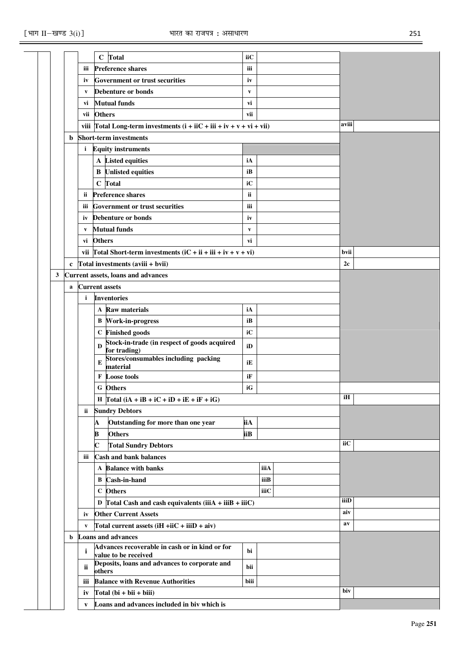| v<br>. . | I<br>۰. | ×. |
|----------|---------|----|
|          |         |    |

|   |   |              | <b>Total</b><br>$\mathbf C$                                                  | iiC          |      |       |  |
|---|---|--------------|------------------------------------------------------------------------------|--------------|------|-------|--|
|   |   | iii          | <b>Preference shares</b>                                                     | iii          |      |       |  |
|   |   | iv           | <b>Government or trust securities</b>                                        | iv           |      |       |  |
|   |   | V            | <b>Debenture or bonds</b>                                                    | V            |      |       |  |
|   |   | vi           | <b>Mutual funds</b>                                                          | vi           |      |       |  |
|   |   | vii          | <b>Others</b>                                                                | vii          |      |       |  |
|   |   |              | viii $\Gamma$ otal Long-term investments (i + iiC + iii + iv + v + vi + vii) |              |      | aviii |  |
|   | b |              | <b>Short-term investments</b>                                                |              |      |       |  |
|   |   | $\mathbf{i}$ | <b>Equity instruments</b>                                                    |              |      |       |  |
|   |   |              | A Listed equities                                                            | iA           |      |       |  |
|   |   |              | <b>B</b> Unlisted equities                                                   | iB           |      |       |  |
|   |   |              | C Total                                                                      | iC           |      |       |  |
|   |   | <b>ii</b>    | <b>Preference shares</b>                                                     | ii           |      |       |  |
|   |   | iii          | Government or trust securities                                               | iii          |      |       |  |
|   |   | iv           | Debenture or bonds                                                           | iv           |      |       |  |
|   |   | V            | <b>Mutual funds</b>                                                          | $\mathbf{v}$ |      |       |  |
|   |   | vi           | <b>Others</b>                                                                | vi           |      |       |  |
|   |   |              | vii Total Short-term investments $(iC + ii + iii + iv + v + vi)$             |              |      | bvii  |  |
|   |   |              | c $Total$ investments (aviii + bvii)                                         |              |      | 2c    |  |
| 3 |   |              | Current assets, loans and advances                                           |              |      |       |  |
|   | a |              | <b>Current assets</b>                                                        |              |      |       |  |
|   |   | i            | <b>Inventories</b>                                                           |              |      |       |  |
|   |   |              | A Raw materials                                                              | iA           |      |       |  |
|   |   |              | <b>B</b> Work-in-progress                                                    | iB           |      |       |  |
|   |   |              | C Finished goods                                                             | iC           |      |       |  |
|   |   |              | Stock-in-trade (in respect of goods acquired<br>D<br>for trading)            | iD           |      |       |  |
|   |   |              | <b>Stores/consumables including packing</b><br>E<br>material                 | iE           |      |       |  |
|   |   |              | <b>Loose tools</b><br>F                                                      | iF           |      |       |  |
|   |   |              | G Others                                                                     | iG           |      |       |  |
|   |   |              | H $\Gamma$ otal (iA + iB + iC + iD + iE + iF + iG)                           |              |      | iH    |  |
|   |   | ii.          | <b>Sundry Debtors</b>                                                        |              |      |       |  |
|   |   |              | Outstanding for more than one year<br>A                                      | iiA          |      |       |  |
|   |   |              | <b>Others</b><br>B                                                           | iіB          |      |       |  |
|   |   |              | <b>Total Sundry Debtors</b><br>С                                             |              |      | iіC   |  |
|   |   | iii          | <b>Cash and bank balances</b>                                                |              |      |       |  |
|   |   |              | A Balance with banks                                                         |              | iiiA |       |  |
|   |   |              | Cash-in-hand<br>В                                                            |              | iiiB |       |  |
|   |   |              | C Others                                                                     |              | iiiC |       |  |
|   |   |              | D Total Cash and cash equivalents $(iiiA + iiB + iiiC)$                      |              |      | iiiD  |  |
|   |   | iv           | <b>Other Current Assets</b>                                                  |              |      | aiv   |  |
|   |   | V            | Total current assets $(iH + iiC + iiiD + aiv)$                               |              |      | $a$ v |  |
|   | b |              | <b>Loans and advances</b>                                                    |              |      |       |  |
|   |   | i            | Advances recoverable in cash or in kind or for<br>value to be received       | bi           |      |       |  |
|   |   | ii           | Deposits, loans and advances to corporate and<br>others                      | bii          |      |       |  |
|   |   | iii          | <b>Balance with Revenue Authorities</b>                                      | biii         |      |       |  |
|   |   | iv           | Total $(bi + bii + biii)$                                                    |              |      | biv   |  |
|   |   | V            | Loans and advances included in biv which is                                  |              |      |       |  |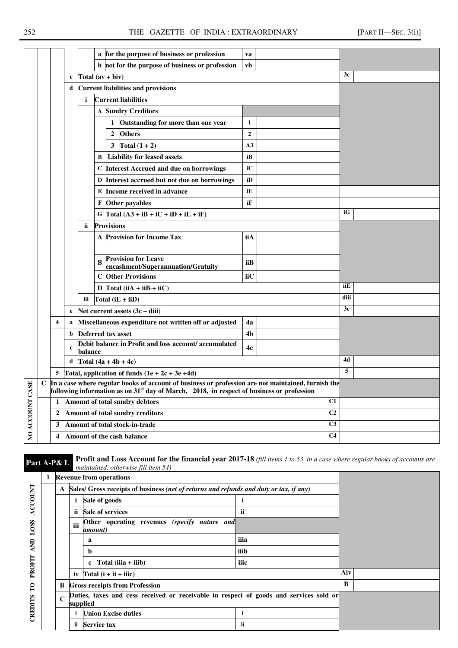|                 |             |   |              |                            |   | a for the purpose of business or profession                                                             | va             |    |                                  |      |  |
|-----------------|-------------|---|--------------|----------------------------|---|---------------------------------------------------------------------------------------------------------|----------------|----|----------------------------------|------|--|
|                 |             |   |              |                            |   | b not for the purpose of business or profession                                                         | vb             |    |                                  |      |  |
|                 |             |   | $\mathbf c$  | Total $(av + biv)$         |   |                                                                                                         |                | 3c |                                  |      |  |
|                 |             |   | d            |                            |   | <b>Current liabilities and provisions</b>                                                               |                |    |                                  |      |  |
|                 |             |   |              | i                          |   | <b>Current liabilities</b>                                                                              |                |    |                                  |      |  |
|                 |             |   |              |                            | A | <b>Sundry Creditors</b>                                                                                 |                |    |                                  |      |  |
|                 |             |   |              |                            |   | Outstanding for more than one year<br>1                                                                 | $\mathbf{1}$   |    |                                  |      |  |
|                 |             |   |              |                            |   | <b>Others</b><br>$\mathbf{2}$                                                                           | $\overline{2}$ |    |                                  |      |  |
|                 |             |   |              |                            |   | Total $(1 + 2)$<br>3                                                                                    | A3             |    |                                  |      |  |
|                 |             |   |              |                            | В | <b>Liability for leased assets</b>                                                                      | iB             |    |                                  |      |  |
|                 |             |   |              |                            | C | <b>Interest Accrued and due on borrowings</b>                                                           | iC             |    |                                  |      |  |
|                 |             |   |              |                            | D | Interest accrued but not due on borrowings                                                              | iD             |    |                                  |      |  |
|                 |             |   |              |                            | Е | Income received in advance                                                                              | iE             |    |                                  |      |  |
|                 |             |   |              |                            | F | <b>Other payables</b>                                                                                   | iF             |    |                                  |      |  |
|                 |             |   |              |                            | G | $[Total (A3 + iB + iC + iD + iE + iF)]$                                                                 |                |    |                                  | iG   |  |
|                 |             |   |              | ii.                        |   | <b>Provisions</b>                                                                                       |                |    |                                  |      |  |
|                 |             |   |              |                            | A | <b>Provision for Income Tax</b>                                                                         | iiA            |    |                                  |      |  |
|                 |             |   |              |                            |   |                                                                                                         |                |    |                                  |      |  |
|                 |             |   |              |                            | В | <b>Provision for Leave</b><br>encashment/Superannuation/Gratuity                                        | iiB            |    |                                  |      |  |
|                 |             |   |              |                            | C | <b>Other Provisions</b>                                                                                 | iiC            |    |                                  |      |  |
|                 |             |   |              |                            |   | D $[Total (iiA + iiB + iiC)$                                                                            |                |    |                                  | iiE  |  |
|                 |             |   |              | iii                        |   | Total $(iE + iiD)$                                                                                      |                |    |                                  | diii |  |
|                 |             |   | e            |                            |   | Net current assets $(3c - diii)$                                                                        |                |    |                                  | 3e   |  |
|                 |             | 4 | $\mathbf{a}$ |                            |   | Miscellaneous expenditure not written off or adjusted                                                   | 4a             |    |                                  |      |  |
|                 |             |   | b            |                            |   | Deferred tax asset                                                                                      | 4 <sub>b</sub> |    |                                  |      |  |
|                 |             |   | $\mathbf c$  | balance                    |   | Debit balance in Profit and loss account/accumulated                                                    | 4c             |    |                                  |      |  |
|                 |             |   | d            |                            |   | Total $(4a + 4b + 4c)$                                                                                  |                |    |                                  | 4d   |  |
|                 |             | 5 |              |                            |   | Total, application of funds $(1e + 2c + 3e + 4d)$                                                       |                |    |                                  | 5    |  |
|                 | $\mathbf C$ |   |              |                            |   | In a case where regular books of account of business or profession are not maintained, furnish the      |                |    |                                  |      |  |
|                 |             |   |              |                            |   | following information as on 31 <sup>st</sup> day of March, - 2018, in respect of business or profession |                |    |                                  |      |  |
|                 |             | 1 |              |                            |   | Amount of total sundry debtors                                                                          |                |    | C1                               |      |  |
| NO ACCOUNT CASE |             | 2 |              |                            |   | Amount of total sundry creditors                                                                        |                |    | C <sub>2</sub>                   |      |  |
|                 |             | 3 |              |                            |   | Amount of total stock-in-trade                                                                          |                |    | C <sub>3</sub><br>C <sub>4</sub> |      |  |
|                 |             | 4 |              | Amount of the cash balance |   |                                                                                                         |                |    |                                  |      |  |

**CREDITS TO PROFIT AND LOSS ACCOUNT** 

CREDITS TO PROFIT AND LOSS ACCOUNT

**Part A-P& L Profit and Loss Account for the financial year 2017-18** *(fill items 1 to 53 in a case where regular books of accounts are maintained, otherwise fill item 54)* ٦ ┓

|             | <b>Revenue from operations</b> |             |                                                                                        |                           |  |          |  |
|-------------|--------------------------------|-------------|----------------------------------------------------------------------------------------|---------------------------|--|----------|--|
| A           |                                |             | Sales/ Gross receipts of business (net of returns and refunds and duty or tax, if any) |                           |  |          |  |
|             |                                |             | Sale of goods                                                                          |                           |  |          |  |
|             | -ii                            |             | <b>Sale of services</b>                                                                | $\ddot{\phantom{0}}$<br>n |  |          |  |
|             | iii                            | amount)     | Other operating revenues (specify nature and                                           |                           |  |          |  |
|             |                                | a           |                                                                                        | iiia                      |  |          |  |
|             |                                | b           |                                                                                        | iiib                      |  |          |  |
|             |                                | $\mathbf c$ | Total $(iiia + iiib)$                                                                  | iiic                      |  |          |  |
|             |                                |             | iv $\text{Total}(\mathbf{i} + \mathbf{ii} + \mathbf{ii})$                              |                           |  | Aiv      |  |
| B           |                                |             | <b>Gross receipts from Profession</b>                                                  |                           |  | $\bf{B}$ |  |
| $\mathbf C$ | supplied                       |             | Duties, taxes and cess received or receivable in respect of goods and services sold or |                           |  |          |  |
|             | Ť                              |             | <b>Union Excise duties</b>                                                             |                           |  |          |  |
|             | ii                             |             | <b>Service tax</b>                                                                     |                           |  |          |  |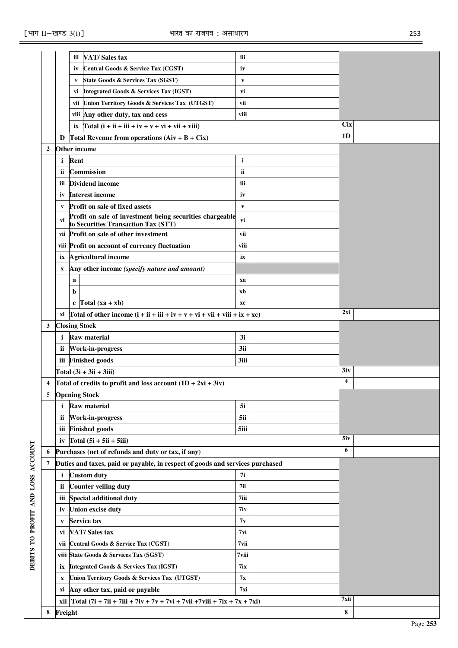|                |                |              | <b>VAT/Sales tax</b><br><u>iii</u>                                                              | iii          |                         |  |
|----------------|----------------|--------------|-------------------------------------------------------------------------------------------------|--------------|-------------------------|--|
|                |                |              | Central Goods & Service Tax (CGST)<br>iv                                                        | iv           |                         |  |
|                |                |              | State Goods & Services Tax (SGST)<br>V                                                          | $\mathbf{v}$ |                         |  |
|                |                |              | <b>Integrated Goods &amp; Services Tax (IGST)</b><br>vi                                         | vi           |                         |  |
|                |                |              | vii Union Territory Goods & Services Tax (UTGST)                                                | vii          |                         |  |
|                |                |              | viii Any other duty, tax and cess                                                               | viii         |                         |  |
|                |                |              | ix $\text{Total}$ (i + ii + iii + iv + v + vi + vii + viii)                                     |              | <b>Cix</b>              |  |
|                |                | D            | Total Revenue from operations $(Aiv + B + Cix)$                                                 |              | 1 <sub>D</sub>          |  |
|                | $\overline{2}$ |              | Other income                                                                                    |              |                         |  |
|                |                | i            | Rent                                                                                            | i            |                         |  |
|                |                | ii.          | <b>Commission</b>                                                                               | ii           |                         |  |
|                |                | iii          | Dividend income                                                                                 | iii          |                         |  |
|                |                | iv           | <b>Interest income</b>                                                                          | iv           |                         |  |
|                |                | V            | <b>Profit on sale of fixed assets</b>                                                           | $\mathbf{v}$ |                         |  |
|                |                | vi           | Profit on sale of investment being securities chargeable<br>to Securities Transaction Tax (STT) | vi           |                         |  |
|                |                |              | vii Profit on sale of other investment                                                          | vii          |                         |  |
|                |                |              | viii Profit on account of currency fluctuation                                                  | viii         |                         |  |
|                |                |              | ix Agricultural income                                                                          | ix           |                         |  |
|                |                | $\mathbf{x}$ | Any other income (specify nature and amount)                                                    |              |                         |  |
|                |                |              | a                                                                                               | xa           |                         |  |
|                |                |              | b                                                                                               | xb           |                         |  |
|                |                |              | c $\text{Total}(xa + xb)$                                                                       | xc           |                         |  |
|                |                |              | xi  Total of other income $(i + ii + iii + iv + v + vi + vii + viii + ix + xc)$                 |              | 2xi                     |  |
|                | 3              |              | <b>Closing Stock</b>                                                                            |              |                         |  |
|                |                | $\mathbf{i}$ | <b>Raw material</b>                                                                             | 3i           |                         |  |
|                |                | ij.          | <b>Work-in-progress</b>                                                                         | 3ii          |                         |  |
|                |                |              | iii Finished goods                                                                              | 3iii         |                         |  |
|                |                |              | Total $(3i + 3ii + 3iii)$                                                                       |              | 3iv                     |  |
|                | 4              |              | Total of credits to profit and loss account $(1D + 2xi + 3iy)$                                  |              | $\overline{\mathbf{4}}$ |  |
|                | 5              |              | <b>Opening Stock</b>                                                                            |              |                         |  |
|                |                | $\mathbf i$  | <b>Raw material</b>                                                                             | 5i           |                         |  |
|                |                |              | ii Work-in-progress                                                                             | 5ii          |                         |  |
|                |                |              | iii Finished goods                                                                              | 5iii         |                         |  |
|                |                | iv           | Total $(5i + 5ii + 5iii)$                                                                       |              | 5iv                     |  |
|                | 6              |              | Purchases (net of refunds and duty or tax, if any)                                              |              | 6                       |  |
| <b>ACCOUNT</b> | 7              |              | Duties and taxes, paid or payable, in respect of goods and services purchased                   |              |                         |  |
|                |                | i            | <b>Custom duty</b>                                                                              | 7i           |                         |  |
| <b>LOSS</b>    |                | ii.          | <b>Counter veiling duty</b>                                                                     | 7ii          |                         |  |
| AND            |                |              | iii Special additional duty                                                                     | 7iii         |                         |  |
|                |                | iv           | <b>Union excise duty</b>                                                                        | 7iv          |                         |  |
| <b>PROFIT</b>  |                | V            | <b>Service tax</b>                                                                              | 7v           |                         |  |
|                |                | vi           | VAT/Sales tax                                                                                   | 7vi          |                         |  |
| $\overline{C}$ |                | vii          | Central Goods & Service Tax (CGST)                                                              | $7$ vii      |                         |  |
| <b>DEBITS</b>  |                |              | viii State Goods & Services Tax (SGST)                                                          | 7viii        |                         |  |
|                |                | ix           | <b>Integrated Goods &amp; Services Tax (IGST)</b>                                               | 7ix          |                         |  |
|                |                | X            | Union Territory Goods & Services Tax (UTGST)                                                    | 7x           |                         |  |
|                |                | хi           | Any other tax, paid or payable                                                                  | 7xi          |                         |  |
|                |                |              | xii   Total $(7i + 7ii + 7iii + 7iv + 7v + 7vi + 7vii + 7viii + 7ix + 7x + 7xi)$                |              | 7xii                    |  |
|                | 8              | Freight      |                                                                                                 |              | 8                       |  |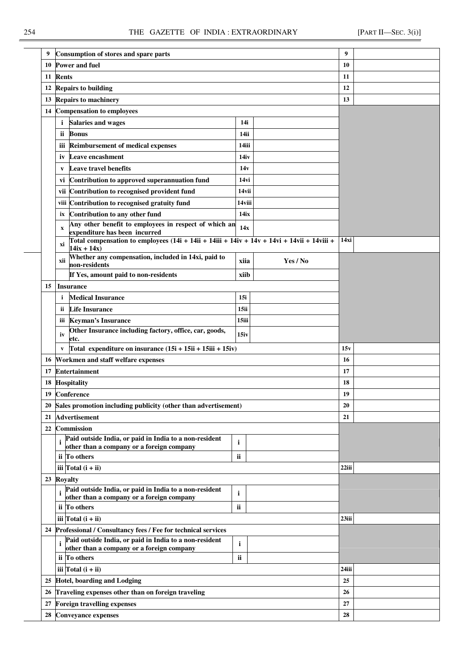|    | Consumption of stores and spare parts                                                                                        | $\boldsymbol{9}$ |          |          |  |
|----|------------------------------------------------------------------------------------------------------------------------------|------------------|----------|----------|--|
| 10 | Power and fuel                                                                                                               | 10               |          |          |  |
|    | 11 Rents                                                                                                                     | 11               |          |          |  |
|    | 12 Repairs to building                                                                                                       | 12               |          |          |  |
|    | 13 Repairs to machinery                                                                                                      | 13               |          |          |  |
|    | 14 Compensation to employees                                                                                                 |                  |          |          |  |
|    | <b>Salaries and wages</b><br>i                                                                                               |                  |          |          |  |
|    | <b>Bonus</b><br>ii.                                                                                                          | 14ii             |          |          |  |
|    | <b>Reimbursement of medical expenses</b><br>iii                                                                              | 14iii            |          |          |  |
|    | Leave encashment<br>iv                                                                                                       | 14iv             |          |          |  |
|    | Leave travel benefits<br>V                                                                                                   | 14v              |          |          |  |
|    | Contribution to approved superannuation fund<br>Vİ                                                                           | 14vi             |          |          |  |
|    | vii Contribution to recognised provident fund                                                                                | 14vii            |          |          |  |
|    | viii Contribution to recognised gratuity fund                                                                                | 14viii           |          |          |  |
|    | Contribution to any other fund<br>ix                                                                                         | 14ix             |          |          |  |
|    | Any other benefit to employees in respect of which an<br>$\mathbf x$                                                         | 14x              |          |          |  |
|    | expenditure has been incurred<br>Total compensation to employees $(14i + 14ii + 14ii + 14iv + 14v + 14vi + 14vii + 14viii +$ |                  |          | 14xi     |  |
|    | хi<br>$14ix + 14x$                                                                                                           |                  |          |          |  |
|    | Whether any compensation, included in 14xi, paid to<br>xii<br>non-residents                                                  | xiia             | Yes / No |          |  |
|    | If Yes, amount paid to non-residents                                                                                         | xiib             |          |          |  |
| 15 | <b>Insurance</b>                                                                                                             |                  |          |          |  |
|    | <b>Medical Insurance</b><br>i                                                                                                | 15i              |          |          |  |
|    | <b>Life Insurance</b><br>ii                                                                                                  | 15ii             |          |          |  |
|    | <b>Keyman's Insurance</b><br>iii                                                                                             | 15iii            |          |          |  |
|    | Other Insurance including factory, office, car, goods,<br>iv                                                                 |                  |          |          |  |
|    | etc.                                                                                                                         | 15iv             |          |          |  |
|    | Total expenditure on insurance $(15i + 15ii + 15ii + 15iv)$<br>$\mathbf{v}$                                                  |                  |          | 15v      |  |
| 16 | Workmen and staff welfare expenses                                                                                           |                  |          | 16       |  |
| 17 | <b>Entertainment</b>                                                                                                         |                  |          | 17       |  |
|    | 18 Hospitality                                                                                                               |                  |          | 18       |  |
| 19 | Conference                                                                                                                   |                  |          | 19       |  |
| 20 | Sales promotion including publicity (other than advertisement)                                                               |                  |          | 20       |  |
| 21 | <b>Advertisement</b>                                                                                                         |                  |          | 21       |  |
| 22 | Commission<br>Paid outside India, or paid in India to a non-resident                                                         |                  |          |          |  |
|    | other than a company or a foreign company                                                                                    | i                |          |          |  |
|    | ii To others                                                                                                                 | ii               |          |          |  |
|    | iii $\text{Total}$ (i + ii)                                                                                                  |                  |          | 22iii    |  |
|    | 23 Royalty                                                                                                                   |                  |          |          |  |
|    | Paid outside India, or paid in India to a non-resident                                                                       | i                |          |          |  |
|    | other than a company or a foreign company<br>ii To others                                                                    | ii               |          |          |  |
|    | iii $\text{Total}$ (i + ii)                                                                                                  |                  |          | $23$ iii |  |
|    | 24 Professional / Consultancy fees / Fee for technical services                                                              |                  |          |          |  |
|    | Paid outside India, or paid in India to a non-resident                                                                       |                  |          |          |  |
|    | other than a company or a foreign company                                                                                    | i                |          |          |  |
|    | ii To others                                                                                                                 |                  |          |          |  |
|    | iii $\boxed{\text{Total} (i + ii)}$                                                                                          | 24iii            |          |          |  |
| 25 | Hotel, boarding and Lodging                                                                                                  | 25               |          |          |  |
| 26 | Traveling expenses other than on foreign traveling                                                                           | 26               |          |          |  |
| 27 | Foreign travelling expenses                                                                                                  | 27               |          |          |  |
|    | 28 Conveyance expenses                                                                                                       | 28               |          |          |  |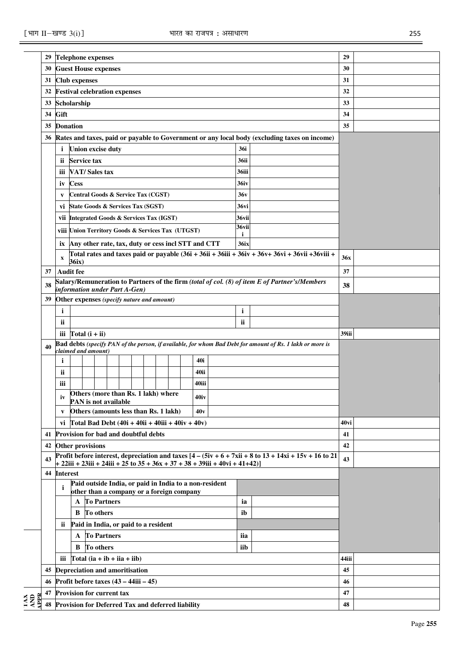|                           | 29 | <b>Telephone expenses</b>   |                                                                                                                   |  |                    |  |  |  |  |  | 29 |       |  |                                                                                |             |                                                                                                           |  |       |  |
|---------------------------|----|-----------------------------|-------------------------------------------------------------------------------------------------------------------|--|--------------------|--|--|--|--|--|----|-------|--|--------------------------------------------------------------------------------|-------------|-----------------------------------------------------------------------------------------------------------|--|-------|--|
|                           | 30 | <b>Guest House expenses</b> |                                                                                                                   |  |                    |  |  |  |  |  |    | 30    |  |                                                                                |             |                                                                                                           |  |       |  |
|                           | 31 |                             | <b>Club</b> expenses                                                                                              |  |                    |  |  |  |  |  |    |       |  |                                                                                |             |                                                                                                           |  | 31    |  |
|                           | 32 |                             | <b>Festival celebration expenses</b>                                                                              |  |                    |  |  |  |  |  |    |       |  |                                                                                |             |                                                                                                           |  | 32    |  |
|                           | 33 |                             | Scholarship                                                                                                       |  |                    |  |  |  |  |  |    |       |  |                                                                                |             |                                                                                                           |  | 33    |  |
|                           | 34 |                             | Gift                                                                                                              |  |                    |  |  |  |  |  |    |       |  |                                                                                | 34          |                                                                                                           |  |       |  |
|                           | 35 | <b>Donation</b>             |                                                                                                                   |  |                    |  |  |  |  |  |    |       |  | 35                                                                             |             |                                                                                                           |  |       |  |
|                           | 36 |                             |                                                                                                                   |  |                    |  |  |  |  |  |    |       |  |                                                                                |             | Rates and taxes, paid or payable to Government or any local body (excluding taxes on income)              |  |       |  |
|                           |    | i.                          | <b>Union excise duty</b>                                                                                          |  |                    |  |  |  |  |  |    |       |  |                                                                                | 36i         |                                                                                                           |  |       |  |
|                           |    |                             |                                                                                                                   |  |                    |  |  |  |  |  |    |       |  |                                                                                | 36ii        |                                                                                                           |  |       |  |
|                           |    | ii.                         | <b>Service tax</b><br>iii VAT/Sales tax                                                                           |  |                    |  |  |  |  |  |    |       |  |                                                                                |             |                                                                                                           |  |       |  |
|                           |    |                             |                                                                                                                   |  |                    |  |  |  |  |  |    |       |  |                                                                                | 36iii       |                                                                                                           |  |       |  |
|                           |    | iv                          | <b>Cess</b>                                                                                                       |  |                    |  |  |  |  |  |    |       |  |                                                                                | 36iv        |                                                                                                           |  |       |  |
|                           |    | v                           | Central Goods & Service Tax (CGST)                                                                                |  |                    |  |  |  |  |  |    |       |  |                                                                                | 36v         |                                                                                                           |  |       |  |
|                           |    | vi                          | State Goods & Services Tax (SGST)                                                                                 |  |                    |  |  |  |  |  |    |       |  |                                                                                | 36vi        |                                                                                                           |  |       |  |
|                           |    |                             | vii Integrated Goods & Services Tax (IGST)                                                                        |  |                    |  |  |  |  |  |    |       |  |                                                                                | 36vii       |                                                                                                           |  |       |  |
|                           |    |                             | viii Union Territory Goods & Services Tax (UTGST)                                                                 |  |                    |  |  |  |  |  |    |       |  |                                                                                | 36vii<br>i  |                                                                                                           |  |       |  |
|                           |    | iх                          | Any other rate, tax, duty or cess incl STT and CTT                                                                |  |                    |  |  |  |  |  |    |       |  |                                                                                | <b>36ix</b> |                                                                                                           |  |       |  |
|                           |    | $\mathbf X$                 |                                                                                                                   |  |                    |  |  |  |  |  |    |       |  |                                                                                |             | Total rates and taxes paid or payable (36i + 36ii + 36iii + 36iv + 36v+ 36vi + 36vii + 36viii +           |  | 36x   |  |
|                           | 37 |                             | 36ix)                                                                                                             |  |                    |  |  |  |  |  |    | 37    |  |                                                                                |             |                                                                                                           |  |       |  |
|                           |    |                             | <b>Audit fee</b><br>Salary/Remuneration to Partners of the firm (total of col. (8) of item E of Partner's/Members |  |                    |  |  |  |  |  |    |       |  |                                                                                |             |                                                                                                           |  |       |  |
|                           | 38 |                             | information under Part A-Gen)                                                                                     |  |                    |  |  |  |  |  |    |       |  |                                                                                |             |                                                                                                           |  | 38    |  |
|                           | 39 |                             | Other expenses (specify nature and amount)                                                                        |  |                    |  |  |  |  |  |    |       |  |                                                                                |             |                                                                                                           |  |       |  |
|                           |    | i                           |                                                                                                                   |  |                    |  |  |  |  |  |    |       |  |                                                                                | i           |                                                                                                           |  |       |  |
|                           |    | ii                          |                                                                                                                   |  |                    |  |  |  |  |  |    |       |  |                                                                                | ii          |                                                                                                           |  |       |  |
|                           |    | iii $\text{Total}$ (i + ii) |                                                                                                                   |  |                    |  |  |  |  |  |    |       |  |                                                                                |             |                                                                                                           |  |       |  |
|                           |    |                             |                                                                                                                   |  |                    |  |  |  |  |  |    |       |  |                                                                                |             |                                                                                                           |  | 39iii |  |
|                           | 40 |                             |                                                                                                                   |  |                    |  |  |  |  |  |    |       |  |                                                                                |             | Bad debts (specify PAN of the person, if available, for whom Bad Debt for amount of Rs. 1 lakh or more is |  |       |  |
|                           |    |                             | claimed and amount)                                                                                               |  |                    |  |  |  |  |  |    |       |  |                                                                                |             |                                                                                                           |  |       |  |
|                           |    | i                           |                                                                                                                   |  |                    |  |  |  |  |  |    | 40i   |  |                                                                                |             |                                                                                                           |  |       |  |
|                           |    | ii                          |                                                                                                                   |  |                    |  |  |  |  |  |    | 40ii  |  |                                                                                |             |                                                                                                           |  |       |  |
|                           |    | Ш                           |                                                                                                                   |  |                    |  |  |  |  |  |    | 40iii |  |                                                                                |             |                                                                                                           |  |       |  |
|                           |    | iv                          | Others (more than Rs. 1 lakh) where<br>PAN is not available                                                       |  |                    |  |  |  |  |  |    | 40iv  |  |                                                                                |             |                                                                                                           |  |       |  |
|                           |    | V                           | Others (amounts less than Rs. 1 lakh)                                                                             |  |                    |  |  |  |  |  |    | 40v   |  |                                                                                |             |                                                                                                           |  |       |  |
|                           |    |                             | vi Total Bad Debt $(40i + 40ii + 40ii + 40iv + 40v)$                                                              |  |                    |  |  |  |  |  |    |       |  |                                                                                |             |                                                                                                           |  | 40vi  |  |
|                           | 41 |                             | Provision for bad and doubtful debts                                                                              |  |                    |  |  |  |  |  |    |       |  |                                                                                |             |                                                                                                           |  | 41    |  |
|                           | 42 |                             | <b>Other provisions</b>                                                                                           |  |                    |  |  |  |  |  |    |       |  |                                                                                |             |                                                                                                           |  | 42    |  |
|                           | 43 |                             |                                                                                                                   |  |                    |  |  |  |  |  |    |       |  |                                                                                |             | Profit before interest, depreciation and taxes $[4 - (5iv + 6 + 7xii + 8 to 13 + 14xi + 15v + 16 to 21$   |  | 43    |  |
|                           |    |                             |                                                                                                                   |  |                    |  |  |  |  |  |    |       |  | $+ 22$ iii + 23iii + 24iii + 25 to 35 + 36x + 37 + 38 + 39iii + 40vi + 41+42)] |             |                                                                                                           |  |       |  |
|                           |    | 44 Interest                 |                                                                                                                   |  |                    |  |  |  |  |  |    |       |  |                                                                                |             |                                                                                                           |  |       |  |
|                           |    |                             | other than a company or a foreign company                                                                         |  |                    |  |  |  |  |  |    |       |  | Paid outside India, or paid in India to a non-resident                         |             |                                                                                                           |  |       |  |
|                           |    |                             | A                                                                                                                 |  | <b>To Partners</b> |  |  |  |  |  |    |       |  |                                                                                | ia          |                                                                                                           |  |       |  |
|                           |    |                             | B                                                                                                                 |  | To others          |  |  |  |  |  |    |       |  |                                                                                | ib          |                                                                                                           |  |       |  |
|                           |    | ii.                         | Paid in India, or paid to a resident                                                                              |  |                    |  |  |  |  |  |    |       |  |                                                                                |             |                                                                                                           |  |       |  |
|                           |    |                             | A                                                                                                                 |  | <b>To Partners</b> |  |  |  |  |  |    |       |  |                                                                                | iia         |                                                                                                           |  |       |  |
|                           |    |                             | B                                                                                                                 |  | To others          |  |  |  |  |  |    |       |  |                                                                                | iib         |                                                                                                           |  |       |  |
|                           |    |                             | iii $\text{Total}$ (ia + ib + iia + iib)                                                                          |  |                    |  |  |  |  |  |    |       |  |                                                                                |             |                                                                                                           |  | 44iii |  |
|                           | 45 |                             | Depreciation and amoritisation                                                                                    |  |                    |  |  |  |  |  |    |       |  |                                                                                |             |                                                                                                           |  | 45    |  |
|                           | 46 |                             | Profit before taxes $(43 - 44$ iii $- 45)$                                                                        |  |                    |  |  |  |  |  |    |       |  |                                                                                |             |                                                                                                           |  | 46    |  |
| <b>TAX</b><br>ARD<br>APPR | 47 |                             | <b>Provision for current tax</b>                                                                                  |  |                    |  |  |  |  |  |    |       |  |                                                                                |             |                                                                                                           |  | 47    |  |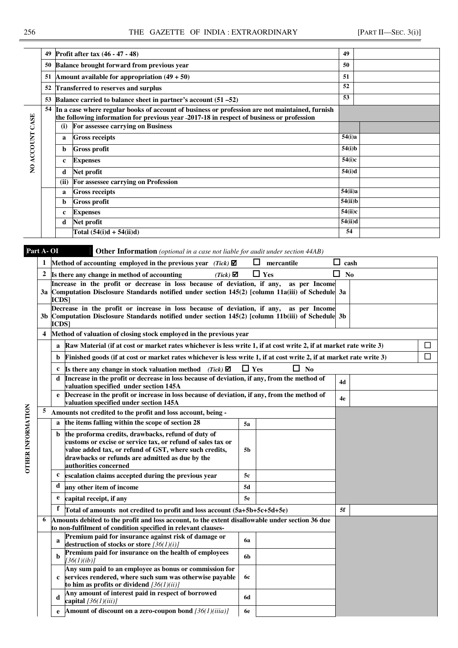|               |    |      | 49 Profit after tax (46 - 47 - 48)                                                                                                                                                          | 49        |  |
|---------------|----|------|---------------------------------------------------------------------------------------------------------------------------------------------------------------------------------------------|-----------|--|
|               | 50 |      | <b>Balance brought forward from previous year</b>                                                                                                                                           | 50        |  |
|               | 51 |      | Amount available for appropriation $(49 + 50)$                                                                                                                                              | 51        |  |
|               | 52 |      | Transferred to reserves and surplus                                                                                                                                                         | 52        |  |
|               | 53 |      | Balance carried to balance sheet in partner's account $(51 - 52)$                                                                                                                           | 53        |  |
| SE            | 54 |      | In a case where regular books of account of business or profession are not maintained, furnish<br>the following information for previous year -2017-18 in respect of business or profession |           |  |
| ن             |    | (i)  | For assessee carrying on Business                                                                                                                                                           |           |  |
|               |    | a    | <b>Gross receipts</b>                                                                                                                                                                       | 54(i)a    |  |
| <b>CCOUNT</b> |    | b    | <b>Gross profit</b>                                                                                                                                                                         | 54(i)b    |  |
| ∢             |    | c    | <b>Expenses</b>                                                                                                                                                                             | $54$ (i)c |  |
| $\frac{1}{2}$ |    | d    | Net profit                                                                                                                                                                                  | 54(i)d    |  |
|               |    | (ii) | For assessee carrying on Profession                                                                                                                                                         |           |  |
|               |    | a    | <b>Gross receipts</b>                                                                                                                                                                       | 54(ii)a   |  |
|               |    | b    | <b>Gross profit</b>                                                                                                                                                                         | 54(ii)b   |  |
|               |    | c    | <b>Expenses</b>                                                                                                                                                                             | 54(ii)c   |  |
|               |    | d    | Net profit                                                                                                                                                                                  | 54(ii)d   |  |
|               |    |      | Total $(54(i)d + 54(ii)d)$                                                                                                                                                                  | 54        |  |

**Part A- OI Other Information** *(optional in a case not liable for audit under section 44AB)* 

|                          | 1 |              | Method of accounting employed in the previous year (Tick) $\boxtimes$                                                                                                                                                                                   |            | mercantile          | ப                   | cash |        |
|--------------------------|---|--------------|---------------------------------------------------------------------------------------------------------------------------------------------------------------------------------------------------------------------------------------------------------|------------|---------------------|---------------------|------|--------|
|                          |   |              | 2 Is there any change in method of accounting<br>$(Tick)$ $\Box$                                                                                                                                                                                        |            | $\Box$ Yes          | ப<br>N <sub>0</sub> |      |        |
|                          |   | <b>ICDS</b>  | Increase in the profit or decrease in loss because of deviation, if any,<br>3a Computation Disclosure Standards notified under section 145(2) [column 11a(iii) of Schedule 3a                                                                           |            | as per Income       |                     |      |        |
|                          |   | <b>ICDS]</b> | Decrease in the profit or increase in loss because of deviation, if any,<br>3b Computation Disclosure Standards notified under section 145(2) [column 11b(iii) of Schedule 3b                                                                           |            | as per Income       |                     |      |        |
|                          | 4 |              | Method of valuation of closing stock employed in the previous year                                                                                                                                                                                      |            |                     |                     |      |        |
|                          |   | a            | Raw Material (if at cost or market rates whichever is less write 1, if at cost write 2, if at market rate write 3)                                                                                                                                      |            |                     |                     |      | $\Box$ |
|                          |   | b            | Finished goods (if at cost or market rates whichever is less write 1, if at cost write 2, if at market rate write 3)                                                                                                                                    |            |                     |                     |      | $\Box$ |
|                          |   | $\mathbf c$  | <b>Is there any change in stock valuation method</b> (Tick) $\boxtimes$                                                                                                                                                                                 | $\Box$ Yes | 0<br>N <sub>o</sub> |                     |      |        |
|                          |   | d            | Increase in the profit or decrease in loss because of deviation, if any, from the method of<br>valuation specified under section 145A                                                                                                                   |            |                     | 4d                  |      |        |
|                          |   | e            | Decrease in the profit or increase in loss because of deviation, if any, from the method of<br>valuation specified under section 145A                                                                                                                   |            |                     | 4e                  |      |        |
|                          | 5 |              | Amounts not credited to the profit and loss account, being -                                                                                                                                                                                            |            |                     |                     |      |        |
|                          |   | a            | the items falling within the scope of section 28                                                                                                                                                                                                        | 5a         |                     |                     |      |        |
| <b>OTHER INFORMATION</b> |   | b            | the proforma credits, drawbacks, refund of duty of<br>customs or excise or service tax, or refund of sales tax or<br>value added tax, or refund of GST, where such credits,<br>drawbacks or refunds are admitted as due by the<br>authorities concerned | 5b         |                     |                     |      |        |
|                          |   | $\mathbf c$  | escalation claims accepted during the previous year                                                                                                                                                                                                     | 5c         |                     |                     |      |        |
|                          |   | d            | any other item of income                                                                                                                                                                                                                                | 5d         |                     |                     |      |        |
|                          |   | e            | capital receipt, if any                                                                                                                                                                                                                                 | 5e         |                     |                     |      |        |
|                          |   | f            | Total of amounts not credited to profit and loss account (5a+5b+5c+5d+5e)                                                                                                                                                                               |            |                     | 5f                  |      |        |
|                          | 6 |              | Amounts debited to the profit and loss account, to the extent disallowable under section 36 due<br>to non-fulfilment of condition specified in relevant clauses-                                                                                        |            |                     |                     |      |        |
|                          |   | a            | Premium paid for insurance against risk of damage or<br>destruction of stocks or store $[36(1)(i)]$                                                                                                                                                     | 6a         |                     |                     |      |        |
|                          |   | b            | Premium paid for insurance on the health of employees<br>[36(1)(ib)]                                                                                                                                                                                    | 6b         |                     |                     |      |        |
|                          |   | $\mathbf{c}$ | Any sum paid to an employee as bonus or commission for<br>services rendered, where such sum was otherwise payable<br>to him as profits or dividend $[36(1)(ii)]$                                                                                        | <b>6c</b>  |                     |                     |      |        |
|                          |   | d            | Any amount of interest paid in respect of borrowed<br>capital $[36(1)(iii)]$                                                                                                                                                                            | <b>6d</b>  |                     |                     |      |        |
|                          |   | e            | Amount of discount on a zero-coupon bond $[36(1)(iiia)]$                                                                                                                                                                                                | 6e         |                     |                     |      |        |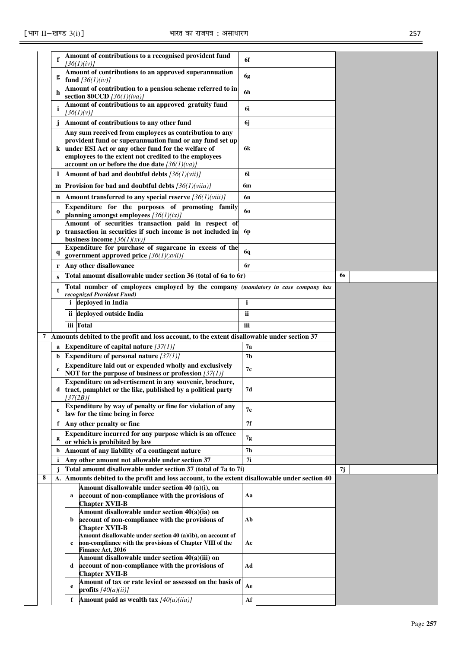**f Amount paid as wealth tax**  $[40(a)(iia)]$  **Af** 

|   |             | Amount of contributions to a recognised provident fund<br>36(1)(iv)                                                                                                                                                        | 6f             |    |  |
|---|-------------|----------------------------------------------------------------------------------------------------------------------------------------------------------------------------------------------------------------------------|----------------|----|--|
|   | g           | Amount of contributions to an approved superannuation<br><b>fund</b> $[36(1)(iv)]$                                                                                                                                         | 6g             |    |  |
|   | h           | Amount of contribution to a pension scheme referred to in<br>section 80CCD $[36(1)(iva)]$                                                                                                                                  | 6h             |    |  |
|   | i           | Amount of contributions to an approved gratuity fund<br>[36(1)(v)]                                                                                                                                                         | 6i             |    |  |
|   | j.          | Amount of contributions to any other fund                                                                                                                                                                                  | 6j             |    |  |
|   |             | Any sum received from employees as contribution to any                                                                                                                                                                     |                |    |  |
|   | k           | provident fund or superannuation fund or any fund set up<br>under ESI Act or any other fund for the welfare of<br>employees to the extent not credited to the employees<br>account on or before the due date $[36(1)(va)]$ | 6k             |    |  |
|   | 1           | Amount of bad and doubtful debts $[36(1)(vii)]$                                                                                                                                                                            | 61             |    |  |
|   | m           | Provision for bad and doubtful debts $[36(1)(via)]$                                                                                                                                                                        | 6m             |    |  |
|   | $\mathbf n$ | Amount transferred to any special reserve $[36(1)(viii)]$                                                                                                                                                                  | 6n             |    |  |
|   | $\bf{0}$    | Expenditure for the purposes of promoting family<br>planning amongst employees $[36(1)(ix)]$                                                                                                                               | 60             |    |  |
|   | p           | Amount of securities transaction paid in respect of<br>transaction in securities if such income is not included in                                                                                                         | 6 <sub>p</sub> |    |  |
|   | q           | <b>business income</b> $[36(1)(xy)]$<br>Expenditure for purchase of sugarcane in excess of the                                                                                                                             | 6q             |    |  |
|   |             | government approved price $[36(1)(xvii)]$<br>Any other disallowance                                                                                                                                                        | 6r             |    |  |
|   | r           | Total amount disallowable under section 36 (total of 6a to 6r)                                                                                                                                                             |                | 6s |  |
|   | S           |                                                                                                                                                                                                                            |                |    |  |
|   | t           | Total number of employees employed by the company (mandatory in case company has<br>recognized Provident Fund)                                                                                                             |                |    |  |
|   |             | i deployed in India                                                                                                                                                                                                        | i              |    |  |
|   |             | ii deployed outside India                                                                                                                                                                                                  | ii             |    |  |
|   |             | iii Total                                                                                                                                                                                                                  | iii            |    |  |
|   |             | 7 Amounts debited to the profit and loss account, to the extent disallowable under section 37                                                                                                                              |                |    |  |
|   | a           | Expenditure of capital nature $[37(1)]$                                                                                                                                                                                    | 7a             |    |  |
|   | b           | Expenditure of personal nature $[37(1)]$                                                                                                                                                                                   | 7b             |    |  |
|   | c           | Expenditure laid out or expended wholly and exclusively                                                                                                                                                                    | 7с             |    |  |
|   |             | NOT for the purpose of business or profession $[37(1)]$<br>Expenditure on advertisement in any souvenir, brochure,                                                                                                         |                |    |  |
|   | d           | tract, pamphlet or the like, published by a political party<br>[37(2B)]                                                                                                                                                    | 7d             |    |  |
|   | e           | Expenditure by way of penalty or fine for violation of any<br>law for the time being in force                                                                                                                              | 7е             |    |  |
|   | f           | Any other penalty or fine                                                                                                                                                                                                  | 7f             |    |  |
|   | g           | Expenditure incurred for any purpose which is an offence                                                                                                                                                                   | 7g             |    |  |
|   |             | or which is prohibited by law                                                                                                                                                                                              |                |    |  |
|   | h<br>i      | Amount of any liability of a contingent nature<br>Any other amount not allowable under section 37                                                                                                                          | 7h<br>7i       |    |  |
|   |             | Total amount disallowable under section 37 (total of 7a to 7i)                                                                                                                                                             |                | 7j |  |
| 8 | A.          | Amounts debited to the profit and loss account, to the extent disallowable under section 40                                                                                                                                |                |    |  |
|   |             | Amount disallowable under section 40 (a)(i), on<br>account of non-compliance with the provisions of<br>a<br><b>Chapter XVII-B</b>                                                                                          | Aa             |    |  |
|   |             | Amount disallowable under section 40(a)(ia) on<br>account of non-compliance with the provisions of<br>b<br>Chapter XVII-B                                                                                                  | Ab             |    |  |
|   |             | Amount disallowable under section 40 (a)(ib), on account of<br>non-compliance with the provisions of Chapter VIII of the<br>c<br>Finance Act, 2016                                                                         | Ac             |    |  |
|   |             | Amount disallowable under section 40(a)(iii) on<br>account of non-compliance with the provisions of<br>d<br><b>Chapter XVII-B</b>                                                                                          | Ad             |    |  |
|   |             | Amount of tax or rate levied or assessed on the basis of<br>e<br>profits $[40(a)(ii)]$                                                                                                                                     | Ae             |    |  |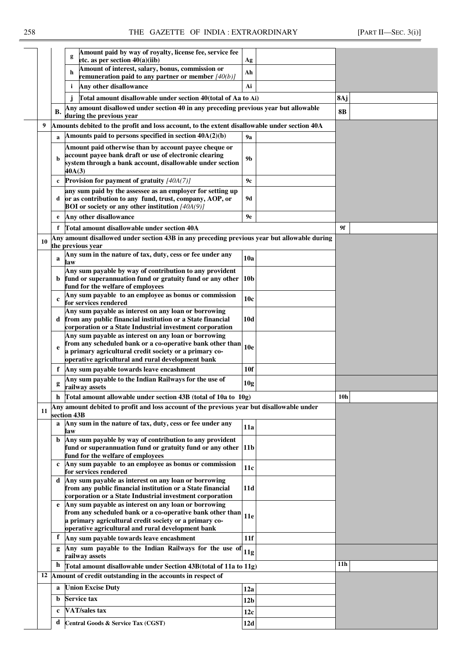|    |             | Amount paid by way of royalty, license fee, service fee<br>g                                                                       |                        |                 |  |
|----|-------------|------------------------------------------------------------------------------------------------------------------------------------|------------------------|-----------------|--|
|    |             | etc. as per section $40(a)(iib)$<br>Amount of interest, salary, bonus, commission or                                               | Ag                     |                 |  |
|    |             | h<br>remuneration paid to any partner or member $[40(b)]$                                                                          | Ah                     |                 |  |
|    |             | Any other disallowance<br>i.                                                                                                       | Ai                     |                 |  |
|    |             | Total amount disallowable under section 40(total of Aa to Ai)                                                                      |                        | $8$ Aj          |  |
|    | <b>B.</b>   | Any amount disallowed under section 40 in any preceding previous year but allowable<br>during the previous year                    |                        | 8B              |  |
| 9  |             | Amounts debited to the profit and loss account, to the extent disallowable under section 40A                                       |                        |                 |  |
|    | a           | Amounts paid to persons specified in section $40A(2)(b)$                                                                           | 9a                     |                 |  |
|    |             | Amount paid otherwise than by account payee cheque or                                                                              |                        |                 |  |
|    | b           | account payee bank draft or use of electronic clearing<br>system through a bank account, disallowable under section                | 9b                     |                 |  |
|    |             | 40A(3)                                                                                                                             |                        |                 |  |
|    | c           | Provision for payment of gratuity $[40A(7)]$                                                                                       | 9c                     |                 |  |
|    | d           | any sum paid by the assessee as an employer for setting up<br>or as contribution to any fund, trust, company, AOP, or              | 9d                     |                 |  |
|    |             | <b>BOI</b> or society or any other institution $[40A(9)]$                                                                          |                        |                 |  |
|    | e           | Any other disallowance                                                                                                             | <b>9e</b>              |                 |  |
|    | f           | Total amount disallowable under section 40A                                                                                        |                        | 9f              |  |
| 10 |             | Any amount disallowed under section 43B in any preceding previous year but allowable during                                        |                        |                 |  |
|    |             | the previous year<br>Any sum in the nature of tax, duty, cess or fee under any                                                     |                        |                 |  |
|    | a           | law                                                                                                                                | 10a                    |                 |  |
|    | b           | Any sum payable by way of contribution to any provident<br>fund or superannuation fund or gratuity fund or any other               | 10 <sub>b</sub>        |                 |  |
|    |             | fund for the welfare of employees                                                                                                  |                        |                 |  |
|    | $\mathbf c$ | Any sum payable to an employee as bonus or commission                                                                              | 10 <sub>c</sub>        |                 |  |
|    |             | for services rendered<br>Any sum payable as interest on any loan or borrowing                                                      |                        |                 |  |
|    | d           | from any public financial institution or a State financial                                                                         | 10d                    |                 |  |
|    |             | corporation or a State Industrial investment corporation<br>Any sum payable as interest on any loan or borrowing                   |                        |                 |  |
|    |             | from any scheduled bank or a co-operative bank other than                                                                          |                        |                 |  |
|    | e           | a primary agricultural credit society or a primary co-                                                                             | <b>10e</b>             |                 |  |
|    | f           | operative agricultural and rural development bank<br>Any sum payable towards leave encashment                                      | 10 <sub>f</sub>        |                 |  |
|    |             | Any sum payable to the Indian Railways for the use of                                                                              |                        |                 |  |
|    | g           | railway assets                                                                                                                     | 10 <sub>g</sub>        |                 |  |
|    | h           | Total amount allowable under section 43B (total of 10a to 10g)                                                                     |                        | 10 <sub>h</sub> |  |
| 11 |             | Any amount debited to profit and loss account of the previous year but disallowable under<br>section 43B                           |                        |                 |  |
|    | a           | Any sum in the nature of tax, duty, cess or fee under any                                                                          | 11a                    |                 |  |
|    | b           | law<br>Any sum payable by way of contribution to any provident                                                                     |                        |                 |  |
|    |             | fund or superannuation fund or gratuity fund or any other                                                                          | 11b                    |                 |  |
|    |             | fund for the welfare of employees                                                                                                  |                        |                 |  |
|    | $\mathbf c$ | Any sum payable to an employee as bonus or commission<br>for services rendered                                                     | 11c                    |                 |  |
|    | d           | Any sum payable as interest on any loan or borrowing                                                                               |                        |                 |  |
|    |             | from any public financial institution or a State financial<br>corporation or a State Industrial investment corporation             | 11d                    |                 |  |
|    | e           | Any sum payable as interest on any loan or borrowing                                                                               |                        |                 |  |
|    |             | from any scheduled bank or a co-operative bank other than                                                                          | 11e                    |                 |  |
|    |             | a primary agricultural credit society or a primary co-<br>operative agricultural and rural development bank                        |                        |                 |  |
|    | f           | Any sum payable towards leave encashment                                                                                           | 11f                    |                 |  |
|    | g           | Any sum payable to the Indian Railways for the use of                                                                              | 11g                    |                 |  |
|    | h           | railway assets                                                                                                                     |                        | 11 <sub>h</sub> |  |
|    |             | Total amount disallowable under Section 43B (total of 11a to 11g)<br>12 Amount of credit outstanding in the accounts in respect of |                        |                 |  |
|    | a           | <b>Union Excise Duty</b>                                                                                                           |                        |                 |  |
|    | b           | <b>Service tax</b>                                                                                                                 | 12a<br>12 <sub>b</sub> |                 |  |
|    | $\mathbf c$ | <b>VAT/sales tax</b>                                                                                                               | 12c                    |                 |  |
|    | d           | Central Goods & Service Tax (CGST)                                                                                                 | 12d                    |                 |  |
|    |             |                                                                                                                                    |                        |                 |  |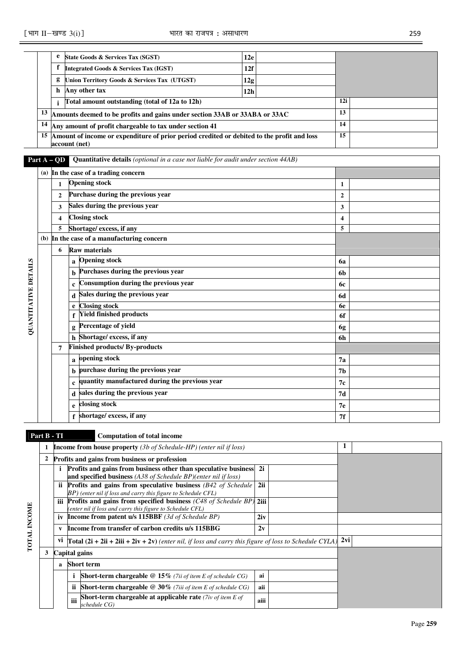|                      |    | e                       | State Goods & Services Tax (SGST)                                                                           | 12e |                |
|----------------------|----|-------------------------|-------------------------------------------------------------------------------------------------------------|-----|----------------|
|                      |    | f                       | <b>Integrated Goods &amp; Services Tax (IGST)</b>                                                           | 12f |                |
|                      |    | g                       | Union Territory Goods & Services Tax (UTGST)                                                                | 12g |                |
|                      |    | h                       | Any other tax                                                                                               | 12h |                |
|                      |    | $\mathbf i$             | Total amount outstanding (total of 12a to 12h)                                                              |     | 12i            |
|                      | 13 |                         | Amounts deemed to be profits and gains under section 33AB or 33ABA or 33AC                                  |     | 13             |
|                      | 14 |                         | Any amount of profit chargeable to tax under section 41                                                     |     | 14             |
|                      | 15 |                         | Amount of income or expenditure of prior period credited or debited to the profit and loss<br>account (net) |     | 15             |
|                      |    | Part A – QD             | Quantitative details (optional in a case not liable for audit under section 44AB)                           |     |                |
|                      |    |                         |                                                                                                             |     |                |
|                      |    |                         | (a) In the case of a trading concern                                                                        |     |                |
|                      |    | 1                       | <b>Opening stock</b>                                                                                        |     | 1              |
|                      |    | $\mathbf{2}$            | Purchase during the previous year                                                                           |     | $\overline{2}$ |
|                      |    | 3                       | Sales during the previous year                                                                              |     | 3              |
|                      |    | $\overline{\mathbf{4}}$ | <b>Closing stock</b>                                                                                        |     | 4              |
|                      |    | 5                       | Shortage/ excess, if any                                                                                    |     | 5              |
|                      |    |                         | (b) In the case of a manufacturing concern                                                                  |     |                |
|                      |    | 6                       | <b>Raw materials</b>                                                                                        |     |                |
|                      |    |                         | <b>Opening stock</b><br>a                                                                                   |     | 6a             |
|                      |    |                         | Purchases during the previous year<br>b.                                                                    |     | 6b             |
|                      |    |                         | Consumption during the previous year<br>$\mathbf c$                                                         |     | 6с             |
| QUANTITATIVE DETAILS |    |                         | Sales during the previous year<br>d                                                                         |     | 6d             |
|                      |    |                         | <b>Closing stock</b><br>e                                                                                   |     | 6e             |
|                      |    |                         | <b>Yield finished products</b>                                                                              |     | 6f             |
|                      |    |                         | Percentage of yield<br>g                                                                                    |     | 6g             |
|                      |    |                         | h Shortage/ excess, if any                                                                                  |     | 6h             |
|                      |    | 7                       | <b>Finished products/ By-products</b>                                                                       |     |                |
|                      |    |                         | opening stock<br>a                                                                                          |     | 7а             |
|                      |    |                         | purchase during the previous year<br>b.                                                                     |     | 7 <sub>b</sub> |
|                      |    |                         | quantity manufactured during the previous year<br>$\mathbf c$                                               |     | 7с             |
|                      |    |                         | sales during the previous year<br>d                                                                         |     | 7d             |
|                      |    |                         | closing stock<br>e                                                                                          |     | 7e             |

**TOTAL INCOME** 

TOTAL INCOME

QUANTITATIVE DETAILS

# **Part B - TI Computation of total income**

|   |              |     | <b>Income from house property</b> (3b of Schedule-HP) (enter nil if loss)                                                                     |      | 1   |  |
|---|--------------|-----|-----------------------------------------------------------------------------------------------------------------------------------------------|------|-----|--|
| 2 |              |     | <b>Profits and gains from business or profession</b>                                                                                          |      |     |  |
|   | 1            |     | <b>Profits and gains from business other than speculative business</b> 2i<br>and specified business $(A38 of Schedule BP)(enter nil if loss)$ |      |     |  |
|   | ii.          |     | Profits and gains from speculative business (B42 of Schedule<br>$BP$ ) (enter nil if loss and carry this figure to Schedule CFL)              | 2ii  |     |  |
|   | iii          |     | <b>Profits and gains from specified business</b> (C48 of Schedule BP) $2iii$<br>(enter nil if loss and carry this figure to Schedule CFL)     |      |     |  |
|   | iv           |     | <b>Income from patent u/s 115BBF</b> (3d of Schedule BP)                                                                                      | 2iv  |     |  |
|   | $\mathbf{v}$ |     | Income from transfer of carbon credits u/s 115BBG                                                                                             | 2v   |     |  |
|   |              |     | <b>vi</b> [Total $(2i + 2ii + 2iii + 2iv + 2v)$ (enter nil, if loss and carry this figure of loss to Schedule CYLA)                           |      | 2vi |  |
| 3 |              |     | Capital gains                                                                                                                                 |      |     |  |
|   | a            |     | <b>Short term</b>                                                                                                                             |      |     |  |
|   |              |     | <b>Short-term chargeable @ 15%</b> (7ii of item E of schedule CG)                                                                             | ai   |     |  |
|   |              | ii. | <b>Short-term chargeable</b> $@30\%$ (7iii of item E of schedule CG)                                                                          | aii  |     |  |
|   |              | iii | <b>Short-term chargeable at applicable rate</b> ( <i>7iv of item E of</i><br>schedule CG)                                                     | aiii |     |  |

**f shortage/ excess, if any 7f**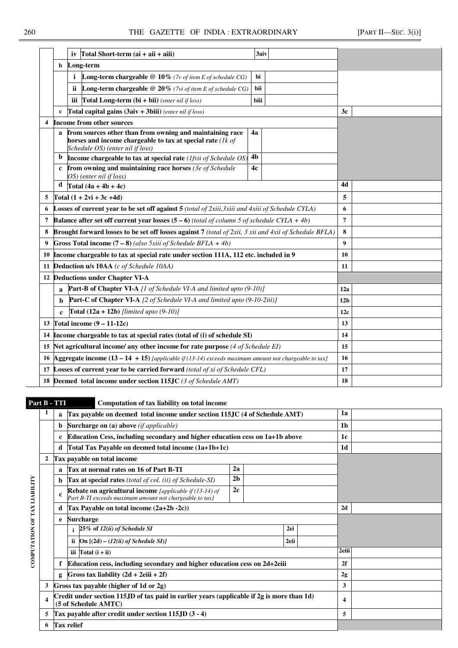|    |              |     | iv Total Short-term $(ai + ai + aiii)$                                                                                                                                | 3aiv |                 |  |
|----|--------------|-----|-----------------------------------------------------------------------------------------------------------------------------------------------------------------------|------|-----------------|--|
|    | b            |     | Long-term                                                                                                                                                             |      |                 |  |
|    |              |     | <b>Long-term chargeable</b> $@10\%$ (7v of item E of schedule CG)                                                                                                     | bi   |                 |  |
|    |              |     | <b>Long-term chargeable @ 20%</b> (7vi of item E of schedule CG)                                                                                                      | bii  |                 |  |
|    |              | iii | <b>Total Long-term (bi + bii)</b> (enter nil if loss)                                                                                                                 | biii |                 |  |
|    | $\mathbf c$  |     | Total capital gains $(3aiv + 3biii)$ (enter nil if loss)                                                                                                              |      | 3c              |  |
| 4  |              |     | Income from other sources                                                                                                                                             |      |                 |  |
|    | a            |     | from sources other than from owning and maintaining race<br>horses and income chargeable to tax at special rate $(lk \text{ of})$<br>Schedule OS) (enter nil if loss) | 4a   |                 |  |
|    |              |     | <b>b</b> Income chargeable to tax at special rate ( <i>lfvii of Schedule OS</i> )                                                                                     | 4b   |                 |  |
|    | $\mathbf{c}$ |     | from owning and maintaining race horses (3e of Schedule<br>OS) (enter nil if loss)                                                                                    | 4c   |                 |  |
|    | d            |     | Total $(4a + 4b + 4c)$                                                                                                                                                |      | 4d              |  |
| 5  |              |     | Total $(1 + 2vi + 3c +4d)$                                                                                                                                            |      | 5               |  |
| 6  |              |     | Losses of current year to be set off against 5 (total of 2xiii, 3xiii and 4xiii of Schedule CYLA)                                                                     |      | 6               |  |
| 7  |              |     | <b>Balance after set off current year losses (5 – 6)</b> (total of column 5 of schedule CYLA + 4b)                                                                    |      | $\overline{7}$  |  |
| 8  |              |     | <b>Brought forward losses to be set off losses against 7</b> (total of 2xii, 3 xii and 4xii of Schedule BFLA)                                                         |      | 8               |  |
| 9  |              |     | Gross Total income $(7-8)$ (also 5xiii of Schedule BFLA + 4b)                                                                                                         |      | 9               |  |
| 10 |              |     | Income chargeable to tax at special rate under section 111A, 112 etc. included in 9                                                                                   |      | 10              |  |
| 11 |              |     | Deduction u/s 10AA (c of Schedule 10AA)                                                                                                                               |      | 11              |  |
| 12 |              |     | <b>Deductions under Chapter VI-A</b>                                                                                                                                  |      |                 |  |
|    | $\mathbf{a}$ |     | <b>Part-B of Chapter VI-A [1 of Schedule VI-A and limited upto (9-10)]</b>                                                                                            |      | 12a             |  |
|    | b            |     | Part-C of Chapter VI-A [2 of Schedule VI-A and limited upto (9-10-2iii)]                                                                                              |      | 12 <sub>b</sub> |  |
|    | $\mathbf{c}$ |     | <b>Total</b> (12a + 12b) [limited upto $(9-10)$ ]                                                                                                                     |      | 12c             |  |
|    |              |     | 13 Total income $(9 - 11 - 12c)$                                                                                                                                      |      | 13              |  |
| 14 |              |     | Income chargeable to tax at special rates (total of (i) of schedule SI)                                                                                               |      | 14              |  |
| 15 |              |     | Net agricultural income/ any other income for rate purpose (4 of Schedule EI)                                                                                         |      | 15              |  |
| 16 |              |     | <b>Aggregate income (13 – 14 + 15)</b> [applicable if (13-14) exceeds maximum amount not chargeable to tax]                                                           |      | 16              |  |
| 17 |              |     | Losses of current year to be carried forward (total of xi of Schedule CFL)                                                                                            |      | 17              |  |
|    |              |     | 18 Deemed total income under section 115JC (3 of Schedule AMT)                                                                                                        |      | 18              |  |

## **Part B - TTI Computation of tax liability on total income**

|                  | 1 | a | Tax payable on deemed total income under section 115JC (4 of Schedule AMT)                                           |                |      | 1a             |  |
|------------------|---|---|----------------------------------------------------------------------------------------------------------------------|----------------|------|----------------|--|
|                  |   | b | <b>Surcharge on (a) above (if applicable)</b>                                                                        |                |      | 1b             |  |
|                  |   |   | Education Cess, including secondary and higher education cess on 1a+1b above                                         |                |      | 1c             |  |
|                  |   | d | Total Tax Payable on deemed total income (1a+1b+1c)                                                                  |                |      | 1 <sub>d</sub> |  |
|                  | 2 |   | Tax payable on total income                                                                                          |                |      |                |  |
|                  |   | a | Tax at normal rates on 16 of Part B-TI                                                                               | 2a             |      |                |  |
|                  |   | b | <b>Tax at special rates</b> (total of col. (ii) of Schedule-SI)                                                      | 2 <sub>b</sub> |      |                |  |
| OF TAX LIABILITY |   |   | Rebate on agricultural income [applicable if $(13-14)$ of<br>Part B-TI exceeds maximum amount not chargeable to tax] | 2c             |      |                |  |
|                  |   | d | Tax Payable on total income $(2a+2b-2c)$                                                                             |                |      | 2d             |  |
|                  |   | e | <b>Surcharge</b>                                                                                                     |                |      |                |  |
|                  |   |   | $25\%$ of $12$ (ii) of Schedule SI                                                                                   |                | 2ei  |                |  |
| COMPUTATION      |   |   | ii $\text{On } [(2d) - (12(ii) \text{ of Schedule SI})]$                                                             |                | 2eii |                |  |
|                  |   |   | iii $Total(i + ii)$                                                                                                  |                |      | 2eiii          |  |
|                  |   |   | Education cess, including secondary and higher education cess on 2d+2eiii                                            |                |      | 2f             |  |
|                  |   |   | Gross tax liability $(2d + 2eiii + 2f)$                                                                              |                |      | 2g             |  |
|                  | 3 |   | Gross tax payable (higher of 1d or 2g)                                                                               |                |      | 3              |  |
|                  | 4 |   | Credit under section 115JD of tax paid in earlier years (applicable if 2g is more than 1d)<br>(5 of Schedule AMTC)   |                |      | 4              |  |
|                  | 5 |   | Tax payable after credit under section 115JD (3 - 4)                                                                 |                |      | 5              |  |
|                  | 6 |   | <b>Tax relief</b>                                                                                                    |                |      |                |  |
|                  |   |   |                                                                                                                      |                |      |                |  |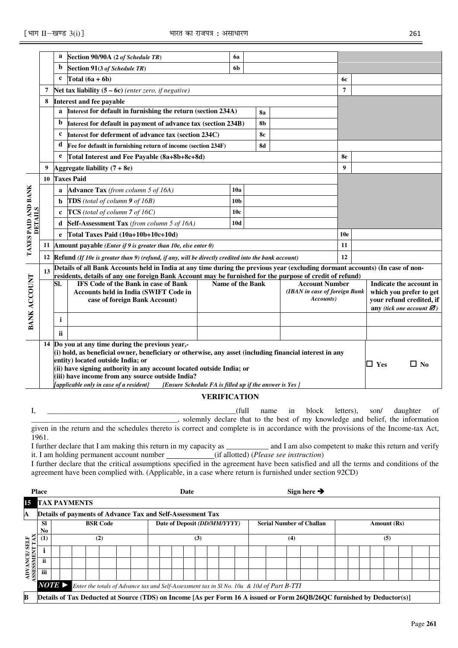|                                |    | a           | Section 90/90A (2 of Schedule TR)                                                                                             |                         | 6a              |           |                               |                 |            |                                                |
|--------------------------------|----|-------------|-------------------------------------------------------------------------------------------------------------------------------|-------------------------|-----------------|-----------|-------------------------------|-----------------|------------|------------------------------------------------|
|                                |    | b           | Section 91(3 of Schedule TR)                                                                                                  |                         | 6 <sub>b</sub>  |           |                               |                 |            |                                                |
|                                |    | $\mathbf c$ | Total $(6a + 6b)$                                                                                                             |                         |                 |           |                               | 6с              |            |                                                |
|                                | 7  |             | Net tax liability $(5 - 6c)$ (enter zero, if negative)                                                                        |                         |                 |           |                               | 7               |            |                                                |
|                                | 8  |             | Interest and fee payable                                                                                                      |                         |                 |           |                               |                 |            |                                                |
|                                |    | a           | Interest for default in furnishing the return (section 234A)                                                                  |                         |                 | 8a        |                               |                 |            |                                                |
|                                |    | b           | Interest for default in payment of advance tax (section 234B)                                                                 |                         |                 | 8b        |                               |                 |            |                                                |
|                                |    | c           | Interest for deferment of advance tax (section 234C)                                                                          |                         |                 | <b>8c</b> |                               |                 |            |                                                |
|                                |    | d           | Fee for default in furnishing return of income (section 234F)                                                                 |                         |                 | 8d        |                               |                 |            |                                                |
|                                |    | e           | Total Interest and Fee Payable (8a+8b+8c+8d)                                                                                  |                         |                 |           |                               | 8e              |            |                                                |
|                                | 9  |             | Aggregate liability $(7 + 8e)$                                                                                                |                         |                 |           |                               | 9               |            |                                                |
|                                | 10 |             | <b>Taxes Paid</b>                                                                                                             |                         |                 |           |                               |                 |            |                                                |
|                                |    | a           | <b>Advance Tax</b> (from column 5 of 16A)                                                                                     |                         | 10a             |           |                               |                 |            |                                                |
|                                |    | b           | TDS (total of column 9 of 16B)                                                                                                |                         | 10 <sub>b</sub> |           |                               |                 |            |                                                |
|                                |    | $\mathbf c$ | $TCS$ (total of column 7 of 16C)                                                                                              |                         | 10c             |           |                               |                 |            |                                                |
|                                |    | d           | Self-Assessment Tax (from column 5 of 16A)                                                                                    |                         | 10d             |           |                               |                 |            |                                                |
|                                |    | e           | Total Taxes Paid (10a+10b+10c+10d)                                                                                            |                         |                 |           |                               | 10 <sub>e</sub> |            |                                                |
| TAXES PAID AND BANK<br>DETAILS | 11 |             | Amount payable ( <i>Enter if</i> $9$ is greater than $10e$ , else enter $0$ )                                                 |                         |                 |           |                               | 11              |            |                                                |
|                                | 12 |             | <b>Refund</b> (If 10e is greater than 9) (refund, if any, will be directly credited into the bank account)                    |                         |                 |           |                               | 12              |            |                                                |
|                                | 13 |             | Details of all Bank Accounts held in India at any time during the previous year (excluding dormant accounts) (In case of non- |                         |                 |           |                               |                 |            |                                                |
|                                |    |             | residents, details of any one foreign Bank Account may be furnished for the purpose of credit of refund)                      |                         |                 |           |                               |                 |            |                                                |
|                                |    | SI.         | <b>IFS Code of the Bank in case of Bank</b>                                                                                   | <b>Name of the Bank</b> |                 |           | <b>Account Number</b>         |                 |            | Indicate the account in                        |
|                                |    |             | Accounts held in India (SWIFT Code in                                                                                         |                         |                 |           | (IBAN in case of foreign Bank |                 |            | which you prefer to get                        |
|                                |    |             | case of foreign Bank Account)                                                                                                 |                         |                 |           | Accounts)                     |                 |            | your refund credited, if                       |
|                                |    |             |                                                                                                                               |                         |                 |           |                               |                 |            | any (tick one account $\mathbf{\varnothing}$ ) |
| BANK ACCOUNT                   |    | i           |                                                                                                                               |                         |                 |           |                               |                 |            |                                                |
|                                |    | <b>ii</b>   |                                                                                                                               |                         |                 |           |                               |                 |            |                                                |
|                                | 14 |             | Do you at any time during the previous year,-                                                                                 |                         |                 |           |                               |                 |            |                                                |
|                                |    |             | (i) hold, as beneficial owner, beneficiary or otherwise, any asset (including financial interest in any                       |                         |                 |           |                               |                 |            |                                                |
|                                |    |             | entity) located outside India; or                                                                                             |                         |                 |           |                               |                 |            |                                                |
|                                |    |             | (ii) have signing authority in any account located outside India; or                                                          |                         |                 |           |                               |                 | $\Box$ Yes | $\Box$ No                                      |
|                                |    |             | (iii) have income from any source outside India?                                                                              |                         |                 |           |                               |                 |            |                                                |
|                                |    |             | [applicable only in case of a resident]<br>[Ensure Schedule FA is filled up if the answer is Yes]                             |                         |                 |           |                               |                 |            |                                                |
|                                |    |             |                                                                                                                               |                         |                 |           |                               |                 |            |                                                |

### **VERIFICATION**

I, \_\_\_\_\_\_\_\_\_\_\_\_\_\_\_\_\_\_\_\_\_\_\_\_\_\_\_\_\_\_\_\_\_\_\_\_\_\_\_\_\_\_\_\_\_\_\_\_\_(full name in block letters), son/ daughter of \_\_\_\_\_\_\_\_\_\_\_\_\_\_\_\_\_\_\_\_\_\_\_\_\_\_\_\_\_\_\_\_\_\_\_\_\_\_, solemnly declare that to the best of my knowledge and belief, the information given in the return and the schedules thereto is correct and complete is in accordance with the provisions of the Income-tax Act, 1961.

I further declare that I am making this return in my capacity as \_\_\_\_\_\_\_\_\_\_\_ and I am also competent to make this return and verify it. I am holding permanent account number (if allotted) (*Please see instruction*)

I further declare that the critical assumptions specified in the agreement have been satisfied and all the terms and conditions of the agreement have been complied with. (Applicable, in a case where return is furnished under section 92CD)

|                               | <b>Place</b>          |  |  |                 |                                                            |  | Date |     |                              |  |                                                                                           |     | Sign here $\rightarrow$ |                                                                                                                         |  |             |  |  |
|-------------------------------|-----------------------|--|--|-----------------|------------------------------------------------------------|--|------|-----|------------------------------|--|-------------------------------------------------------------------------------------------|-----|-------------------------|-------------------------------------------------------------------------------------------------------------------------|--|-------------|--|--|
| <b>15 TAX PAYMENTS</b>        |                       |  |  |                 |                                                            |  |      |     |                              |  |                                                                                           |     |                         |                                                                                                                         |  |             |  |  |
| A                             |                       |  |  |                 | Details of payments of Advance Tax and Self-Assessment Tax |  |      |     |                              |  |                                                                                           |     |                         |                                                                                                                         |  |             |  |  |
|                               | Sl<br>N <sub>0</sub>  |  |  | <b>BSR Code</b> |                                                            |  |      |     | Date of Deposit (DD/MM/YYYY) |  | <b>Serial Number of Challan</b>                                                           |     |                         |                                                                                                                         |  | Amount (Rs) |  |  |
|                               |                       |  |  | (2)             |                                                            |  |      | (3) |                              |  |                                                                                           | (4) |                         |                                                                                                                         |  | (5)         |  |  |
|                               |                       |  |  |                 |                                                            |  |      |     |                              |  |                                                                                           |     |                         |                                                                                                                         |  |             |  |  |
| ADVANCE/SELF<br>SSESSMENT TAX | ji                    |  |  |                 |                                                            |  |      |     |                              |  |                                                                                           |     |                         |                                                                                                                         |  |             |  |  |
|                               | iii                   |  |  |                 |                                                            |  |      |     |                              |  |                                                                                           |     |                         |                                                                                                                         |  |             |  |  |
|                               | $NOTE \triangleright$ |  |  |                 |                                                            |  |      |     |                              |  | Enter the totals of Advance tax and Self-Assessment tax in Sl No. 10a & 10d of Part B-TTI |     |                         |                                                                                                                         |  |             |  |  |
| в                             |                       |  |  |                 |                                                            |  |      |     |                              |  |                                                                                           |     |                         | [Details of Tax Deducted at Source (TDS) on Income [As per Form 16 A issued or Form 26QB/26QC furnished by Deductor(s)] |  |             |  |  |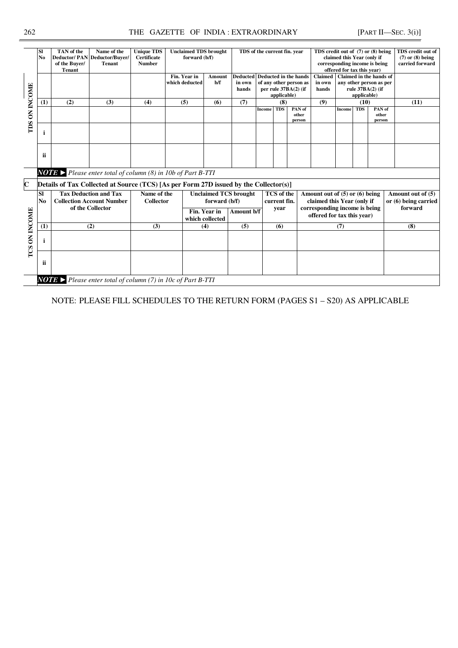|                      | SI<br>N <sub>0</sub> | TAN of the<br>of the Buver/<br><b>Tenant</b> | Name of the<br>Deductor/PAN Deductor/Buyer/<br><b>Tenant</b>                          | <b>Unique TDS</b><br><b>Certificate</b><br><b>Number</b> | forward (b/f)                  | <b>Unclaimed TDS brought</b>                  | TDS of the current fin. year       |                 |                                   |                                                                                  |                                                                  | claimed this Year (only if<br>offered for tax this year) |                    | TDS credit out of (7) or (8) being<br>corresponding income is being    | TDS credit out of<br>$(7)$ or $(8)$ being<br>carried forward |
|----------------------|----------------------|----------------------------------------------|---------------------------------------------------------------------------------------|----------------------------------------------------------|--------------------------------|-----------------------------------------------|------------------------------------|-----------------|-----------------------------------|----------------------------------------------------------------------------------|------------------------------------------------------------------|----------------------------------------------------------|--------------------|------------------------------------------------------------------------|--------------------------------------------------------------|
| TDS ON INCOME        |                      |                                              |                                                                                       |                                                          | Fin. Year in<br>which deducted | <b>Amount</b><br>b/f                          | <b>Deducted</b><br>in own<br>hands |                 | applicable)                       | <b>Deducted in the hands</b><br>of any other person as<br>per rule $37BA(2)$ (if | <b>Claimed</b><br>in own<br>hands                                |                                                          | applicable)        | Claimed in the hands of<br>any other person as per<br>rule 37BA(2) (if |                                                              |
|                      | (1)                  | (2)                                          | (3)                                                                                   | (4)                                                      | (5)                            | (6)                                           | (7)                                | <b>Income</b> I | (8)<br><b>TDS</b>                 | PAN of                                                                           | (9)                                                              | <b>Income</b>                                            | (10)<br><b>TDS</b> | PAN of                                                                 | (11)                                                         |
|                      |                      |                                              |                                                                                       |                                                          |                                |                                               |                                    |                 |                                   | other<br>person                                                                  |                                                                  |                                                          |                    | other<br>person                                                        |                                                              |
|                      |                      |                                              |                                                                                       |                                                          |                                |                                               |                                    |                 |                                   |                                                                                  |                                                                  |                                                          |                    |                                                                        |                                                              |
|                      | ii                   |                                              |                                                                                       |                                                          |                                |                                               |                                    |                 |                                   |                                                                                  |                                                                  |                                                          |                    |                                                                        |                                                              |
|                      |                      |                                              | <b>NOTE</b> Please enter total of column (8) in 10b of Part B-TTI                     |                                                          |                                |                                               |                                    |                 |                                   |                                                                                  |                                                                  |                                                          |                    |                                                                        |                                                              |
| $\mathbf C$          |                      |                                              | Details of Tax Collected at Source (TCS) [As per Form 27D issued by the Collector(s)] |                                                          |                                |                                               |                                    |                 |                                   |                                                                                  |                                                                  |                                                          |                    |                                                                        |                                                              |
|                      | SI<br>N <sub>0</sub> |                                              | <b>Tax Deduction and Tax</b><br><b>Collection Account Number</b><br>of the Collector  | Name of the<br>Collector                                 |                                | <b>Unclaimed TCS brought</b><br>forward (b/f) |                                    |                 | <b>TCS</b> of the<br>current fin. |                                                                                  | Amount out of $(5)$ or $(6)$ being<br>claimed this Year (only if |                                                          |                    |                                                                        | Amount out of (5)<br>or (6) being carried<br>forward         |
|                      |                      |                                              |                                                                                       |                                                          |                                | Fin. Year in<br>which collected               | Amount b/f                         |                 | year                              |                                                                                  | corresponding income is being<br>offered for tax this year)      |                                                          |                    |                                                                        |                                                              |
|                      | (1)                  |                                              | (2)                                                                                   | (3)                                                      |                                | (4)                                           | (5)                                |                 | (6)                               |                                                                                  |                                                                  | (7)                                                      |                    |                                                                        | (8)                                                          |
| <b>TCS ON INCOME</b> |                      |                                              |                                                                                       |                                                          |                                |                                               |                                    |                 |                                   |                                                                                  |                                                                  |                                                          |                    |                                                                        |                                                              |
|                      | ii                   |                                              |                                                                                       |                                                          |                                |                                               |                                    |                 |                                   |                                                                                  |                                                                  |                                                          |                    |                                                                        |                                                              |
|                      |                      |                                              | <b>NOTE</b> Please enter total of column (7) in 10c of Part B-TTI                     |                                                          |                                |                                               |                                    |                 |                                   |                                                                                  |                                                                  |                                                          |                    |                                                                        |                                                              |

NOTE: PLEASE FILL SCHEDULES TO THE RETURN FORM (PAGES S1 – S20) AS APPLICABLE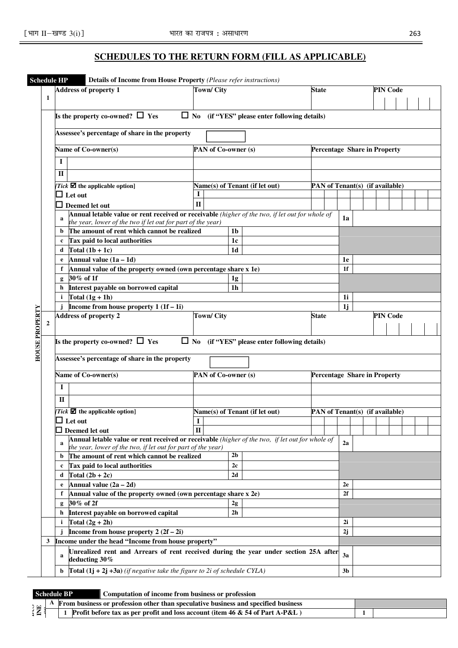## **SCHEDULES TO THE RETURN FORM (FILL AS APPLICABLE)**

| <b>Schedule HP</b>    | <b>Details of Income from House Property (Please refer instructions)</b>                              |                     |                                                     |                                     |                |  |                 |  |  |  |
|-----------------------|-------------------------------------------------------------------------------------------------------|---------------------|-----------------------------------------------------|-------------------------------------|----------------|--|-----------------|--|--|--|
|                       | Address of property 1                                                                                 | <b>Town/City</b>    |                                                     | <b>State</b>                        |                |  | <b>PIN Code</b> |  |  |  |
| 1                     |                                                                                                       |                     |                                                     |                                     |                |  |                 |  |  |  |
|                       | Is the property co-owned? $\Box$ Yes                                                                  |                     | $\Box$ No (if "YES" please enter following details) |                                     |                |  |                 |  |  |  |
|                       |                                                                                                       |                     |                                                     |                                     |                |  |                 |  |  |  |
|                       | Assessee's percentage of share in the property                                                        |                     |                                                     |                                     |                |  |                 |  |  |  |
|                       | Name of Co-owner(s)                                                                                   | PAN of Co-owner (s) |                                                     | <b>Percentage Share in Property</b> |                |  |                 |  |  |  |
|                       | 1                                                                                                     |                     |                                                     |                                     |                |  |                 |  |  |  |
|                       | $\mathbf{I}$                                                                                          |                     |                                                     |                                     |                |  |                 |  |  |  |
|                       | <i>[Tick</i> $\blacksquare$ the applicable option]                                                    |                     | Name(s) of Tenant (if let out)                      | PAN of Tenant(s) (if available)     |                |  |                 |  |  |  |
|                       | $\Box$ Let out                                                                                        |                     |                                                     |                                     |                |  |                 |  |  |  |
|                       | Deemed let out                                                                                        | П                   |                                                     |                                     |                |  |                 |  |  |  |
|                       | Annual letable value or rent received or receivable (higher of the two, if let out for whole of<br>a  |                     |                                                     |                                     | 1a             |  |                 |  |  |  |
|                       | the year, lower of the two if let out for part of the year)                                           |                     |                                                     |                                     |                |  |                 |  |  |  |
|                       | The amount of rent which cannot be realized<br>b                                                      |                     | 1 <sub>b</sub>                                      |                                     |                |  |                 |  |  |  |
|                       | Tax paid to local authorities<br>$\mathbf c$<br>Total $(1b + 1c)$<br>d                                |                     | 1 <sub>c</sub><br>1 <sub>d</sub>                    |                                     |                |  |                 |  |  |  |
|                       | Annual value $(1a - 1d)$<br>e                                                                         |                     |                                                     |                                     | 1e             |  |                 |  |  |  |
|                       | Annual value of the property owned (own percentage share x 1e)<br>f                                   |                     |                                                     |                                     | 1 <sub>f</sub> |  |                 |  |  |  |
|                       | 30% of 1f<br>g                                                                                        |                     | 1g                                                  |                                     |                |  |                 |  |  |  |
|                       | Interest payable on borrowed capital<br>h                                                             |                     | 1 <sub>h</sub>                                      |                                     |                |  |                 |  |  |  |
|                       | Total $(1g + 1h)$<br>i                                                                                |                     |                                                     |                                     | 1 <sub>i</sub> |  |                 |  |  |  |
|                       | Income from house property $1(1f - 1i)$                                                               |                     |                                                     |                                     | 1j             |  |                 |  |  |  |
|                       | <b>Address of property 2</b>                                                                          | <b>Town/City</b>    |                                                     | <b>PIN Code</b><br><b>State</b>     |                |  |                 |  |  |  |
| $\overline{2}$        |                                                                                                       |                     |                                                     |                                     |                |  |                 |  |  |  |
|                       | Is the property co-owned? $\Box$ Yes                                                                  |                     | $\Box$ No (if "YES" please enter following details) |                                     |                |  |                 |  |  |  |
| <b>HOUSE PROPERTY</b> |                                                                                                       |                     |                                                     |                                     |                |  |                 |  |  |  |
|                       | Assessee's percentage of share in the property                                                        |                     |                                                     |                                     |                |  |                 |  |  |  |
|                       | Name of Co-owner(s)                                                                                   | PAN of Co-owner (s) |                                                     | <b>Percentage Share in Property</b> |                |  |                 |  |  |  |
|                       | $\bf{I}$                                                                                              |                     |                                                     |                                     |                |  |                 |  |  |  |
|                       | $\mathbf{H}$                                                                                          |                     |                                                     |                                     |                |  |                 |  |  |  |
|                       | Tick $\blacksquare$ the applicable option]                                                            |                     | Name(s) of Tenant (if let out)                      | PAN of Tenant(s) (if available)     |                |  |                 |  |  |  |
|                       | $\Box$ Let out                                                                                        | $\mathbf{I}$        |                                                     |                                     |                |  |                 |  |  |  |
|                       | $\Box$ Deemed let out                                                                                 | $\mathbf{I}$        |                                                     |                                     |                |  |                 |  |  |  |
|                       | Annual letable value or rent received or receivable (higher of the two, if let out for whole of       |                     |                                                     |                                     | 2a             |  |                 |  |  |  |
|                       | a<br>the year, lower of the two, if let out for part of the year)                                     |                     |                                                     |                                     |                |  |                 |  |  |  |
|                       | The amount of rent which cannot be realized<br>b                                                      |                     | 2 <sub>b</sub>                                      |                                     |                |  |                 |  |  |  |
|                       | Tax paid to local authorities<br>c                                                                    |                     | 2c                                                  |                                     |                |  |                 |  |  |  |
|                       | Total $(2b + 2c)$<br>d                                                                                |                     | 2d                                                  |                                     |                |  |                 |  |  |  |
|                       | Annual value $(2a - 2d)$<br>e                                                                         |                     |                                                     |                                     | 2e             |  |                 |  |  |  |
|                       | Annual value of the property owned (own percentage share x 2e)<br>f                                   |                     |                                                     |                                     | 2f             |  |                 |  |  |  |
|                       | 30% of 2f<br>g<br>Interest payable on borrowed capital                                                |                     | 2g                                                  |                                     |                |  |                 |  |  |  |
|                       | h<br>Total $(2g + 2h)$<br>i                                                                           |                     | 2 <sub>h</sub>                                      |                                     | 2i             |  |                 |  |  |  |
|                       | Income from house property $2(2f - 2i)$                                                               |                     |                                                     |                                     | 2j             |  |                 |  |  |  |
| 3                     | Income under the head "Income from house property"                                                    |                     |                                                     |                                     |                |  |                 |  |  |  |
|                       | Unrealized rent and Arrears of rent received during the year under section 25A after<br>a             |                     |                                                     |                                     | 3a             |  |                 |  |  |  |
|                       | deducting 30%<br><b>Total (1j + 2j +3a)</b> (if negative take the figure to 2i of schedule CYLA)<br>b |                     | 3 <sub>b</sub>                                      |                                     |                |  |                 |  |  |  |
|                       |                                                                                                       |                     |                                                     |                                     |                |  |                 |  |  |  |

| Schedule BP |  | Computation of income from business or profession                                            |  |
|-------------|--|----------------------------------------------------------------------------------------------|--|
|             |  | From business or profession other than speculative business and specified business           |  |
|             |  | <b>Profit before tax as per profit and loss account (item 46 &amp; 54 of Part A-P&amp;L)</b> |  |
|             |  |                                                                                              |  |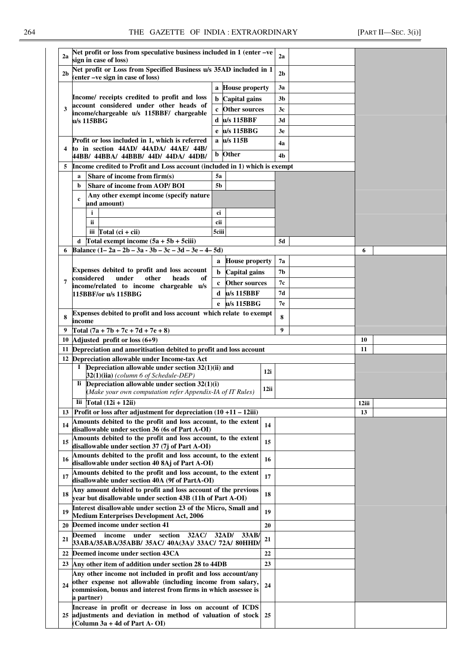| 2a             | Net profit or loss from speculative business included in 1 (enter -ve                                            |                | 2a                     |      |                  |       |  |
|----------------|------------------------------------------------------------------------------------------------------------------|----------------|------------------------|------|------------------|-------|--|
|                | sign in case of loss)                                                                                            |                |                        |      |                  |       |  |
| 2 <sub>b</sub> | Net profit or Loss from Specified Business u/s 35AD included in 1                                                |                |                        |      | 2 <sub>b</sub>   |       |  |
|                | (enter -ve sign in case of loss)                                                                                 |                |                        |      |                  |       |  |
|                |                                                                                                                  |                | a House property       |      | 3a               |       |  |
|                | Income/ receipts credited to profit and loss                                                                     |                | <b>b</b> Capital gains |      | 3 <sub>b</sub>   |       |  |
| 3              | account considered under other heads of<br>income/chargeable u/s 115BBF/ chargeable                              | $\mathbf{c}$   | <b>Other sources</b>   |      | 3c               |       |  |
|                | u/s 115BBG                                                                                                       |                | $d$ $u/s$ 115BBF       |      | 3d               |       |  |
|                |                                                                                                                  | e              | $u/s$ 115 $BBG$        |      | 3e               |       |  |
|                | Profit or loss included in 1, which is referred                                                                  | a              | $u/s$ 115B             |      | 4a               |       |  |
| 4              | to in section 44AD/ 44ADA/ 44AE/ 44B/                                                                            |                |                        |      |                  |       |  |
|                | 44BB/ 44BBA/ 44BBB/ 44D/ 44DA/ 44DB/                                                                             |                | <b>b</b> Other         |      | 4 <sub>b</sub>   |       |  |
| 5              | Income credited to Profit and Loss account (included in 1) which is exempt                                       |                |                        |      |                  |       |  |
|                | Share of income from firm(s)<br>a                                                                                | 5а             |                        |      |                  |       |  |
|                | Share of income from AOP/BOI<br>b                                                                                | 5 <sub>b</sub> |                        |      |                  |       |  |
|                | Any other exempt income (specify nature<br>$\mathbf c$                                                           |                |                        |      |                  |       |  |
|                | and amount)                                                                                                      |                |                        |      |                  |       |  |
|                | i                                                                                                                | ci             |                        |      |                  |       |  |
|                | ii                                                                                                               | cii<br>5ciii   |                        |      |                  |       |  |
|                | iii $\Gamma$ otal (ci + cii)                                                                                     |                |                        |      |                  |       |  |
| 6              | Total exempt income $(5a + 5b + 5ciii)$<br>d<br>Balance $(1-2a-2b-3a-3b-3c-3d-3e-4-5d)$                          |                |                        |      | 5d               | 6     |  |
|                |                                                                                                                  |                |                        |      |                  |       |  |
|                |                                                                                                                  | a              | <b>House property</b>  |      | 7a               |       |  |
|                | Expenses debited to profit and loss account<br>considered<br>under<br>other<br>heads<br>оf                       | b              | <b>Capital gains</b>   |      | 7b               |       |  |
| $\overline{7}$ | income/related to income chargeable u/s                                                                          | $\mathbf c$    | <b>Other sources</b>   |      | 7с               |       |  |
|                | 115BBF/or u/s 115BBG                                                                                             | d              | u/s 115BBF             |      | 7d               |       |  |
|                |                                                                                                                  | e              | u/s 115BBG             |      | 7е               |       |  |
| 8              | Expenses debited to profit and loss account which relate to exempt                                               |                |                        |      | 8                |       |  |
|                | income                                                                                                           |                |                        |      |                  |       |  |
| 9              | Total $(7a + 7b + 7c + 7d + 7e + 8)$                                                                             |                |                        |      | $\boldsymbol{9}$ |       |  |
|                | 10 Adjusted profit or loss $(6+9)$                                                                               |                |                        |      |                  | 10    |  |
| 11             | Depreciation and amoritisation debited to profit and loss account                                                |                |                        |      |                  | 11    |  |
|                | 12 Depreciation allowable under Income-tax Act<br>Depreciation allowable under section $32(1)(ii)$ and<br>Ι.     |                |                        |      |                  |       |  |
|                | $32(1)(ii)$ (column 6 of Schedule-DEP)                                                                           |                |                        | 12i  |                  |       |  |
|                | Ii Depreciation allowable under section $32(1)(i)$                                                               |                |                        |      |                  |       |  |
|                | (Make your own computation refer Appendix-IA of IT Rules)                                                        |                |                        | 12ii |                  |       |  |
|                | Iii $\Gamma$ otal $(12i + 12ii)$                                                                                 |                |                        |      |                  | 12iii |  |
| 13             | Profit or loss after adjustment for depreciation $(10 + 11 - 12iii)$                                             |                |                        |      |                  | 13    |  |
| 14             | Amounts debited to the profit and loss account, to the extent                                                    |                |                        | 14   |                  |       |  |
|                | disallowable under section 36 (6s of Part A-OI)                                                                  |                |                        |      |                  |       |  |
| 15             | Amounts debited to the profit and loss account, to the extent<br>disallowable under section 37 (7j of Part A-OI) |                |                        | 15   |                  |       |  |
|                | Amounts debited to the profit and loss account, to the extent                                                    |                |                        |      |                  |       |  |
| 16             | disallowable under section 40 8Aj of Part A-OI)                                                                  |                |                        | 16   |                  |       |  |
| 17             | Amounts debited to the profit and loss account, to the extent                                                    |                |                        | 17   |                  |       |  |
|                | disallowable under section 40A (9f of PartA-OI)                                                                  |                |                        |      |                  |       |  |
| 18             | Any amount debited to profit and loss account of the previous                                                    |                |                        | 18   |                  |       |  |
|                | year but disallowable under section 43B (11h of Part A-OI)                                                       |                |                        |      |                  |       |  |
| 19             | Interest disallowable under section 23 of the Micro, Small and                                                   |                |                        | 19   |                  |       |  |
| 20             | <b>Medium Enterprises Development Act, 2006</b><br>Deemed income under section 41                                |                |                        | 20   |                  |       |  |
|                | under<br>income<br>section<br>32AC/<br>Deemed                                                                    | 32AD/          | 33AB/                  |      |                  |       |  |
| 21             | 33ABA/35ABA/35ABB/ 35AC/ 40A(3A)/ 33AC/ 72A/ 80HHD/                                                              |                |                        | 21   |                  |       |  |
| 22             | Deemed income under section 43CA                                                                                 |                |                        | 22   |                  |       |  |
|                | 23 Any other item of addition under section 28 to 44DB                                                           |                |                        | 23   |                  |       |  |
|                | Any other income not included in profit and loss account/any                                                     |                |                        |      |                  |       |  |
|                | other expense not allowable (including income from salary,<br>24                                                 |                |                        |      |                  |       |  |
|                | commission, bonus and interest from firms in which assessee is                                                   |                |                        | 24   |                  |       |  |
|                | a partner)                                                                                                       |                |                        |      |                  |       |  |
|                | Increase in profit or decrease in loss on account of ICDS                                                        |                |                        |      |                  |       |  |
|                | 25 adjustments and deviation in method of valuation of stock 25<br>Column 3a + 4d of Part A-OI)                  |                |                        |      |                  |       |  |
|                |                                                                                                                  |                |                        |      |                  |       |  |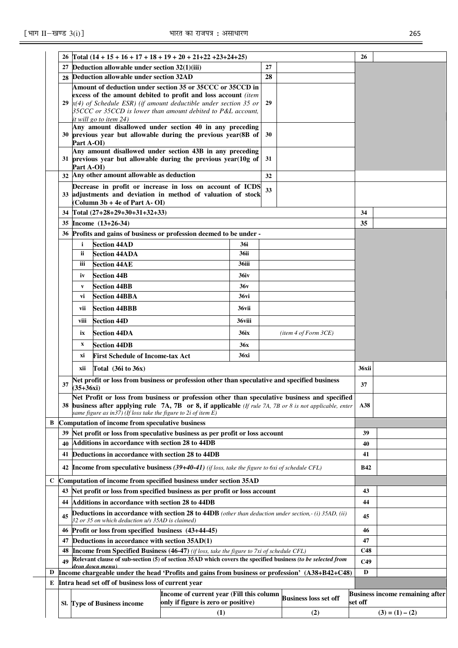$\overline{\phantom{0}}$ 

|              |                                                     | 26 Total $(14 + 15 + 16 + 17 + 18 + 19 + 20 + 21 + 22 + 23 + 24 + 25)$                                            |                                                                                                          |    |                                        | 26      |  |
|--------------|-----------------------------------------------------|-------------------------------------------------------------------------------------------------------------------|----------------------------------------------------------------------------------------------------------|----|----------------------------------------|---------|--|
|              |                                                     | 27 Deduction allowable under section $32(1)(iii)$                                                                 |                                                                                                          | 27 |                                        |         |  |
|              | 28                                                  | Deduction allowable under section 32AD                                                                            |                                                                                                          | 28 |                                        |         |  |
|              |                                                     |                                                                                                                   | Amount of deduction under section 35 or 35CCC or 35CCD in                                                |    |                                        |         |  |
|              |                                                     |                                                                                                                   | excess of the amount debited to profit and loss account (item                                            |    |                                        |         |  |
|              |                                                     |                                                                                                                   | 29 $x(4)$ of Schedule ESR) (if amount deductible under section 35 or                                     | 29 |                                        |         |  |
|              |                                                     |                                                                                                                   | 35CCC or 35CCD is lower than amount debited to P&L account,                                              |    |                                        |         |  |
|              |                                                     | it will go to item 24)                                                                                            | Any amount disallowed under section 40 in any preceding                                                  |    |                                        |         |  |
|              |                                                     |                                                                                                                   | 30 previous year but allowable during the previous year(8B of                                            | 30 |                                        |         |  |
|              |                                                     | Part A-OI)                                                                                                        |                                                                                                          |    |                                        |         |  |
|              |                                                     |                                                                                                                   | Any amount disallowed under section 43B in any preceding                                                 |    |                                        |         |  |
|              |                                                     |                                                                                                                   | 31 previous year but allowable during the previous year $(10g \text{ of }$                               | 31 |                                        |         |  |
|              |                                                     | Part A-OI)<br>32 Any other amount allowable as deduction                                                          |                                                                                                          | 32 |                                        |         |  |
|              |                                                     |                                                                                                                   | Decrease in profit or increase in loss on account of ICDS                                                |    |                                        |         |  |
|              |                                                     |                                                                                                                   | 33 adjustments and deviation in method of valuation of stock                                             | 33 |                                        |         |  |
|              |                                                     | (Column $3b + 4e$ of Part A-OI)                                                                                   |                                                                                                          |    |                                        |         |  |
|              |                                                     | 34 Total (27+28+29+30+31+32+33)                                                                                   |                                                                                                          |    |                                        | 34      |  |
|              |                                                     | 35 Income (13+26-34)                                                                                              |                                                                                                          |    |                                        | 35      |  |
|              |                                                     |                                                                                                                   | 36 Profits and gains of business or profession deemed to be under -                                      |    |                                        |         |  |
|              |                                                     | $\mathbf{i}$<br><b>Section 44AD</b>                                                                               | 36i                                                                                                      |    |                                        |         |  |
|              |                                                     | <b>Section 44ADA</b><br>ii                                                                                        | 36ii                                                                                                     |    |                                        |         |  |
|              |                                                     | <b>Section 44AE</b><br>iii                                                                                        | 36iii                                                                                                    |    |                                        |         |  |
|              |                                                     | <b>Section 44B</b><br>iv                                                                                          | 36iv                                                                                                     |    |                                        |         |  |
|              |                                                     |                                                                                                                   |                                                                                                          |    |                                        |         |  |
|              |                                                     | <b>Section 44BB</b><br>V                                                                                          | 36v                                                                                                      |    |                                        |         |  |
|              |                                                     | <b>Section 44BBA</b><br>vi                                                                                        | 36vi                                                                                                     |    |                                        |         |  |
|              |                                                     | <b>Section 44BBB</b><br>vii                                                                                       | 36vii                                                                                                    |    |                                        |         |  |
|              |                                                     | <b>Section 44D</b><br>viii                                                                                        | 36viii                                                                                                   |    |                                        |         |  |
|              |                                                     | <b>Section 44DA</b><br>ix                                                                                         | <b>36ix</b>                                                                                              |    | item 4 of Form 3CE)                    |         |  |
|              |                                                     | X<br><b>Section 44DB</b>                                                                                          | 36x                                                                                                      |    |                                        |         |  |
|              |                                                     | <b>First Schedule of Income-tax Act</b><br>хi                                                                     | <b>36xi</b>                                                                                              |    |                                        |         |  |
|              |                                                     | Total $(36i \text{ to } 36x)$<br>xii                                                                              |                                                                                                          |    |                                        | 36xii   |  |
|              |                                                     |                                                                                                                   | Net profit or loss from business or profession other than speculative and specified business             |    |                                        |         |  |
|              | 37                                                  | $(35+36xi)$                                                                                                       |                                                                                                          |    |                                        | 37      |  |
|              |                                                     |                                                                                                                   | Net Profit or loss from business or profession other than speculative business and specified             |    |                                        |         |  |
|              |                                                     | same figure as in37) (If loss take the figure to 2i of item E)                                                    | 38 business after applying rule 7A, 7B or 8, if applicable (If rule 7A, 7B or 8 is not applicable, enter |    |                                        | A38     |  |
| В            |                                                     | Computation of income from speculative business                                                                   |                                                                                                          |    |                                        |         |  |
|              | 39                                                  |                                                                                                                   | Net profit or loss from speculative business as per profit or loss account                               |    |                                        | 39      |  |
|              | 40                                                  | Additions in accordance with section 28 to 44DB                                                                   |                                                                                                          |    |                                        | 40      |  |
|              | 41                                                  | Deductions in accordance with section 28 to 44DB                                                                  |                                                                                                          |    |                                        | 41      |  |
|              |                                                     |                                                                                                                   |                                                                                                          |    |                                        |         |  |
|              |                                                     | <b>42 Income from speculative business (39+40-41)</b> (if loss, take the figure to 6xi of schedule CFL)           | <b>B42</b>                                                                                               |    |                                        |         |  |
| $\mathbf{C}$ |                                                     | Computation of income from specified business under section 35AD                                                  |                                                                                                          |    |                                        |         |  |
|              |                                                     | 43 Net profit or loss from specified business as per profit or loss account                                       | 43                                                                                                       |    |                                        |         |  |
|              | 44                                                  | Additions in accordance with section 28 to 44DB                                                                   |                                                                                                          |    |                                        | 44      |  |
|              | 45                                                  | Deductions in accordance with section 28 to 44DB (other than deduction under section,- (i) 35AD, (ii)             |                                                                                                          |    |                                        |         |  |
|              | 46                                                  | 32 or 35 on which deduction u/s 35AD is claimed)<br>Profit or loss from specified business (43+44-45)             |                                                                                                          |    |                                        |         |  |
|              | 47                                                  | Deductions in accordance with section 35AD(1)                                                                     |                                                                                                          |    |                                        |         |  |
|              | 48                                                  | <b>Income from Specified Business (46-47)</b> (if loss, take the figure to 7xi of schedule CFL)                   |                                                                                                          |    |                                        |         |  |
|              | 49                                                  | Relevant clause of sub-section (5) of section 35AD which covers the specified business (to be selected from       | <b>C48</b><br>C49                                                                                        |    |                                        |         |  |
| D            |                                                     | dron down menu)<br>Income chargeable under the head 'Profits and gains from business or profession' (A38+B42+C48) | D                                                                                                        |    |                                        |         |  |
| E            | Intra head set off of business loss of current year |                                                                                                                   |                                                                                                          |    |                                        |         |  |
|              |                                                     |                                                                                                                   |                                                                                                          |    | <b>Business income remaining after</b> |         |  |
|              |                                                     | Sl. Type of Business income                                                                                       | Income of current year (Fill this column<br>only if figure is zero or positive)                          |    | Business loss set off                  | set off |  |
|              |                                                     |                                                                                                                   | $(3) = (1) - (2)$                                                                                        |    |                                        |         |  |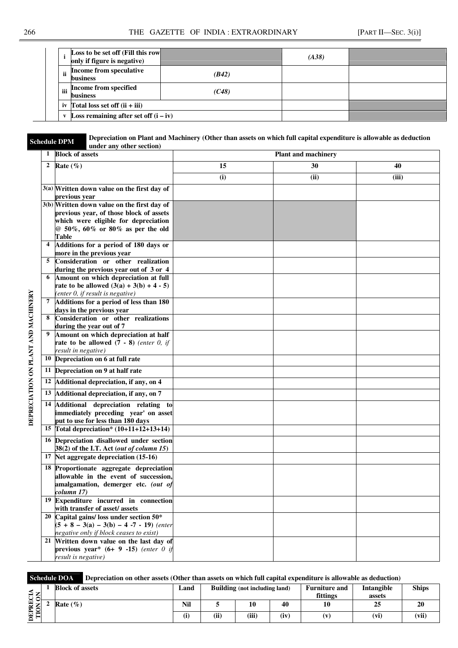|            | Loss to be set off (Fill this row<br>only if figure is negative) |       | (A38) |  |
|------------|------------------------------------------------------------------|-------|-------|--|
| <b>ii</b>  | <b>Income from speculative</b><br>business                       | (B42) |       |  |
| <b>iii</b> | <b>Income from specified</b><br>business                         | (C48) |       |  |
|            | iv Total loss set off $(ii + iii)$                               |       |       |  |
|            | Loss remaining after set off $(i - iv)$                          |       |       |  |

#### **Schedule DPM Depreciation on Plant and Machinery (Other than assets on which full capital expenditure is allowable as deduction under any other section)**

|                                     | 1              | <b>Block of assets</b><br><b>Plant and machinery</b>                                        |     |      |       |  |
|-------------------------------------|----------------|---------------------------------------------------------------------------------------------|-----|------|-------|--|
|                                     | $\overline{2}$ | Rate $(\%)$                                                                                 | 15  | 30   | 40    |  |
|                                     |                |                                                                                             | (i) | (ii) | (iii) |  |
|                                     |                | $3(a)$ Written down value on the first day of<br>previous year                              |     |      |       |  |
|                                     |                | 3(b) Written down value on the first day of                                                 |     |      |       |  |
|                                     |                | previous year, of those block of assets                                                     |     |      |       |  |
|                                     |                | which were eligible for depreciation                                                        |     |      |       |  |
|                                     |                | @ 50%, 60% or 80% as per the old<br>Table                                                   |     |      |       |  |
|                                     |                | 4 Additions for a period of 180 days or                                                     |     |      |       |  |
|                                     |                | more in the previous year                                                                   |     |      |       |  |
|                                     | 5              | Consideration or other realization                                                          |     |      |       |  |
|                                     |                | during the previous year out of 3 or 4<br><sup>6</sup> Amount on which depreciation at full |     |      |       |  |
|                                     |                | rate to be allowed $(3(a) + 3(b) + 4 - 5)$                                                  |     |      |       |  |
|                                     |                | (enter 0, if result is negative)                                                            |     |      |       |  |
|                                     | 7              | Additions for a period of less than 180                                                     |     |      |       |  |
|                                     | 8              | days in the previous year<br>Consideration or other realizations                            |     |      |       |  |
|                                     |                | during the year out of 7                                                                    |     |      |       |  |
|                                     | 9              | Amount on which depreciation at half                                                        |     |      |       |  |
|                                     |                | rate to be allowed $(7 - 8)$ (enter 0, if                                                   |     |      |       |  |
|                                     |                | result in negative)                                                                         |     |      |       |  |
|                                     |                | 10 Depreciation on 6 at full rate                                                           |     |      |       |  |
|                                     | 11             | Depreciation on 9 at half rate                                                              |     |      |       |  |
|                                     |                | 12 Additional depreciation, if any, on 4                                                    |     |      |       |  |
| DEPRECIATION ON PLANT AND MACHINERY | 13             | Additional depreciation, if any, on 7                                                       |     |      |       |  |
|                                     | 14             | Additional depreciation relating to                                                         |     |      |       |  |
|                                     |                | immediately preceding year' on asset                                                        |     |      |       |  |
|                                     |                | put to use for less than 180 days<br>15 Total depreciation* $(10+11+12+13+14)$              |     |      |       |  |
|                                     |                |                                                                                             |     |      |       |  |
|                                     |                | 16 Depreciation disallowed under section<br>38(2) of the I.T. Act (out of column 15)        |     |      |       |  |
|                                     |                | 17 Net aggregate depreciation (15-16)                                                       |     |      |       |  |
|                                     |                | 18 Proportionate aggregate depreciation                                                     |     |      |       |  |
|                                     |                | allowable in the event of succession,                                                       |     |      |       |  |
|                                     |                | amalgamation, demerger etc. (out of                                                         |     |      |       |  |
|                                     |                | column 17)                                                                                  |     |      |       |  |
|                                     |                | 19 Expenditure incurred in connection<br>with transfer of asset/assets                      |     |      |       |  |
|                                     |                | 20 Capital gains/loss under section 50*                                                     |     |      |       |  |
|                                     |                | $(5 + 8 - 3(a) - 3(b) - 4 - 7 - 19)$ (enter                                                 |     |      |       |  |
|                                     |                | negative only if block ceases to exist)                                                     |     |      |       |  |
|                                     |                | 21 Written down value on the last day of<br>previous year* $(6+ 9 -15)$ (enter 0 if         |     |      |       |  |
|                                     |                | result is negative)                                                                         |     |      |       |  |

|              | <b>Schedule DOA</b><br>Depreciation on other assets (Other than assets on which full capital expenditure is allowable as deduction) |                        |      |      |                               |              |                      |            |              |  |
|--------------|-------------------------------------------------------------------------------------------------------------------------------------|------------------------|------|------|-------------------------------|--------------|----------------------|------------|--------------|--|
|              |                                                                                                                                     | <b>Block of assets</b> | Land |      | Building (not including land) |              | <b>Furniture and</b> | Intangible | <b>Ships</b> |  |
| CIA          |                                                                                                                                     |                        |      |      |                               |              | fittings             | assets     |              |  |
| $\mathbf{z}$ |                                                                                                                                     | Rate $(\% )$           | Nil  |      | 10                            | 40           | 10                   | 25         | 20           |  |
| 흡분           |                                                                                                                                     |                        |      | (ii) | (iii                          | $\mathbf{u}$ | $\mathbf{v}$         | (vi)       | (vii)        |  |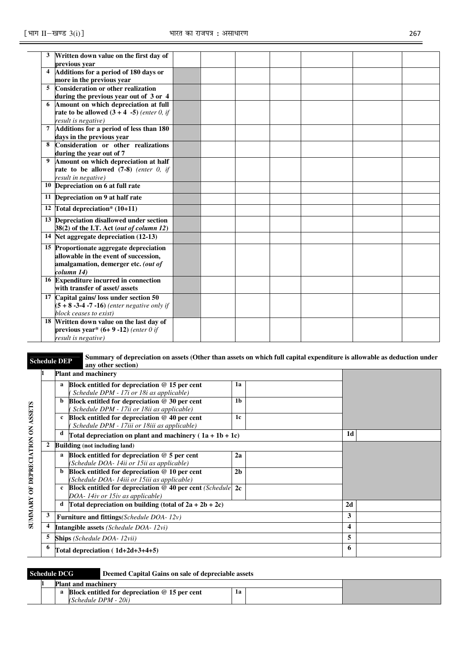|    | Written down value on the first day of         |  |  |  |  |
|----|------------------------------------------------|--|--|--|--|
|    | previous vear                                  |  |  |  |  |
| 4  | Additions for a period of 180 days or          |  |  |  |  |
|    | more in the previous year                      |  |  |  |  |
| 5  | <b>Consideration or other realization</b>      |  |  |  |  |
|    | during the previous year out of 3 or 4         |  |  |  |  |
| 6  | Amount on which depreciation at full           |  |  |  |  |
|    | rate to be allowed $(3 + 4 -5)$ (enter 0, if   |  |  |  |  |
|    | result is negative)                            |  |  |  |  |
|    | 7 Additions for a period of less than 180      |  |  |  |  |
|    | days in the previous year                      |  |  |  |  |
| 8  | Consideration or other realizations            |  |  |  |  |
|    | during the year out of 7                       |  |  |  |  |
| 9  | Amount on which depreciation at half           |  |  |  |  |
|    | rate to be allowed $(7-8)$ (enter 0, if        |  |  |  |  |
|    | result in negative)                            |  |  |  |  |
|    | 10 Depreciation on 6 at full rate              |  |  |  |  |
|    | 11 Depreciation on 9 at half rate              |  |  |  |  |
| 12 | Total depreciation* $(10+11)$                  |  |  |  |  |
|    | 13 Depreciation disallowed under section       |  |  |  |  |
|    | 38(2) of the I.T. Act (out of column 12)       |  |  |  |  |
|    | 14 Net aggregate depreciation (12-13)          |  |  |  |  |
|    | 15 Proportionate aggregate depreciation        |  |  |  |  |
|    | allowable in the event of succession,          |  |  |  |  |
|    | amalgamation, demerger etc. (out of            |  |  |  |  |
|    | column 14)                                     |  |  |  |  |
|    | 16 Expenditure incurred in connection          |  |  |  |  |
|    | with transfer of asset/assets                  |  |  |  |  |
|    | 17 Capital gains/ loss under section 50        |  |  |  |  |
|    | $(5 + 8 -3 -4 -7 -16)$ (enter negative only if |  |  |  |  |
|    | block ceases to exist)                         |  |  |  |  |
|    | 18 Written down value on the last day of       |  |  |  |  |
|    | previous year* $(6+9-12)$ (enter 0 if          |  |  |  |  |
|    | result is negative)                            |  |  |  |  |

**Schedule DEP** Summary of depreciation on assets (Other than assets on which full capital expenditure is allowable as deduction under **any other section)** 

|                    |   |              | <b>Plant and machinery</b>                                               |                |                |  |
|--------------------|---|--------------|--------------------------------------------------------------------------|----------------|----------------|--|
|                    |   | a            | Block entitled for depreciation $@$ 15 per cent                          | 1a             |                |  |
|                    |   |              | Schedule DPM - 17i or 18i as applicable)                                 |                |                |  |
|                    |   | b            | Block entitled for depreciation $@$ 30 per cent                          | 1 <sub>b</sub> |                |  |
|                    |   |              | Schedule DPM - 17ii or 18ii as applicable)                               |                |                |  |
| <b>ASSETS</b>      |   | c            | Block entitled for depreciation $@$ 40 per cent                          | 1c             |                |  |
|                    |   |              | Schedule DPM - 17iii or 18iii as applicable)                             |                |                |  |
| OF DEPRECIATION ON |   | d            | Total depreciation on plant and machinery $(1a + 1b + 1c)$               |                | 1 <sub>d</sub> |  |
|                    |   |              | <b>Building</b> (not including land)                                     |                |                |  |
|                    |   | a            | Block entitled for depreciation $@$ 5 per cent                           | 2a             |                |  |
|                    |   |              | (Schedule DOA-14ii or 15ii as applicable)                                |                |                |  |
|                    |   | b            | Block entitled for depreciation $@10$ per cent                           | 2 <sub>b</sub> |                |  |
|                    |   |              | (Schedule DOA- 14iii or 15iii as applicable)                             |                |                |  |
|                    |   | $\mathbf{c}$ | <b>Block entitled for depreciation @ 40 per cent</b> ( <i>Schedule</i> ) | 2c             |                |  |
|                    |   |              | DOA-14iv or 15iv as applicable)                                          |                |                |  |
| <b>SUMMARY</b>     |   | d            | Total depreciation on building (total of $2a + 2b + 2c$ )                |                | 2d             |  |
|                    |   |              | Furniture and fittings (Schedule DOA- $12v$ )                            |                | 3              |  |
|                    |   |              | <b>Intangible assets</b> ( <i>Schedule DOA-12vi</i> )                    |                | 4              |  |
|                    |   |              | <b>Ships</b> (Schedule DOA-12vii)                                        |                | 5              |  |
|                    | 6 |              | Total depreciation $(1d+2d+3+4+5)$                                       |                | 6              |  |
|                    |   |              |                                                                          |                |                |  |

 $\overline{a}$ 

### **Schedule DCG** Deemed Capital Gains on sale of depreciable assets

| l1 | lant and machinerv                              |    |  |
|----|-------------------------------------------------|----|--|
|    | Block entitled for depreciation $@$ 15 per cent | 1a |  |
|    | 20i<br>(Schedule DPM - .                        |    |  |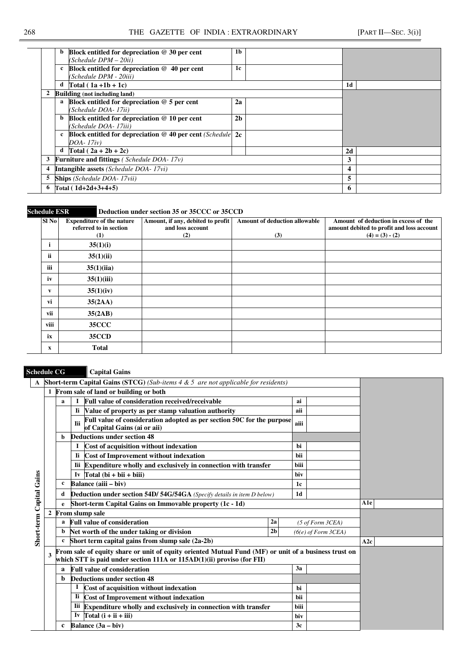|   | b                                                      | Block entitled for depreciation $@30$ per cent<br>$(Schedule$ $DPM - 20ii)$ | 1b             |                         |  |
|---|--------------------------------------------------------|-----------------------------------------------------------------------------|----------------|-------------------------|--|
|   | $\mathbf c$                                            | Block entitled for depreciation $@$ 40 per cent<br>(Schedule DPM - 20iii)   | 1c             |                         |  |
|   | d                                                      | Total $(1a+1b+1c)$                                                          |                | 1d                      |  |
| 2 |                                                        | <b>Building</b> (not including land)                                        |                |                         |  |
|   | a                                                      | Block entitled for depreciation $@$ 5 per cent<br>(Schedule DOA-17ii)       | 2a             |                         |  |
|   | b                                                      | Block entitled for depreciation $@10$ per cent<br>(Schedule DOA-17iii)      | 2 <sub>b</sub> |                         |  |
|   | $\mathbf c$                                            | Block entitled for depreciation $@$ 40 per cent (Schedule $2c$<br>DOA-17iv) |                |                         |  |
|   | d                                                      | Total $(2a + 2b + 2c)$                                                      |                | 2d                      |  |
| 3 |                                                        | <b>Furniture and fittings</b> ( <i>Schedule DOA-17v</i> )                   |                | 3                       |  |
|   | <b>Intangible assets</b> ( <i>Schedule DOA- 17vi</i> ) |                                                                             |                | $\overline{\mathbf{4}}$ |  |
| 5 | <b>Ships</b> (Schedule DOA-17vii)                      |                                                                             |                | 5                       |  |
|   |                                                        | Total $(1d+2d+3+4+5)$                                                       |                | 6                       |  |

## **Schedule ESR** Deduction under section 35 or 35CCC or 35CCD

| Sl No        | <b>Expenditure of the nature</b> | Amount, if any, debited to profit | <b>Amount of deduction allowable</b> | Amount of deduction in excess of the                           |
|--------------|----------------------------------|-----------------------------------|--------------------------------------|----------------------------------------------------------------|
|              | referred to in section<br>(1)    | and loss account<br>(2)           | (3)                                  | amount debited to profit and loss account<br>$(4) = (3) - (2)$ |
|              |                                  |                                   |                                      |                                                                |
| $\mathbf{i}$ | 35(1)(i)                         |                                   |                                      |                                                                |
| ii           | 35(1)(ii)                        |                                   |                                      |                                                                |
| iii          | 35(1)(iia)                       |                                   |                                      |                                                                |
| iv           | 35(1)(iii)                       |                                   |                                      |                                                                |
| V            | 35(1)(iv)                        |                                   |                                      |                                                                |
| vi           | 35(2AA)                          |                                   |                                      |                                                                |
| vii          | 35(2AB)                          |                                   |                                      |                                                                |
| viii         | <b>35CCC</b>                     |                                   |                                      |                                                                |
| ix           | 35CCD                            |                                   |                                      |                                                                |
| X            | <b>Total</b>                     |                                   |                                      |                                                                |

### **SCREDULE Capital Gains**

| scheaule CG                     |                                 |                                                                                                       |            | Capital Gains                                                                                                                                                                  |                |                |                             |     |
|---------------------------------|---------------------------------|-------------------------------------------------------------------------------------------------------|------------|--------------------------------------------------------------------------------------------------------------------------------------------------------------------------------|----------------|----------------|-----------------------------|-----|
|                                 |                                 |                                                                                                       |            | <b>Short-term Capital Gains (STCG)</b> (Sub-items $4 \& 5$ are not applicable for residents)                                                                                   |                |                |                             |     |
|                                 |                                 |                                                                                                       |            | 1 From sale of land or building or both                                                                                                                                        |                |                |                             |     |
|                                 |                                 | a                                                                                                     |            | Full value of consideration received/receivable                                                                                                                                |                | ai             |                             |     |
|                                 |                                 |                                                                                                       |            | Ii Value of property as per stamp valuation authority                                                                                                                          |                | aii            |                             |     |
|                                 |                                 |                                                                                                       | <b>Tii</b> | Full value of consideration adopted as per section 50C for the purpose<br>of Capital Gains (ai or aii)                                                                         |                | aiii           |                             |     |
|                                 |                                 | b                                                                                                     |            | <b>Deductions under section 48</b>                                                                                                                                             |                |                |                             |     |
|                                 |                                 |                                                                                                       |            | Cost of acquisition without indexation                                                                                                                                         |                | bi             |                             |     |
|                                 |                                 |                                                                                                       |            | Ii Cost of Improvement without indexation                                                                                                                                      |                |                |                             |     |
|                                 |                                 |                                                                                                       |            | Iii Expenditure wholly and exclusively in connection with transfer                                                                                                             |                | biii           |                             |     |
|                                 |                                 |                                                                                                       |            | Iv $\text{Total}(\text{bi} + \text{bii} + \text{biii})$                                                                                                                        |                |                |                             |     |
|                                 |                                 | $\mathbf c$                                                                                           |            | Balance (aiii – biv)                                                                                                                                                           |                | 1 <sub>c</sub> |                             |     |
| <b>Short-term Capital Gains</b> |                                 | <b>Deduction under section 54D/ 54G/54GA</b> (Specify details in item D below)<br>1 <sub>d</sub><br>d |            |                                                                                                                                                                                |                |                |                             |     |
|                                 |                                 | e                                                                                                     |            | Short-term Capital Gains on Immovable property (1c - 1d)                                                                                                                       |                |                |                             | A1e |
|                                 | $\mathbf{2}$                    |                                                                                                       |            | From slump sale                                                                                                                                                                |                |                |                             |     |
|                                 |                                 | $\mathbf{a}$                                                                                          |            | <b>Full value of consideration</b>                                                                                                                                             | 2a             |                | $(5 \text{ of Form } 3CEA)$ |     |
|                                 |                                 | b                                                                                                     |            | Net worth of the under taking or division                                                                                                                                      | 2 <sub>b</sub> |                | $(6(e)$ of Form $3CEA)$     |     |
|                                 |                                 | $\mathbf{c}$                                                                                          |            | Short term capital gains from slump sale (2a-2b)                                                                                                                               |                |                |                             | A2c |
|                                 |                                 |                                                                                                       |            | From sale of equity share or unit of equity oriented Mutual Fund (MF) or unit of a business trust on<br>which STT is paid under section 111A or 115AD(1)(ii) proviso (for FII) |                |                |                             |     |
|                                 |                                 | a                                                                                                     |            | <b>Full value of consideration</b>                                                                                                                                             |                | 3a             |                             |     |
|                                 |                                 | b                                                                                                     |            | Deductions under section 48                                                                                                                                                    |                |                |                             |     |
|                                 |                                 |                                                                                                       |            | Cost of acquisition without indexation                                                                                                                                         |                | bi             |                             |     |
|                                 |                                 | Ii Cost of Improvement without indexation                                                             |            |                                                                                                                                                                                |                | bii            |                             |     |
|                                 |                                 |                                                                                                       |            | Iii Expenditure wholly and exclusively in connection with transfer                                                                                                             | biii           |                |                             |     |
|                                 | Iv $Total(i + ii + iii)$<br>biv |                                                                                                       |            |                                                                                                                                                                                |                |                |                             |     |
|                                 |                                 | c                                                                                                     |            | Balance $(3a - biv)$                                                                                                                                                           |                |                |                             |     |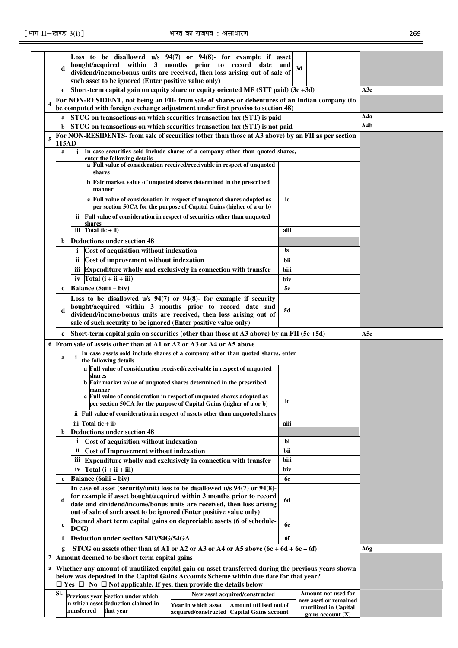| Loss to be disallowed $u/s$ 94(7) or 94(8)- for example if asset<br>bought/acquired within 3 months prior to record date and<br>3d<br>d<br>dividend/income/bonus units are received, then loss arising out of sale of<br>such asset to be ignored (Enter positive value only)<br>Short-term capital gain on equity share or equity oriented MF (STT paid) (3c+3d)<br>A3e<br>e<br>For NON-RESIDENT, not being an FII- from sale of shares or debentures of an Indian company (to<br>be computed with foreign exchange adjustment under first proviso to section 48)<br>A4a<br>STCG on transactions on which securities transaction tax (STT) is paid<br>a<br>A4b<br>STCG on transactions on which securities transaction tax (STT) is not paid<br>b<br>For NON-RESIDENTS- from sale of securities (other than those at A3 above) by an FII as per section<br>5<br>115AD<br>In case securities sold include shares of a company other than quoted shares,<br>a<br>enter the following details<br>a Full value of consideration received/receivable in respect of unquoted<br>shares<br>b Fair market value of unquoted shares determined in the prescribed<br>manner<br>c Full value of consideration in respect of unquoted shares adopted as<br>ic<br>per section 50CA for the purpose of Capital Gains (higher of a or b)<br>Full value of consideration in respect of securities other than unquoted<br>ii.<br><u>shares</u><br>iii $Total (ic + ii)$<br>aiii<br><b>Deductions under section 48</b><br>b<br>Cost of acquisition without indexation<br>bi<br>i.<br>Cost of improvement without indexation<br>ii.<br>bii<br>iii Expenditure wholly and exclusively in connection with transfer<br>biii<br>iv $Total(i + ii + iii)$<br>biv<br>Balance (5aiii - biv)<br>5c<br>$\mathbf c$<br>Loss to be disallowed $u/s$ 94(7) or 94(8)- for example if security<br>bought/acquired within 3 months prior to record date and<br>5d<br>d<br>dividend/income/bonus units are received, then loss arising out of<br>sale of such security to be ignored (Enter positive value only)<br>Short-term capital gain on securities (other than those at A3 above) by an FII (5c $+5d$ )<br>A5e<br>6 From sale of assets other than at A1 or A2 or A3 or A4 or A5 above<br>In case assets sold include shares of a company other than quoted shares, enter<br>i<br>a<br>the following details<br>a Full value of consideration received/receivable in respect of unquoted<br>shares<br>b Fair market value of unquoted shares determined in the prescribed<br>manner<br>c Full value of consideration in respect of unquoted shares adopted as<br>ic<br>per section 50CA for the purpose of Capital Gains (higher of a or b)<br>ii Full value of consideration in respect of assets other than unquoted shares<br>iii $\Gamma$ otal (ic + ii)<br>aiii<br><b>Deductions under section 48</b><br>b<br>Cost of acquisition without indexation<br>i.<br>bi<br>Cost of Improvement without indexation<br>bii<br>н.<br>biii<br>iii Expenditure wholly and exclusively in connection with transfer<br>iv<br>Total $(i + ii + iii)$<br>biv<br>Balance (6aiii - biv)<br>6с<br>$\mathbf c$<br>In case of asset (security/unit) loss to be disallowed u/s 94(7) or 94(8)-<br>for example if asset bought/acquired within 3 months prior to record<br><b>6d</b><br>d<br>date and dividend/income/bonus units are received, then loss arising<br>out of sale of such asset to be ignored (Enter positive value only)<br>Deemed short term capital gains on depreciable assets (6 of schedule-<br>6e<br>e<br>DCG)<br>Deduction under section 54D/54G/54GA<br>6f<br>f<br>STCG on assets other than at A1 or A2 or A3 or A4 or A5 above $(6c + 6d + 6e - 6f)$<br>A6g<br>g<br>7<br>Amount deemed to be short term capital gains<br>a Whether any amount of unutilized capital gain on asset transferred during the previous years shown<br>below was deposited in the Capital Gains Accounts Scheme within due date for that year?<br>$\Box$ Yes $\Box$ No $\Box$ Not applicable. If yes, then provide the details below<br>SI.<br>Amount not used for<br>New asset acquired/constructed<br>Previous year Section under which<br>new asset or remained<br>in which asset deduction claimed in<br>Year in which asset<br>Amount utilised out of<br>unutilized in Capital<br>transferred<br>that year<br>acquired/constructed Capital Gains account |  |  |  |  |  |                     |  |
|----------------------------------------------------------------------------------------------------------------------------------------------------------------------------------------------------------------------------------------------------------------------------------------------------------------------------------------------------------------------------------------------------------------------------------------------------------------------------------------------------------------------------------------------------------------------------------------------------------------------------------------------------------------------------------------------------------------------------------------------------------------------------------------------------------------------------------------------------------------------------------------------------------------------------------------------------------------------------------------------------------------------------------------------------------------------------------------------------------------------------------------------------------------------------------------------------------------------------------------------------------------------------------------------------------------------------------------------------------------------------------------------------------------------------------------------------------------------------------------------------------------------------------------------------------------------------------------------------------------------------------------------------------------------------------------------------------------------------------------------------------------------------------------------------------------------------------------------------------------------------------------------------------------------------------------------------------------------------------------------------------------------------------------------------------------------------------------------------------------------------------------------------------------------------------------------------------------------------------------------------------------------------------------------------------------------------------------------------------------------------------------------------------------------------------------------------------------------------------------------------------------------------------------------------------------------------------------------------------------------------------------------------------------------------------------------------------------------------------------------------------------------------------------------------------------------------------------------------------------------------------------------------------------------------------------------------------------------------------------------------------------------------------------------------------------------------------------------------------------------------------------------------------------------------------------------------------------------------------------------------------------------------------------------------------------------------------------------------------------------------------------------------------------------------------------------------------------------------------------------------------------------------------------------------------------------------------------------------------------------------------------------------------------------------------------------------------------------------------------------------------------------------------------------------------------------------------------------------------------------------------------------------------------------------------------------------------------------------------------------------------------------------------------------------------------------------------------------------------------------------------------------------------------------------------------------------------------------------------------------------------------------------------------------------------------------------------------------------------------------------------------------------------------------|--|--|--|--|--|---------------------|--|
|                                                                                                                                                                                                                                                                                                                                                                                                                                                                                                                                                                                                                                                                                                                                                                                                                                                                                                                                                                                                                                                                                                                                                                                                                                                                                                                                                                                                                                                                                                                                                                                                                                                                                                                                                                                                                                                                                                                                                                                                                                                                                                                                                                                                                                                                                                                                                                                                                                                                                                                                                                                                                                                                                                                                                                                                                                                                                                                                                                                                                                                                                                                                                                                                                                                                                                                                                                                                                                                                                                                                                                                                                                                                                                                                                                                                                                                                                                                                                                                                                                                                                                                                                                                                                                                                                                                                                                                                                      |  |  |  |  |  |                     |  |
|                                                                                                                                                                                                                                                                                                                                                                                                                                                                                                                                                                                                                                                                                                                                                                                                                                                                                                                                                                                                                                                                                                                                                                                                                                                                                                                                                                                                                                                                                                                                                                                                                                                                                                                                                                                                                                                                                                                                                                                                                                                                                                                                                                                                                                                                                                                                                                                                                                                                                                                                                                                                                                                                                                                                                                                                                                                                                                                                                                                                                                                                                                                                                                                                                                                                                                                                                                                                                                                                                                                                                                                                                                                                                                                                                                                                                                                                                                                                                                                                                                                                                                                                                                                                                                                                                                                                                                                                                      |  |  |  |  |  |                     |  |
|                                                                                                                                                                                                                                                                                                                                                                                                                                                                                                                                                                                                                                                                                                                                                                                                                                                                                                                                                                                                                                                                                                                                                                                                                                                                                                                                                                                                                                                                                                                                                                                                                                                                                                                                                                                                                                                                                                                                                                                                                                                                                                                                                                                                                                                                                                                                                                                                                                                                                                                                                                                                                                                                                                                                                                                                                                                                                                                                                                                                                                                                                                                                                                                                                                                                                                                                                                                                                                                                                                                                                                                                                                                                                                                                                                                                                                                                                                                                                                                                                                                                                                                                                                                                                                                                                                                                                                                                                      |  |  |  |  |  |                     |  |
|                                                                                                                                                                                                                                                                                                                                                                                                                                                                                                                                                                                                                                                                                                                                                                                                                                                                                                                                                                                                                                                                                                                                                                                                                                                                                                                                                                                                                                                                                                                                                                                                                                                                                                                                                                                                                                                                                                                                                                                                                                                                                                                                                                                                                                                                                                                                                                                                                                                                                                                                                                                                                                                                                                                                                                                                                                                                                                                                                                                                                                                                                                                                                                                                                                                                                                                                                                                                                                                                                                                                                                                                                                                                                                                                                                                                                                                                                                                                                                                                                                                                                                                                                                                                                                                                                                                                                                                                                      |  |  |  |  |  |                     |  |
|                                                                                                                                                                                                                                                                                                                                                                                                                                                                                                                                                                                                                                                                                                                                                                                                                                                                                                                                                                                                                                                                                                                                                                                                                                                                                                                                                                                                                                                                                                                                                                                                                                                                                                                                                                                                                                                                                                                                                                                                                                                                                                                                                                                                                                                                                                                                                                                                                                                                                                                                                                                                                                                                                                                                                                                                                                                                                                                                                                                                                                                                                                                                                                                                                                                                                                                                                                                                                                                                                                                                                                                                                                                                                                                                                                                                                                                                                                                                                                                                                                                                                                                                                                                                                                                                                                                                                                                                                      |  |  |  |  |  |                     |  |
|                                                                                                                                                                                                                                                                                                                                                                                                                                                                                                                                                                                                                                                                                                                                                                                                                                                                                                                                                                                                                                                                                                                                                                                                                                                                                                                                                                                                                                                                                                                                                                                                                                                                                                                                                                                                                                                                                                                                                                                                                                                                                                                                                                                                                                                                                                                                                                                                                                                                                                                                                                                                                                                                                                                                                                                                                                                                                                                                                                                                                                                                                                                                                                                                                                                                                                                                                                                                                                                                                                                                                                                                                                                                                                                                                                                                                                                                                                                                                                                                                                                                                                                                                                                                                                                                                                                                                                                                                      |  |  |  |  |  |                     |  |
|                                                                                                                                                                                                                                                                                                                                                                                                                                                                                                                                                                                                                                                                                                                                                                                                                                                                                                                                                                                                                                                                                                                                                                                                                                                                                                                                                                                                                                                                                                                                                                                                                                                                                                                                                                                                                                                                                                                                                                                                                                                                                                                                                                                                                                                                                                                                                                                                                                                                                                                                                                                                                                                                                                                                                                                                                                                                                                                                                                                                                                                                                                                                                                                                                                                                                                                                                                                                                                                                                                                                                                                                                                                                                                                                                                                                                                                                                                                                                                                                                                                                                                                                                                                                                                                                                                                                                                                                                      |  |  |  |  |  |                     |  |
|                                                                                                                                                                                                                                                                                                                                                                                                                                                                                                                                                                                                                                                                                                                                                                                                                                                                                                                                                                                                                                                                                                                                                                                                                                                                                                                                                                                                                                                                                                                                                                                                                                                                                                                                                                                                                                                                                                                                                                                                                                                                                                                                                                                                                                                                                                                                                                                                                                                                                                                                                                                                                                                                                                                                                                                                                                                                                                                                                                                                                                                                                                                                                                                                                                                                                                                                                                                                                                                                                                                                                                                                                                                                                                                                                                                                                                                                                                                                                                                                                                                                                                                                                                                                                                                                                                                                                                                                                      |  |  |  |  |  |                     |  |
|                                                                                                                                                                                                                                                                                                                                                                                                                                                                                                                                                                                                                                                                                                                                                                                                                                                                                                                                                                                                                                                                                                                                                                                                                                                                                                                                                                                                                                                                                                                                                                                                                                                                                                                                                                                                                                                                                                                                                                                                                                                                                                                                                                                                                                                                                                                                                                                                                                                                                                                                                                                                                                                                                                                                                                                                                                                                                                                                                                                                                                                                                                                                                                                                                                                                                                                                                                                                                                                                                                                                                                                                                                                                                                                                                                                                                                                                                                                                                                                                                                                                                                                                                                                                                                                                                                                                                                                                                      |  |  |  |  |  |                     |  |
|                                                                                                                                                                                                                                                                                                                                                                                                                                                                                                                                                                                                                                                                                                                                                                                                                                                                                                                                                                                                                                                                                                                                                                                                                                                                                                                                                                                                                                                                                                                                                                                                                                                                                                                                                                                                                                                                                                                                                                                                                                                                                                                                                                                                                                                                                                                                                                                                                                                                                                                                                                                                                                                                                                                                                                                                                                                                                                                                                                                                                                                                                                                                                                                                                                                                                                                                                                                                                                                                                                                                                                                                                                                                                                                                                                                                                                                                                                                                                                                                                                                                                                                                                                                                                                                                                                                                                                                                                      |  |  |  |  |  |                     |  |
|                                                                                                                                                                                                                                                                                                                                                                                                                                                                                                                                                                                                                                                                                                                                                                                                                                                                                                                                                                                                                                                                                                                                                                                                                                                                                                                                                                                                                                                                                                                                                                                                                                                                                                                                                                                                                                                                                                                                                                                                                                                                                                                                                                                                                                                                                                                                                                                                                                                                                                                                                                                                                                                                                                                                                                                                                                                                                                                                                                                                                                                                                                                                                                                                                                                                                                                                                                                                                                                                                                                                                                                                                                                                                                                                                                                                                                                                                                                                                                                                                                                                                                                                                                                                                                                                                                                                                                                                                      |  |  |  |  |  |                     |  |
|                                                                                                                                                                                                                                                                                                                                                                                                                                                                                                                                                                                                                                                                                                                                                                                                                                                                                                                                                                                                                                                                                                                                                                                                                                                                                                                                                                                                                                                                                                                                                                                                                                                                                                                                                                                                                                                                                                                                                                                                                                                                                                                                                                                                                                                                                                                                                                                                                                                                                                                                                                                                                                                                                                                                                                                                                                                                                                                                                                                                                                                                                                                                                                                                                                                                                                                                                                                                                                                                                                                                                                                                                                                                                                                                                                                                                                                                                                                                                                                                                                                                                                                                                                                                                                                                                                                                                                                                                      |  |  |  |  |  |                     |  |
|                                                                                                                                                                                                                                                                                                                                                                                                                                                                                                                                                                                                                                                                                                                                                                                                                                                                                                                                                                                                                                                                                                                                                                                                                                                                                                                                                                                                                                                                                                                                                                                                                                                                                                                                                                                                                                                                                                                                                                                                                                                                                                                                                                                                                                                                                                                                                                                                                                                                                                                                                                                                                                                                                                                                                                                                                                                                                                                                                                                                                                                                                                                                                                                                                                                                                                                                                                                                                                                                                                                                                                                                                                                                                                                                                                                                                                                                                                                                                                                                                                                                                                                                                                                                                                                                                                                                                                                                                      |  |  |  |  |  |                     |  |
|                                                                                                                                                                                                                                                                                                                                                                                                                                                                                                                                                                                                                                                                                                                                                                                                                                                                                                                                                                                                                                                                                                                                                                                                                                                                                                                                                                                                                                                                                                                                                                                                                                                                                                                                                                                                                                                                                                                                                                                                                                                                                                                                                                                                                                                                                                                                                                                                                                                                                                                                                                                                                                                                                                                                                                                                                                                                                                                                                                                                                                                                                                                                                                                                                                                                                                                                                                                                                                                                                                                                                                                                                                                                                                                                                                                                                                                                                                                                                                                                                                                                                                                                                                                                                                                                                                                                                                                                                      |  |  |  |  |  |                     |  |
|                                                                                                                                                                                                                                                                                                                                                                                                                                                                                                                                                                                                                                                                                                                                                                                                                                                                                                                                                                                                                                                                                                                                                                                                                                                                                                                                                                                                                                                                                                                                                                                                                                                                                                                                                                                                                                                                                                                                                                                                                                                                                                                                                                                                                                                                                                                                                                                                                                                                                                                                                                                                                                                                                                                                                                                                                                                                                                                                                                                                                                                                                                                                                                                                                                                                                                                                                                                                                                                                                                                                                                                                                                                                                                                                                                                                                                                                                                                                                                                                                                                                                                                                                                                                                                                                                                                                                                                                                      |  |  |  |  |  |                     |  |
|                                                                                                                                                                                                                                                                                                                                                                                                                                                                                                                                                                                                                                                                                                                                                                                                                                                                                                                                                                                                                                                                                                                                                                                                                                                                                                                                                                                                                                                                                                                                                                                                                                                                                                                                                                                                                                                                                                                                                                                                                                                                                                                                                                                                                                                                                                                                                                                                                                                                                                                                                                                                                                                                                                                                                                                                                                                                                                                                                                                                                                                                                                                                                                                                                                                                                                                                                                                                                                                                                                                                                                                                                                                                                                                                                                                                                                                                                                                                                                                                                                                                                                                                                                                                                                                                                                                                                                                                                      |  |  |  |  |  |                     |  |
|                                                                                                                                                                                                                                                                                                                                                                                                                                                                                                                                                                                                                                                                                                                                                                                                                                                                                                                                                                                                                                                                                                                                                                                                                                                                                                                                                                                                                                                                                                                                                                                                                                                                                                                                                                                                                                                                                                                                                                                                                                                                                                                                                                                                                                                                                                                                                                                                                                                                                                                                                                                                                                                                                                                                                                                                                                                                                                                                                                                                                                                                                                                                                                                                                                                                                                                                                                                                                                                                                                                                                                                                                                                                                                                                                                                                                                                                                                                                                                                                                                                                                                                                                                                                                                                                                                                                                                                                                      |  |  |  |  |  |                     |  |
|                                                                                                                                                                                                                                                                                                                                                                                                                                                                                                                                                                                                                                                                                                                                                                                                                                                                                                                                                                                                                                                                                                                                                                                                                                                                                                                                                                                                                                                                                                                                                                                                                                                                                                                                                                                                                                                                                                                                                                                                                                                                                                                                                                                                                                                                                                                                                                                                                                                                                                                                                                                                                                                                                                                                                                                                                                                                                                                                                                                                                                                                                                                                                                                                                                                                                                                                                                                                                                                                                                                                                                                                                                                                                                                                                                                                                                                                                                                                                                                                                                                                                                                                                                                                                                                                                                                                                                                                                      |  |  |  |  |  |                     |  |
|                                                                                                                                                                                                                                                                                                                                                                                                                                                                                                                                                                                                                                                                                                                                                                                                                                                                                                                                                                                                                                                                                                                                                                                                                                                                                                                                                                                                                                                                                                                                                                                                                                                                                                                                                                                                                                                                                                                                                                                                                                                                                                                                                                                                                                                                                                                                                                                                                                                                                                                                                                                                                                                                                                                                                                                                                                                                                                                                                                                                                                                                                                                                                                                                                                                                                                                                                                                                                                                                                                                                                                                                                                                                                                                                                                                                                                                                                                                                                                                                                                                                                                                                                                                                                                                                                                                                                                                                                      |  |  |  |  |  |                     |  |
|                                                                                                                                                                                                                                                                                                                                                                                                                                                                                                                                                                                                                                                                                                                                                                                                                                                                                                                                                                                                                                                                                                                                                                                                                                                                                                                                                                                                                                                                                                                                                                                                                                                                                                                                                                                                                                                                                                                                                                                                                                                                                                                                                                                                                                                                                                                                                                                                                                                                                                                                                                                                                                                                                                                                                                                                                                                                                                                                                                                                                                                                                                                                                                                                                                                                                                                                                                                                                                                                                                                                                                                                                                                                                                                                                                                                                                                                                                                                                                                                                                                                                                                                                                                                                                                                                                                                                                                                                      |  |  |  |  |  |                     |  |
|                                                                                                                                                                                                                                                                                                                                                                                                                                                                                                                                                                                                                                                                                                                                                                                                                                                                                                                                                                                                                                                                                                                                                                                                                                                                                                                                                                                                                                                                                                                                                                                                                                                                                                                                                                                                                                                                                                                                                                                                                                                                                                                                                                                                                                                                                                                                                                                                                                                                                                                                                                                                                                                                                                                                                                                                                                                                                                                                                                                                                                                                                                                                                                                                                                                                                                                                                                                                                                                                                                                                                                                                                                                                                                                                                                                                                                                                                                                                                                                                                                                                                                                                                                                                                                                                                                                                                                                                                      |  |  |  |  |  |                     |  |
|                                                                                                                                                                                                                                                                                                                                                                                                                                                                                                                                                                                                                                                                                                                                                                                                                                                                                                                                                                                                                                                                                                                                                                                                                                                                                                                                                                                                                                                                                                                                                                                                                                                                                                                                                                                                                                                                                                                                                                                                                                                                                                                                                                                                                                                                                                                                                                                                                                                                                                                                                                                                                                                                                                                                                                                                                                                                                                                                                                                                                                                                                                                                                                                                                                                                                                                                                                                                                                                                                                                                                                                                                                                                                                                                                                                                                                                                                                                                                                                                                                                                                                                                                                                                                                                                                                                                                                                                                      |  |  |  |  |  |                     |  |
|                                                                                                                                                                                                                                                                                                                                                                                                                                                                                                                                                                                                                                                                                                                                                                                                                                                                                                                                                                                                                                                                                                                                                                                                                                                                                                                                                                                                                                                                                                                                                                                                                                                                                                                                                                                                                                                                                                                                                                                                                                                                                                                                                                                                                                                                                                                                                                                                                                                                                                                                                                                                                                                                                                                                                                                                                                                                                                                                                                                                                                                                                                                                                                                                                                                                                                                                                                                                                                                                                                                                                                                                                                                                                                                                                                                                                                                                                                                                                                                                                                                                                                                                                                                                                                                                                                                                                                                                                      |  |  |  |  |  |                     |  |
|                                                                                                                                                                                                                                                                                                                                                                                                                                                                                                                                                                                                                                                                                                                                                                                                                                                                                                                                                                                                                                                                                                                                                                                                                                                                                                                                                                                                                                                                                                                                                                                                                                                                                                                                                                                                                                                                                                                                                                                                                                                                                                                                                                                                                                                                                                                                                                                                                                                                                                                                                                                                                                                                                                                                                                                                                                                                                                                                                                                                                                                                                                                                                                                                                                                                                                                                                                                                                                                                                                                                                                                                                                                                                                                                                                                                                                                                                                                                                                                                                                                                                                                                                                                                                                                                                                                                                                                                                      |  |  |  |  |  |                     |  |
|                                                                                                                                                                                                                                                                                                                                                                                                                                                                                                                                                                                                                                                                                                                                                                                                                                                                                                                                                                                                                                                                                                                                                                                                                                                                                                                                                                                                                                                                                                                                                                                                                                                                                                                                                                                                                                                                                                                                                                                                                                                                                                                                                                                                                                                                                                                                                                                                                                                                                                                                                                                                                                                                                                                                                                                                                                                                                                                                                                                                                                                                                                                                                                                                                                                                                                                                                                                                                                                                                                                                                                                                                                                                                                                                                                                                                                                                                                                                                                                                                                                                                                                                                                                                                                                                                                                                                                                                                      |  |  |  |  |  |                     |  |
|                                                                                                                                                                                                                                                                                                                                                                                                                                                                                                                                                                                                                                                                                                                                                                                                                                                                                                                                                                                                                                                                                                                                                                                                                                                                                                                                                                                                                                                                                                                                                                                                                                                                                                                                                                                                                                                                                                                                                                                                                                                                                                                                                                                                                                                                                                                                                                                                                                                                                                                                                                                                                                                                                                                                                                                                                                                                                                                                                                                                                                                                                                                                                                                                                                                                                                                                                                                                                                                                                                                                                                                                                                                                                                                                                                                                                                                                                                                                                                                                                                                                                                                                                                                                                                                                                                                                                                                                                      |  |  |  |  |  |                     |  |
|                                                                                                                                                                                                                                                                                                                                                                                                                                                                                                                                                                                                                                                                                                                                                                                                                                                                                                                                                                                                                                                                                                                                                                                                                                                                                                                                                                                                                                                                                                                                                                                                                                                                                                                                                                                                                                                                                                                                                                                                                                                                                                                                                                                                                                                                                                                                                                                                                                                                                                                                                                                                                                                                                                                                                                                                                                                                                                                                                                                                                                                                                                                                                                                                                                                                                                                                                                                                                                                                                                                                                                                                                                                                                                                                                                                                                                                                                                                                                                                                                                                                                                                                                                                                                                                                                                                                                                                                                      |  |  |  |  |  |                     |  |
|                                                                                                                                                                                                                                                                                                                                                                                                                                                                                                                                                                                                                                                                                                                                                                                                                                                                                                                                                                                                                                                                                                                                                                                                                                                                                                                                                                                                                                                                                                                                                                                                                                                                                                                                                                                                                                                                                                                                                                                                                                                                                                                                                                                                                                                                                                                                                                                                                                                                                                                                                                                                                                                                                                                                                                                                                                                                                                                                                                                                                                                                                                                                                                                                                                                                                                                                                                                                                                                                                                                                                                                                                                                                                                                                                                                                                                                                                                                                                                                                                                                                                                                                                                                                                                                                                                                                                                                                                      |  |  |  |  |  |                     |  |
|                                                                                                                                                                                                                                                                                                                                                                                                                                                                                                                                                                                                                                                                                                                                                                                                                                                                                                                                                                                                                                                                                                                                                                                                                                                                                                                                                                                                                                                                                                                                                                                                                                                                                                                                                                                                                                                                                                                                                                                                                                                                                                                                                                                                                                                                                                                                                                                                                                                                                                                                                                                                                                                                                                                                                                                                                                                                                                                                                                                                                                                                                                                                                                                                                                                                                                                                                                                                                                                                                                                                                                                                                                                                                                                                                                                                                                                                                                                                                                                                                                                                                                                                                                                                                                                                                                                                                                                                                      |  |  |  |  |  |                     |  |
|                                                                                                                                                                                                                                                                                                                                                                                                                                                                                                                                                                                                                                                                                                                                                                                                                                                                                                                                                                                                                                                                                                                                                                                                                                                                                                                                                                                                                                                                                                                                                                                                                                                                                                                                                                                                                                                                                                                                                                                                                                                                                                                                                                                                                                                                                                                                                                                                                                                                                                                                                                                                                                                                                                                                                                                                                                                                                                                                                                                                                                                                                                                                                                                                                                                                                                                                                                                                                                                                                                                                                                                                                                                                                                                                                                                                                                                                                                                                                                                                                                                                                                                                                                                                                                                                                                                                                                                                                      |  |  |  |  |  |                     |  |
|                                                                                                                                                                                                                                                                                                                                                                                                                                                                                                                                                                                                                                                                                                                                                                                                                                                                                                                                                                                                                                                                                                                                                                                                                                                                                                                                                                                                                                                                                                                                                                                                                                                                                                                                                                                                                                                                                                                                                                                                                                                                                                                                                                                                                                                                                                                                                                                                                                                                                                                                                                                                                                                                                                                                                                                                                                                                                                                                                                                                                                                                                                                                                                                                                                                                                                                                                                                                                                                                                                                                                                                                                                                                                                                                                                                                                                                                                                                                                                                                                                                                                                                                                                                                                                                                                                                                                                                                                      |  |  |  |  |  |                     |  |
|                                                                                                                                                                                                                                                                                                                                                                                                                                                                                                                                                                                                                                                                                                                                                                                                                                                                                                                                                                                                                                                                                                                                                                                                                                                                                                                                                                                                                                                                                                                                                                                                                                                                                                                                                                                                                                                                                                                                                                                                                                                                                                                                                                                                                                                                                                                                                                                                                                                                                                                                                                                                                                                                                                                                                                                                                                                                                                                                                                                                                                                                                                                                                                                                                                                                                                                                                                                                                                                                                                                                                                                                                                                                                                                                                                                                                                                                                                                                                                                                                                                                                                                                                                                                                                                                                                                                                                                                                      |  |  |  |  |  |                     |  |
|                                                                                                                                                                                                                                                                                                                                                                                                                                                                                                                                                                                                                                                                                                                                                                                                                                                                                                                                                                                                                                                                                                                                                                                                                                                                                                                                                                                                                                                                                                                                                                                                                                                                                                                                                                                                                                                                                                                                                                                                                                                                                                                                                                                                                                                                                                                                                                                                                                                                                                                                                                                                                                                                                                                                                                                                                                                                                                                                                                                                                                                                                                                                                                                                                                                                                                                                                                                                                                                                                                                                                                                                                                                                                                                                                                                                                                                                                                                                                                                                                                                                                                                                                                                                                                                                                                                                                                                                                      |  |  |  |  |  |                     |  |
|                                                                                                                                                                                                                                                                                                                                                                                                                                                                                                                                                                                                                                                                                                                                                                                                                                                                                                                                                                                                                                                                                                                                                                                                                                                                                                                                                                                                                                                                                                                                                                                                                                                                                                                                                                                                                                                                                                                                                                                                                                                                                                                                                                                                                                                                                                                                                                                                                                                                                                                                                                                                                                                                                                                                                                                                                                                                                                                                                                                                                                                                                                                                                                                                                                                                                                                                                                                                                                                                                                                                                                                                                                                                                                                                                                                                                                                                                                                                                                                                                                                                                                                                                                                                                                                                                                                                                                                                                      |  |  |  |  |  |                     |  |
|                                                                                                                                                                                                                                                                                                                                                                                                                                                                                                                                                                                                                                                                                                                                                                                                                                                                                                                                                                                                                                                                                                                                                                                                                                                                                                                                                                                                                                                                                                                                                                                                                                                                                                                                                                                                                                                                                                                                                                                                                                                                                                                                                                                                                                                                                                                                                                                                                                                                                                                                                                                                                                                                                                                                                                                                                                                                                                                                                                                                                                                                                                                                                                                                                                                                                                                                                                                                                                                                                                                                                                                                                                                                                                                                                                                                                                                                                                                                                                                                                                                                                                                                                                                                                                                                                                                                                                                                                      |  |  |  |  |  |                     |  |
|                                                                                                                                                                                                                                                                                                                                                                                                                                                                                                                                                                                                                                                                                                                                                                                                                                                                                                                                                                                                                                                                                                                                                                                                                                                                                                                                                                                                                                                                                                                                                                                                                                                                                                                                                                                                                                                                                                                                                                                                                                                                                                                                                                                                                                                                                                                                                                                                                                                                                                                                                                                                                                                                                                                                                                                                                                                                                                                                                                                                                                                                                                                                                                                                                                                                                                                                                                                                                                                                                                                                                                                                                                                                                                                                                                                                                                                                                                                                                                                                                                                                                                                                                                                                                                                                                                                                                                                                                      |  |  |  |  |  |                     |  |
|                                                                                                                                                                                                                                                                                                                                                                                                                                                                                                                                                                                                                                                                                                                                                                                                                                                                                                                                                                                                                                                                                                                                                                                                                                                                                                                                                                                                                                                                                                                                                                                                                                                                                                                                                                                                                                                                                                                                                                                                                                                                                                                                                                                                                                                                                                                                                                                                                                                                                                                                                                                                                                                                                                                                                                                                                                                                                                                                                                                                                                                                                                                                                                                                                                                                                                                                                                                                                                                                                                                                                                                                                                                                                                                                                                                                                                                                                                                                                                                                                                                                                                                                                                                                                                                                                                                                                                                                                      |  |  |  |  |  |                     |  |
|                                                                                                                                                                                                                                                                                                                                                                                                                                                                                                                                                                                                                                                                                                                                                                                                                                                                                                                                                                                                                                                                                                                                                                                                                                                                                                                                                                                                                                                                                                                                                                                                                                                                                                                                                                                                                                                                                                                                                                                                                                                                                                                                                                                                                                                                                                                                                                                                                                                                                                                                                                                                                                                                                                                                                                                                                                                                                                                                                                                                                                                                                                                                                                                                                                                                                                                                                                                                                                                                                                                                                                                                                                                                                                                                                                                                                                                                                                                                                                                                                                                                                                                                                                                                                                                                                                                                                                                                                      |  |  |  |  |  |                     |  |
|                                                                                                                                                                                                                                                                                                                                                                                                                                                                                                                                                                                                                                                                                                                                                                                                                                                                                                                                                                                                                                                                                                                                                                                                                                                                                                                                                                                                                                                                                                                                                                                                                                                                                                                                                                                                                                                                                                                                                                                                                                                                                                                                                                                                                                                                                                                                                                                                                                                                                                                                                                                                                                                                                                                                                                                                                                                                                                                                                                                                                                                                                                                                                                                                                                                                                                                                                                                                                                                                                                                                                                                                                                                                                                                                                                                                                                                                                                                                                                                                                                                                                                                                                                                                                                                                                                                                                                                                                      |  |  |  |  |  |                     |  |
|                                                                                                                                                                                                                                                                                                                                                                                                                                                                                                                                                                                                                                                                                                                                                                                                                                                                                                                                                                                                                                                                                                                                                                                                                                                                                                                                                                                                                                                                                                                                                                                                                                                                                                                                                                                                                                                                                                                                                                                                                                                                                                                                                                                                                                                                                                                                                                                                                                                                                                                                                                                                                                                                                                                                                                                                                                                                                                                                                                                                                                                                                                                                                                                                                                                                                                                                                                                                                                                                                                                                                                                                                                                                                                                                                                                                                                                                                                                                                                                                                                                                                                                                                                                                                                                                                                                                                                                                                      |  |  |  |  |  |                     |  |
|                                                                                                                                                                                                                                                                                                                                                                                                                                                                                                                                                                                                                                                                                                                                                                                                                                                                                                                                                                                                                                                                                                                                                                                                                                                                                                                                                                                                                                                                                                                                                                                                                                                                                                                                                                                                                                                                                                                                                                                                                                                                                                                                                                                                                                                                                                                                                                                                                                                                                                                                                                                                                                                                                                                                                                                                                                                                                                                                                                                                                                                                                                                                                                                                                                                                                                                                                                                                                                                                                                                                                                                                                                                                                                                                                                                                                                                                                                                                                                                                                                                                                                                                                                                                                                                                                                                                                                                                                      |  |  |  |  |  |                     |  |
|                                                                                                                                                                                                                                                                                                                                                                                                                                                                                                                                                                                                                                                                                                                                                                                                                                                                                                                                                                                                                                                                                                                                                                                                                                                                                                                                                                                                                                                                                                                                                                                                                                                                                                                                                                                                                                                                                                                                                                                                                                                                                                                                                                                                                                                                                                                                                                                                                                                                                                                                                                                                                                                                                                                                                                                                                                                                                                                                                                                                                                                                                                                                                                                                                                                                                                                                                                                                                                                                                                                                                                                                                                                                                                                                                                                                                                                                                                                                                                                                                                                                                                                                                                                                                                                                                                                                                                                                                      |  |  |  |  |  |                     |  |
|                                                                                                                                                                                                                                                                                                                                                                                                                                                                                                                                                                                                                                                                                                                                                                                                                                                                                                                                                                                                                                                                                                                                                                                                                                                                                                                                                                                                                                                                                                                                                                                                                                                                                                                                                                                                                                                                                                                                                                                                                                                                                                                                                                                                                                                                                                                                                                                                                                                                                                                                                                                                                                                                                                                                                                                                                                                                                                                                                                                                                                                                                                                                                                                                                                                                                                                                                                                                                                                                                                                                                                                                                                                                                                                                                                                                                                                                                                                                                                                                                                                                                                                                                                                                                                                                                                                                                                                                                      |  |  |  |  |  |                     |  |
|                                                                                                                                                                                                                                                                                                                                                                                                                                                                                                                                                                                                                                                                                                                                                                                                                                                                                                                                                                                                                                                                                                                                                                                                                                                                                                                                                                                                                                                                                                                                                                                                                                                                                                                                                                                                                                                                                                                                                                                                                                                                                                                                                                                                                                                                                                                                                                                                                                                                                                                                                                                                                                                                                                                                                                                                                                                                                                                                                                                                                                                                                                                                                                                                                                                                                                                                                                                                                                                                                                                                                                                                                                                                                                                                                                                                                                                                                                                                                                                                                                                                                                                                                                                                                                                                                                                                                                                                                      |  |  |  |  |  |                     |  |
|                                                                                                                                                                                                                                                                                                                                                                                                                                                                                                                                                                                                                                                                                                                                                                                                                                                                                                                                                                                                                                                                                                                                                                                                                                                                                                                                                                                                                                                                                                                                                                                                                                                                                                                                                                                                                                                                                                                                                                                                                                                                                                                                                                                                                                                                                                                                                                                                                                                                                                                                                                                                                                                                                                                                                                                                                                                                                                                                                                                                                                                                                                                                                                                                                                                                                                                                                                                                                                                                                                                                                                                                                                                                                                                                                                                                                                                                                                                                                                                                                                                                                                                                                                                                                                                                                                                                                                                                                      |  |  |  |  |  |                     |  |
|                                                                                                                                                                                                                                                                                                                                                                                                                                                                                                                                                                                                                                                                                                                                                                                                                                                                                                                                                                                                                                                                                                                                                                                                                                                                                                                                                                                                                                                                                                                                                                                                                                                                                                                                                                                                                                                                                                                                                                                                                                                                                                                                                                                                                                                                                                                                                                                                                                                                                                                                                                                                                                                                                                                                                                                                                                                                                                                                                                                                                                                                                                                                                                                                                                                                                                                                                                                                                                                                                                                                                                                                                                                                                                                                                                                                                                                                                                                                                                                                                                                                                                                                                                                                                                                                                                                                                                                                                      |  |  |  |  |  |                     |  |
|                                                                                                                                                                                                                                                                                                                                                                                                                                                                                                                                                                                                                                                                                                                                                                                                                                                                                                                                                                                                                                                                                                                                                                                                                                                                                                                                                                                                                                                                                                                                                                                                                                                                                                                                                                                                                                                                                                                                                                                                                                                                                                                                                                                                                                                                                                                                                                                                                                                                                                                                                                                                                                                                                                                                                                                                                                                                                                                                                                                                                                                                                                                                                                                                                                                                                                                                                                                                                                                                                                                                                                                                                                                                                                                                                                                                                                                                                                                                                                                                                                                                                                                                                                                                                                                                                                                                                                                                                      |  |  |  |  |  |                     |  |
|                                                                                                                                                                                                                                                                                                                                                                                                                                                                                                                                                                                                                                                                                                                                                                                                                                                                                                                                                                                                                                                                                                                                                                                                                                                                                                                                                                                                                                                                                                                                                                                                                                                                                                                                                                                                                                                                                                                                                                                                                                                                                                                                                                                                                                                                                                                                                                                                                                                                                                                                                                                                                                                                                                                                                                                                                                                                                                                                                                                                                                                                                                                                                                                                                                                                                                                                                                                                                                                                                                                                                                                                                                                                                                                                                                                                                                                                                                                                                                                                                                                                                                                                                                                                                                                                                                                                                                                                                      |  |  |  |  |  |                     |  |
|                                                                                                                                                                                                                                                                                                                                                                                                                                                                                                                                                                                                                                                                                                                                                                                                                                                                                                                                                                                                                                                                                                                                                                                                                                                                                                                                                                                                                                                                                                                                                                                                                                                                                                                                                                                                                                                                                                                                                                                                                                                                                                                                                                                                                                                                                                                                                                                                                                                                                                                                                                                                                                                                                                                                                                                                                                                                                                                                                                                                                                                                                                                                                                                                                                                                                                                                                                                                                                                                                                                                                                                                                                                                                                                                                                                                                                                                                                                                                                                                                                                                                                                                                                                                                                                                                                                                                                                                                      |  |  |  |  |  |                     |  |
|                                                                                                                                                                                                                                                                                                                                                                                                                                                                                                                                                                                                                                                                                                                                                                                                                                                                                                                                                                                                                                                                                                                                                                                                                                                                                                                                                                                                                                                                                                                                                                                                                                                                                                                                                                                                                                                                                                                                                                                                                                                                                                                                                                                                                                                                                                                                                                                                                                                                                                                                                                                                                                                                                                                                                                                                                                                                                                                                                                                                                                                                                                                                                                                                                                                                                                                                                                                                                                                                                                                                                                                                                                                                                                                                                                                                                                                                                                                                                                                                                                                                                                                                                                                                                                                                                                                                                                                                                      |  |  |  |  |  |                     |  |
|                                                                                                                                                                                                                                                                                                                                                                                                                                                                                                                                                                                                                                                                                                                                                                                                                                                                                                                                                                                                                                                                                                                                                                                                                                                                                                                                                                                                                                                                                                                                                                                                                                                                                                                                                                                                                                                                                                                                                                                                                                                                                                                                                                                                                                                                                                                                                                                                                                                                                                                                                                                                                                                                                                                                                                                                                                                                                                                                                                                                                                                                                                                                                                                                                                                                                                                                                                                                                                                                                                                                                                                                                                                                                                                                                                                                                                                                                                                                                                                                                                                                                                                                                                                                                                                                                                                                                                                                                      |  |  |  |  |  |                     |  |
|                                                                                                                                                                                                                                                                                                                                                                                                                                                                                                                                                                                                                                                                                                                                                                                                                                                                                                                                                                                                                                                                                                                                                                                                                                                                                                                                                                                                                                                                                                                                                                                                                                                                                                                                                                                                                                                                                                                                                                                                                                                                                                                                                                                                                                                                                                                                                                                                                                                                                                                                                                                                                                                                                                                                                                                                                                                                                                                                                                                                                                                                                                                                                                                                                                                                                                                                                                                                                                                                                                                                                                                                                                                                                                                                                                                                                                                                                                                                                                                                                                                                                                                                                                                                                                                                                                                                                                                                                      |  |  |  |  |  |                     |  |
|                                                                                                                                                                                                                                                                                                                                                                                                                                                                                                                                                                                                                                                                                                                                                                                                                                                                                                                                                                                                                                                                                                                                                                                                                                                                                                                                                                                                                                                                                                                                                                                                                                                                                                                                                                                                                                                                                                                                                                                                                                                                                                                                                                                                                                                                                                                                                                                                                                                                                                                                                                                                                                                                                                                                                                                                                                                                                                                                                                                                                                                                                                                                                                                                                                                                                                                                                                                                                                                                                                                                                                                                                                                                                                                                                                                                                                                                                                                                                                                                                                                                                                                                                                                                                                                                                                                                                                                                                      |  |  |  |  |  |                     |  |
|                                                                                                                                                                                                                                                                                                                                                                                                                                                                                                                                                                                                                                                                                                                                                                                                                                                                                                                                                                                                                                                                                                                                                                                                                                                                                                                                                                                                                                                                                                                                                                                                                                                                                                                                                                                                                                                                                                                                                                                                                                                                                                                                                                                                                                                                                                                                                                                                                                                                                                                                                                                                                                                                                                                                                                                                                                                                                                                                                                                                                                                                                                                                                                                                                                                                                                                                                                                                                                                                                                                                                                                                                                                                                                                                                                                                                                                                                                                                                                                                                                                                                                                                                                                                                                                                                                                                                                                                                      |  |  |  |  |  |                     |  |
|                                                                                                                                                                                                                                                                                                                                                                                                                                                                                                                                                                                                                                                                                                                                                                                                                                                                                                                                                                                                                                                                                                                                                                                                                                                                                                                                                                                                                                                                                                                                                                                                                                                                                                                                                                                                                                                                                                                                                                                                                                                                                                                                                                                                                                                                                                                                                                                                                                                                                                                                                                                                                                                                                                                                                                                                                                                                                                                                                                                                                                                                                                                                                                                                                                                                                                                                                                                                                                                                                                                                                                                                                                                                                                                                                                                                                                                                                                                                                                                                                                                                                                                                                                                                                                                                                                                                                                                                                      |  |  |  |  |  |                     |  |
|                                                                                                                                                                                                                                                                                                                                                                                                                                                                                                                                                                                                                                                                                                                                                                                                                                                                                                                                                                                                                                                                                                                                                                                                                                                                                                                                                                                                                                                                                                                                                                                                                                                                                                                                                                                                                                                                                                                                                                                                                                                                                                                                                                                                                                                                                                                                                                                                                                                                                                                                                                                                                                                                                                                                                                                                                                                                                                                                                                                                                                                                                                                                                                                                                                                                                                                                                                                                                                                                                                                                                                                                                                                                                                                                                                                                                                                                                                                                                                                                                                                                                                                                                                                                                                                                                                                                                                                                                      |  |  |  |  |  |                     |  |
|                                                                                                                                                                                                                                                                                                                                                                                                                                                                                                                                                                                                                                                                                                                                                                                                                                                                                                                                                                                                                                                                                                                                                                                                                                                                                                                                                                                                                                                                                                                                                                                                                                                                                                                                                                                                                                                                                                                                                                                                                                                                                                                                                                                                                                                                                                                                                                                                                                                                                                                                                                                                                                                                                                                                                                                                                                                                                                                                                                                                                                                                                                                                                                                                                                                                                                                                                                                                                                                                                                                                                                                                                                                                                                                                                                                                                                                                                                                                                                                                                                                                                                                                                                                                                                                                                                                                                                                                                      |  |  |  |  |  |                     |  |
|                                                                                                                                                                                                                                                                                                                                                                                                                                                                                                                                                                                                                                                                                                                                                                                                                                                                                                                                                                                                                                                                                                                                                                                                                                                                                                                                                                                                                                                                                                                                                                                                                                                                                                                                                                                                                                                                                                                                                                                                                                                                                                                                                                                                                                                                                                                                                                                                                                                                                                                                                                                                                                                                                                                                                                                                                                                                                                                                                                                                                                                                                                                                                                                                                                                                                                                                                                                                                                                                                                                                                                                                                                                                                                                                                                                                                                                                                                                                                                                                                                                                                                                                                                                                                                                                                                                                                                                                                      |  |  |  |  |  |                     |  |
|                                                                                                                                                                                                                                                                                                                                                                                                                                                                                                                                                                                                                                                                                                                                                                                                                                                                                                                                                                                                                                                                                                                                                                                                                                                                                                                                                                                                                                                                                                                                                                                                                                                                                                                                                                                                                                                                                                                                                                                                                                                                                                                                                                                                                                                                                                                                                                                                                                                                                                                                                                                                                                                                                                                                                                                                                                                                                                                                                                                                                                                                                                                                                                                                                                                                                                                                                                                                                                                                                                                                                                                                                                                                                                                                                                                                                                                                                                                                                                                                                                                                                                                                                                                                                                                                                                                                                                                                                      |  |  |  |  |  |                     |  |
|                                                                                                                                                                                                                                                                                                                                                                                                                                                                                                                                                                                                                                                                                                                                                                                                                                                                                                                                                                                                                                                                                                                                                                                                                                                                                                                                                                                                                                                                                                                                                                                                                                                                                                                                                                                                                                                                                                                                                                                                                                                                                                                                                                                                                                                                                                                                                                                                                                                                                                                                                                                                                                                                                                                                                                                                                                                                                                                                                                                                                                                                                                                                                                                                                                                                                                                                                                                                                                                                                                                                                                                                                                                                                                                                                                                                                                                                                                                                                                                                                                                                                                                                                                                                                                                                                                                                                                                                                      |  |  |  |  |  | gains account $(X)$ |  |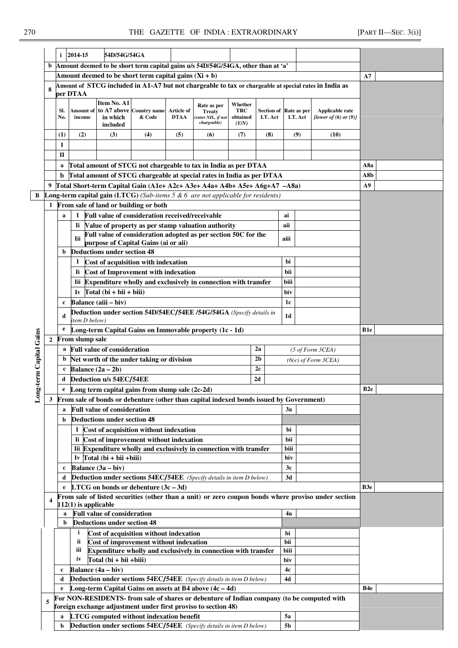|                       | $i$   2014-15<br>54D/54G/54GA |                                                                                     |                                                                            |                                                                          |                                                                                                                                |                           |                                    |                        |                |           |                                    |                                                                                                       |                 |
|-----------------------|-------------------------------|-------------------------------------------------------------------------------------|----------------------------------------------------------------------------|--------------------------------------------------------------------------|--------------------------------------------------------------------------------------------------------------------------------|---------------------------|------------------------------------|------------------------|----------------|-----------|------------------------------------|-------------------------------------------------------------------------------------------------------|-----------------|
|                       | b                             |                                                                                     |                                                                            |                                                                          | Amount deemed to be short term capital gains u/s 54D/54G/54GA, other than at 'a'                                               |                           |                                    |                        |                |           |                                    |                                                                                                       |                 |
|                       |                               |                                                                                     |                                                                            |                                                                          | Amount deemed to be short term capital gains $(Xi + b)$                                                                        |                           |                                    |                        |                |           |                                    |                                                                                                       | A7              |
|                       | 8                             |                                                                                     |                                                                            |                                                                          |                                                                                                                                |                           |                                    |                        |                |           |                                    | Amount of STCG included in A1-A7 but not chargeable to tax or chargeable at special rates in India as |                 |
|                       |                               |                                                                                     | per DTAA                                                                   |                                                                          |                                                                                                                                |                           |                                    |                        |                |           |                                    |                                                                                                       |                 |
|                       |                               |                                                                                     |                                                                            | Item No. A1                                                              |                                                                                                                                |                           | Rate as per                        | Whether                |                |           |                                    |                                                                                                       |                 |
|                       |                               | SI.<br>No.                                                                          | income                                                                     | in which                                                                 | Amount of to A7 above Country name<br>& Code                                                                                   | Article of<br><b>DTAA</b> | <b>Treaty</b><br>enter NIL, if not | <b>TRC</b><br>obtained | I.T. Act       |           | Section of Rate as per<br>I.T. Act | Applicable rate<br>[lower of $(6)$ or $(9)$ ]                                                         |                 |
|                       |                               |                                                                                     |                                                                            | included                                                                 |                                                                                                                                |                           | chargeable)                        | (Y/N)                  |                |           |                                    |                                                                                                       |                 |
|                       |                               | (1)                                                                                 | (2)                                                                        | (3)                                                                      | (4)                                                                                                                            | (5)                       | (6)                                | (7)                    | (8)            |           | (9)                                | (10)                                                                                                  |                 |
|                       |                               | 1                                                                                   |                                                                            |                                                                          |                                                                                                                                |                           |                                    |                        |                |           |                                    |                                                                                                       |                 |
|                       |                               | П                                                                                   |                                                                            |                                                                          |                                                                                                                                |                           |                                    |                        |                |           |                                    |                                                                                                       |                 |
|                       |                               | a                                                                                   |                                                                            |                                                                          | Total amount of STCG not chargeable to tax in India as per DTAA                                                                |                           |                                    |                        |                |           |                                    |                                                                                                       | A8a             |
|                       |                               | b.                                                                                  |                                                                            |                                                                          | Total amount of STCG chargeable at special rates in India as per DTAA                                                          |                           |                                    |                        |                |           |                                    |                                                                                                       | A8b             |
|                       |                               |                                                                                     |                                                                            |                                                                          | Total Short-term Capital Gain (A1e+ A2c+ A3e+ A4a+ A4b+ A5e+ A6g+A7 -A8a)                                                      |                           |                                    |                        |                |           |                                    |                                                                                                       | A9              |
| B                     |                               |                                                                                     |                                                                            |                                                                          | <b>Long-term capital gain (LTCG)</b> (Sub-items $5 \& 6$ are not applicable for residents)                                     |                           |                                    |                        |                |           |                                    |                                                                                                       |                 |
|                       |                               |                                                                                     |                                                                            |                                                                          | From sale of land or building or both                                                                                          |                           |                                    |                        |                |           |                                    |                                                                                                       |                 |
|                       |                               | a                                                                                   |                                                                            |                                                                          | Full value of consideration received/receivable                                                                                |                           |                                    |                        |                | ai        |                                    |                                                                                                       |                 |
|                       |                               |                                                                                     | -li                                                                        |                                                                          | Value of property as per stamp valuation authority                                                                             |                           |                                    |                        |                | aii       |                                    |                                                                                                       |                 |
|                       |                               |                                                                                     | <b>Tii</b>                                                                 |                                                                          | Full value of consideration adopted as per section 50C for the                                                                 |                           |                                    |                        |                | aiii      |                                    |                                                                                                       |                 |
|                       |                               | b                                                                                   |                                                                            | <b>Deductions under section 48</b>                                       | purpose of Capital Gains (ai or aii)                                                                                           |                           |                                    |                        |                |           |                                    |                                                                                                       |                 |
|                       |                               |                                                                                     | 1                                                                          |                                                                          | Cost of acquisition with indexation                                                                                            |                           |                                    |                        |                | bi        |                                    |                                                                                                       |                 |
|                       |                               |                                                                                     |                                                                            |                                                                          | Ii Cost of Improvement with indexation                                                                                         |                           |                                    |                        |                | bii       |                                    |                                                                                                       |                 |
|                       |                               |                                                                                     |                                                                            |                                                                          | Iii Expenditure wholly and exclusively in connection with transfer                                                             |                           |                                    |                        |                | biii      |                                    |                                                                                                       |                 |
|                       |                               |                                                                                     |                                                                            | Iv $Total (bi + bii + biii)$                                             |                                                                                                                                |                           |                                    |                        |                | biv       |                                    |                                                                                                       |                 |
|                       |                               | c                                                                                   |                                                                            | Balance (aiii – biv)                                                     |                                                                                                                                |                           |                                    |                        |                | 1c        |                                    |                                                                                                       |                 |
|                       |                               |                                                                                     | <b>Deduction under section 54D/54EC/54EE /54G/54GA</b> (Specify details in |                                                                          |                                                                                                                                |                           |                                    |                        |                |           |                                    |                                                                                                       |                 |
|                       |                               | 1 <sub>d</sub><br>d<br>item D below)                                                |                                                                            |                                                                          |                                                                                                                                |                           |                                    |                        |                |           |                                    |                                                                                                       |                 |
|                       |                               | Long-term Capital Gains on Immovable property (1c - 1d)<br>e                        |                                                                            |                                                                          |                                                                                                                                |                           |                                    |                        |                |           |                                    |                                                                                                       | B1e             |
|                       | $\mathbf{2}$                  |                                                                                     | From slump sale                                                            |                                                                          |                                                                                                                                |                           |                                    |                        |                |           |                                    |                                                                                                       |                 |
|                       |                               | a                                                                                   |                                                                            | <b>Full value of consideration</b>                                       |                                                                                                                                |                           |                                    |                        | 2a             |           |                                    | $(5 \text{ of Form } 3CEA)$                                                                           |                 |
|                       |                               | b                                                                                   |                                                                            |                                                                          | Net worth of the under taking or division                                                                                      |                           |                                    |                        | 2 <sub>b</sub> |           |                                    | $(6(e)$ of Form 3CEA)                                                                                 |                 |
|                       |                               | c                                                                                   | Balance $(2a - 2b)$                                                        |                                                                          |                                                                                                                                |                           |                                    |                        | 2c             |           |                                    |                                                                                                       |                 |
| ng-term Capital Gains |                               | d                                                                                   |                                                                            | Deduction u/s 54EC/54EE                                                  |                                                                                                                                |                           |                                    |                        | 2d             |           |                                    |                                                                                                       |                 |
|                       |                               | e                                                                                   |                                                                            |                                                                          | Long term capital gains from slump sale $(2c-2d)$                                                                              |                           |                                    |                        |                |           |                                    |                                                                                                       | B <sub>2e</sub> |
| قد                    | 3                             |                                                                                     |                                                                            |                                                                          | From sale of bonds or debenture (other than capital indexed bonds issued by Government)                                        |                           |                                    |                        |                |           |                                    |                                                                                                       |                 |
|                       |                               | a                                                                                   |                                                                            | <b>Full value of consideration</b><br><b>Deductions under section 48</b> |                                                                                                                                |                           |                                    |                        |                | 3a        |                                    |                                                                                                       |                 |
|                       |                               | b                                                                                   |                                                                            |                                                                          |                                                                                                                                |                           |                                    |                        |                |           |                                    |                                                                                                       |                 |
|                       |                               |                                                                                     | Ι.                                                                         |                                                                          | Cost of acquisition without indexation                                                                                         |                           |                                    |                        |                | bi<br>bii |                                    |                                                                                                       |                 |
|                       |                               |                                                                                     |                                                                            |                                                                          | Ii Cost of improvement without indexation<br>Iii Expenditure wholly and exclusively in connection with transfer                |                           |                                    |                        |                | biii      |                                    |                                                                                                       |                 |
|                       |                               |                                                                                     |                                                                            | Iv $\Gamma$ otal (bi + bii + biii)                                       |                                                                                                                                |                           |                                    |                        |                | biv       |                                    |                                                                                                       |                 |
|                       |                               | c                                                                                   |                                                                            | <b>Balance</b> $(3a - biv)$                                              |                                                                                                                                |                           |                                    |                        |                | 3c        |                                    |                                                                                                       |                 |
|                       |                               | d                                                                                   |                                                                            |                                                                          | <b>Deduction under sections 54EC/54EE</b> (Specify details in item D below)                                                    |                           |                                    |                        |                | 3d        |                                    |                                                                                                       |                 |
|                       |                               | e                                                                                   |                                                                            |                                                                          | <b>LTCG</b> on bonds or debenture $(3c - 3d)$                                                                                  |                           |                                    |                        |                |           |                                    |                                                                                                       | B3e             |
|                       | $\boldsymbol{4}$              |                                                                                     |                                                                            |                                                                          |                                                                                                                                |                           |                                    |                        |                |           |                                    | From sale of listed securities (other than a unit) or zero coupon bonds where proviso under section   |                 |
|                       |                               |                                                                                     | $12(1)$ is applicable                                                      |                                                                          |                                                                                                                                |                           |                                    |                        |                |           |                                    |                                                                                                       |                 |
|                       |                               | <b>Full value of consideration</b><br>4a<br>a<br><b>Deductions under section 48</b> |                                                                            |                                                                          |                                                                                                                                |                           |                                    |                        |                |           |                                    |                                                                                                       |                 |
|                       |                               | $\mathbf b$                                                                         | i.                                                                         |                                                                          |                                                                                                                                |                           |                                    |                        |                |           |                                    |                                                                                                       |                 |
|                       |                               |                                                                                     | ii.                                                                        |                                                                          | Cost of acquisition without indexation<br>Cost of improvement without indexation                                               |                           |                                    |                        |                | bi<br>bii |                                    |                                                                                                       |                 |
|                       |                               |                                                                                     | ш                                                                          |                                                                          | Expenditure wholly and exclusively in connection with transfer                                                                 |                           |                                    |                        |                | biii      |                                    |                                                                                                       |                 |
|                       |                               |                                                                                     | iv                                                                         | $Total (bi + bii + biii)$                                                |                                                                                                                                |                           |                                    |                        |                | biv       |                                    |                                                                                                       |                 |
|                       |                               | c                                                                                   | Balance (4a – biv)                                                         |                                                                          |                                                                                                                                |                           |                                    |                        |                | 4c        |                                    |                                                                                                       |                 |
|                       |                               | d                                                                                   |                                                                            |                                                                          | Deduction under sections 54EC/54EE (Specify details in item D below)                                                           |                           |                                    |                        |                | 4d        |                                    |                                                                                                       |                 |
|                       |                               | e                                                                                   |                                                                            |                                                                          | Long-term Capital Gains on assets at B4 above $(4c - 4d)$                                                                      |                           |                                    |                        |                |           |                                    |                                                                                                       | B4e             |
|                       | 5                             |                                                                                     |                                                                            |                                                                          | For NON-RESIDENTS- from sale of shares or debenture of Indian company (to be computed with                                     |                           |                                    |                        |                |           |                                    |                                                                                                       |                 |
|                       |                               |                                                                                     |                                                                            |                                                                          | foreign exchange adjustment under first proviso to section 48)                                                                 |                           |                                    |                        |                |           |                                    |                                                                                                       |                 |
|                       |                               | a<br>b                                                                              |                                                                            |                                                                          | <b>LTCG</b> computed without indexation benefit<br><b>Deduction under sections 54EC/54EE</b> (Specify details in item D below) |                           |                                    |                        |                | 5a<br>5b  |                                    |                                                                                                       |                 |
|                       |                               |                                                                                     |                                                                            |                                                                          |                                                                                                                                |                           |                                    |                        |                |           |                                    |                                                                                                       |                 |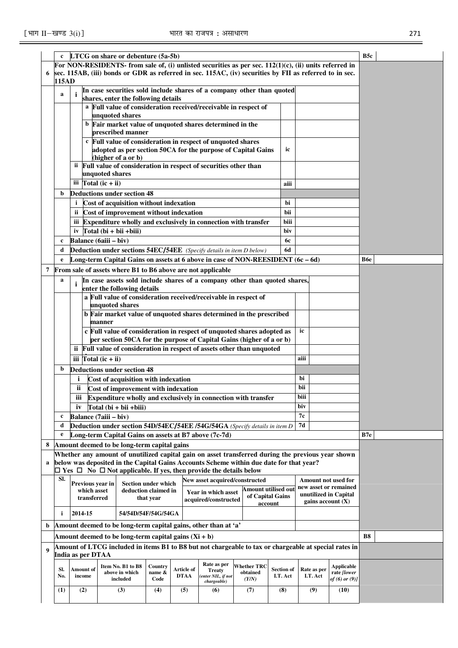|                  | LTCG on share or debenture (5a-5b)                                                                                                                           |                                                                                                                            |                                     |                |             |                                                                 |                                                                           |                   |      |             |                               | B5c       |  |
|------------------|--------------------------------------------------------------------------------------------------------------------------------------------------------------|----------------------------------------------------------------------------------------------------------------------------|-------------------------------------|----------------|-------------|-----------------------------------------------------------------|---------------------------------------------------------------------------|-------------------|------|-------------|-------------------------------|-----------|--|
|                  |                                                                                                                                                              | For NON-RESIDENTS- from sale of, (i) unlisted securities as per sec. $112(1)(c)$ , (ii) units referred in                  |                                     |                |             |                                                                 |                                                                           |                   |      |             |                               |           |  |
|                  | sec. 115AB, (iii) bonds or GDR as referred in sec. 115AC, (iv) securities by FII as referred to in sec.                                                      |                                                                                                                            |                                     |                |             |                                                                 |                                                                           |                   |      |             |                               |           |  |
|                  | 115AD                                                                                                                                                        |                                                                                                                            |                                     |                |             |                                                                 |                                                                           |                   |      |             |                               |           |  |
|                  | a                                                                                                                                                            | i<br>shares, enter the following details                                                                                   |                                     |                |             |                                                                 | In case securities sold include shares of a company other than quoted     |                   |      |             |                               |           |  |
|                  |                                                                                                                                                              |                                                                                                                            | unquoted shares                     |                |             |                                                                 | a Full value of consideration received/receivable in respect of           |                   |      |             |                               |           |  |
|                  |                                                                                                                                                              |                                                                                                                            | <b>prescribed</b> manner            |                |             | b Fair market value of unquoted shares determined in the        |                                                                           |                   |      |             |                               |           |  |
|                  |                                                                                                                                                              |                                                                                                                            |                                     |                |             | c Full value of consideration in respect of unquoted shares     | adopted as per section 50CA for the purpose of Capital Gains              | ic                |      |             |                               |           |  |
|                  |                                                                                                                                                              | ii Full value of consideration in respect of securities other than<br>unquoted shares                                      | (higher of a or b)                  |                |             |                                                                 |                                                                           |                   |      |             |                               |           |  |
|                  |                                                                                                                                                              | iii $\Gamma$ otal (ic + ii)                                                                                                |                                     |                |             |                                                                 |                                                                           | aiii              |      |             |                               |           |  |
|                  | b                                                                                                                                                            | <b>Deductions under section 48</b>                                                                                         |                                     |                |             |                                                                 |                                                                           |                   |      |             |                               |           |  |
|                  |                                                                                                                                                              | Cost of acquisition without indexation<br>i                                                                                |                                     |                |             |                                                                 |                                                                           | bi                |      |             |                               |           |  |
|                  |                                                                                                                                                              | Cost of improvement without indexation<br>ii                                                                               |                                     |                |             |                                                                 |                                                                           | bii               |      |             |                               |           |  |
|                  |                                                                                                                                                              | iii Expenditure wholly and exclusively in connection with transfer                                                         |                                     |                |             |                                                                 |                                                                           | biii              |      |             |                               |           |  |
|                  |                                                                                                                                                              | iv Total $(bi + bii + biii)$                                                                                               |                                     |                |             |                                                                 |                                                                           | biv               |      |             |                               |           |  |
|                  | $\mathbf c$                                                                                                                                                  | <b>Balance (6aiii - biv)</b>                                                                                               |                                     |                |             |                                                                 |                                                                           | <b>6c</b>         |      |             |                               |           |  |
|                  | d                                                                                                                                                            | <b>Deduction under sections 54EC/54EE</b> (Specify details in item D below)                                                |                                     |                |             |                                                                 |                                                                           | 6d                |      |             |                               |           |  |
|                  | $\mathbf e$                                                                                                                                                  | Long-term Capital Gains on assets at 6 above in case of NON-REESIDENT (6c-6d)                                              |                                     |                |             |                                                                 |                                                                           |                   |      |             |                               | B6e       |  |
|                  |                                                                                                                                                              |                                                                                                                            |                                     |                |             |                                                                 |                                                                           |                   |      |             |                               |           |  |
| 7                |                                                                                                                                                              | From sale of assets where B1 to B6 above are not applicable                                                                |                                     |                |             |                                                                 |                                                                           |                   |      |             |                               |           |  |
|                  | a                                                                                                                                                            | i                                                                                                                          |                                     |                |             |                                                                 | In case assets sold include shares of a company other than quoted shares, |                   |      |             |                               |           |  |
|                  |                                                                                                                                                              | enter the following details                                                                                                |                                     |                |             | a Full value of consideration received/receivable in respect of |                                                                           |                   |      |             |                               |           |  |
|                  |                                                                                                                                                              |                                                                                                                            | unquoted shares                     |                |             |                                                                 |                                                                           |                   |      |             |                               |           |  |
|                  |                                                                                                                                                              |                                                                                                                            |                                     |                |             |                                                                 | b Fair market value of unquoted shares determined in the prescribed       |                   |      |             |                               |           |  |
|                  |                                                                                                                                                              | manner                                                                                                                     |                                     |                |             |                                                                 |                                                                           |                   |      |             |                               |           |  |
|                  |                                                                                                                                                              |                                                                                                                            |                                     |                |             |                                                                 | c Full value of consideration in respect of unquoted shares adopted as    |                   | ic   |             |                               |           |  |
|                  |                                                                                                                                                              |                                                                                                                            |                                     |                |             |                                                                 | per section 50CA for the purpose of Capital Gains (higher of a or b)      |                   |      |             |                               |           |  |
|                  |                                                                                                                                                              | ii Full value of consideration in respect of assets other than unquoted                                                    |                                     |                |             |                                                                 |                                                                           |                   |      |             |                               |           |  |
|                  |                                                                                                                                                              | iii $\int \text{Total}$ (ic + ii)                                                                                          |                                     |                |             |                                                                 |                                                                           |                   | aiii |             |                               |           |  |
|                  | b                                                                                                                                                            | <b>Deductions under section 48</b>                                                                                         |                                     |                |             |                                                                 |                                                                           |                   |      |             |                               |           |  |
|                  |                                                                                                                                                              | i                                                                                                                          | Cost of acquisition with indexation |                |             |                                                                 |                                                                           |                   | bi   |             |                               |           |  |
|                  |                                                                                                                                                              | ii                                                                                                                         | Cost of improvement with indexation |                |             |                                                                 |                                                                           |                   | bii  |             |                               |           |  |
|                  |                                                                                                                                                              | Ш                                                                                                                          |                                     |                |             |                                                                 | Expenditure wholly and exclusively in connection with transfer            |                   | biii |             |                               |           |  |
|                  |                                                                                                                                                              | iv                                                                                                                         | Total (bi + bii + biii)             |                |             |                                                                 |                                                                           |                   | biv  |             |                               |           |  |
|                  | $\mathbf c$                                                                                                                                                  | Balance (7aiii - biv)                                                                                                      |                                     |                |             |                                                                 |                                                                           |                   | 7с   |             |                               |           |  |
|                  | d                                                                                                                                                            | Deduction under section 54D/54EC/54EE /54G/54GA (Specify details in item D                                                 |                                     |                |             |                                                                 |                                                                           |                   | 7d   |             |                               |           |  |
|                  | e                                                                                                                                                            | Long-term Capital Gains on assets at B7 above (7c-7d)                                                                      |                                     |                |             |                                                                 |                                                                           |                   |      |             |                               | B7e       |  |
| 8                |                                                                                                                                                              | Amount deemed to be long-term capital gains                                                                                |                                     |                |             |                                                                 |                                                                           |                   |      |             |                               |           |  |
|                  |                                                                                                                                                              | Whether any amount of unutilized capital gain on asset transferred during the previous year shown                          |                                     |                |             |                                                                 |                                                                           |                   |      |             |                               |           |  |
| a                |                                                                                                                                                              | below was deposited in the Capital Gains Accounts Scheme within due date for that year?                                    |                                     |                |             |                                                                 |                                                                           |                   |      |             |                               |           |  |
|                  |                                                                                                                                                              | $\Box$ Yes $\Box$ No $\Box$ Not applicable. If yes, then provide the details below                                         |                                     |                |             |                                                                 |                                                                           |                   |      |             |                               |           |  |
|                  | SI.                                                                                                                                                          |                                                                                                                            |                                     |                |             | New asset acquired/constructed                                  |                                                                           |                   |      |             | <b>Amount not used for</b>    |           |  |
|                  | <b>Section under which</b><br>Previous year in<br>new asset or remained<br>Amount utilised out<br>which asset<br>deduction claimed in<br>Year in which asset |                                                                                                                            |                                     |                |             |                                                                 |                                                                           |                   |      |             |                               |           |  |
|                  | unutilized in Capital<br>of Capital Gains<br>transferred<br>that year<br>acquired/constructed<br>gains account $(X)$                                         |                                                                                                                            |                                     |                |             |                                                                 |                                                                           |                   |      |             |                               |           |  |
|                  | account<br>2014-15<br>54/54D/54F/54G/54GA<br>i                                                                                                               |                                                                                                                            |                                     |                |             |                                                                 |                                                                           |                   |      |             |                               |           |  |
| b                |                                                                                                                                                              | Amount deemed to be long-term capital gains, other than at 'a'                                                             |                                     |                |             |                                                                 |                                                                           |                   |      |             |                               |           |  |
|                  |                                                                                                                                                              |                                                                                                                            |                                     |                |             |                                                                 |                                                                           |                   |      |             |                               | <b>B8</b> |  |
|                  |                                                                                                                                                              | Amount deemed to be long-term capital gains $(Xi + b)$                                                                     |                                     |                |             |                                                                 |                                                                           |                   |      |             |                               |           |  |
| $\boldsymbol{Q}$ |                                                                                                                                                              | Amount of LTCG included in items B1 to B8 but not chargeable to tax or chargeable at special rates in<br>India as per DTAA |                                     |                |             |                                                                 |                                                                           |                   |      |             |                               |           |  |
|                  | Sl.                                                                                                                                                          | Amount of                                                                                                                  | Item No. B1 to B8                   | Country        | Article of  | Rate as per                                                     | <b>Whether TRC</b>                                                        | <b>Section of</b> |      | Rate as per | <b>Applicable</b>             |           |  |
|                  | No.                                                                                                                                                          | income                                                                                                                     | above in which<br>included          | name &<br>Code | <b>DTAA</b> | <b>Treaty</b><br>enter NIL, if not                              | obtained<br>(Y/N)                                                         | I.T. Act          |      | I.T. Act    | rate [lower<br>of (6) or (9)] |           |  |
|                  | (1)                                                                                                                                                          | (2)                                                                                                                        | (3)                                 | (4)            | (5)         | chargeable)<br>(6)                                              | (7)                                                                       | (8)               |      | (9)         | (10)                          |           |  |
|                  |                                                                                                                                                              |                                                                                                                            |                                     |                |             |                                                                 |                                                                           |                   |      |             |                               |           |  |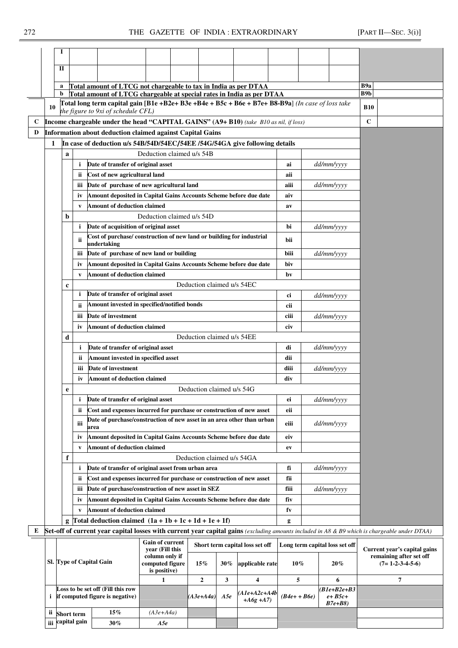### 272 THE GAZETTE OF INDIA : EXTRAORDINARY [PART II—SEC. 3(i)]

|   |    | 1            |                                                          |                                                                                                                                          |                                   |  |             |                            |                                 |                                                                                                                                               |                |        |                             |                                                         |   |
|---|----|--------------|----------------------------------------------------------|------------------------------------------------------------------------------------------------------------------------------------------|-----------------------------------|--|-------------|----------------------------|---------------------------------|-----------------------------------------------------------------------------------------------------------------------------------------------|----------------|--------|-----------------------------|---------------------------------------------------------|---|
|   |    |              |                                                          |                                                                                                                                          |                                   |  |             |                            |                                 |                                                                                                                                               |                |        |                             |                                                         |   |
|   |    | $\mathbf{I}$ |                                                          |                                                                                                                                          |                                   |  |             |                            |                                 |                                                                                                                                               |                |        |                             |                                                         |   |
|   |    |              |                                                          |                                                                                                                                          |                                   |  |             |                            |                                 |                                                                                                                                               |                |        |                             |                                                         |   |
|   |    | a<br>b       |                                                          | Total amount of LTCG not chargeable to tax in India as per DTAA<br>Total amount of LTCG chargeable at special rates in India as per DTAA |                                   |  |             |                            |                                 |                                                                                                                                               |                |        |                             | B9a<br>B9b                                              |   |
|   |    |              |                                                          | Total long term capital gain [B1e +B2e+ B3e +B4e + B5c + B6e + B7e+ B8-B9a] (In case of loss take                                        |                                   |  |             |                            |                                 |                                                                                                                                               |                |        |                             |                                                         |   |
|   | 10 |              |                                                          | the figure to 9xi of schedule CFL)                                                                                                       |                                   |  |             |                            |                                 |                                                                                                                                               |                |        |                             | <b>B10</b>                                              |   |
| C |    |              |                                                          | <b>Income chargeable under the head "CAPITAL GAINS" (A9+ B10)</b> (take B10 as nil, if loss)                                             |                                   |  |             |                            |                                 |                                                                                                                                               |                |        |                             | $\mathbf C$                                             |   |
| D |    |              |                                                          | Information about deduction claimed against Capital Gains                                                                                |                                   |  |             |                            |                                 |                                                                                                                                               |                |        |                             |                                                         |   |
|   | 1  |              |                                                          | In case of deduction u/s 54B/54D/54EC/54EE /54G/54GA give following details                                                              |                                   |  |             |                            |                                 |                                                                                                                                               |                |        |                             |                                                         |   |
|   |    | a            |                                                          |                                                                                                                                          | Deduction claimed u/s 54B         |  |             |                            |                                 |                                                                                                                                               |                |        |                             |                                                         |   |
|   |    |              | i                                                        | Date of transfer of original asset                                                                                                       |                                   |  |             |                            |                                 | ai                                                                                                                                            |                |        | <i>dd/mm/yyyy</i>           |                                                         |   |
|   |    |              | ii                                                       | Cost of new agricultural land                                                                                                            |                                   |  |             |                            |                                 | aii                                                                                                                                           |                |        |                             |                                                         |   |
|   |    |              | Ш                                                        | Date of purchase of new agricultural land                                                                                                |                                   |  |             |                            |                                 | aiii                                                                                                                                          |                |        | dd/mm/yyyy                  |                                                         |   |
|   |    |              | iv                                                       | Amount deposited in Capital Gains Accounts Scheme before due date                                                                        |                                   |  |             |                            |                                 | aiv                                                                                                                                           |                |        |                             |                                                         |   |
|   |    |              | $\mathbf{v}$                                             | <b>Amount of deduction claimed</b>                                                                                                       |                                   |  |             |                            |                                 | av                                                                                                                                            |                |        |                             |                                                         |   |
|   |    | b            |                                                          |                                                                                                                                          | Deduction claimed u/s 54D         |  |             |                            |                                 |                                                                                                                                               |                |        |                             |                                                         |   |
|   |    |              | i                                                        | Date of acquisition of original asset                                                                                                    |                                   |  |             |                            |                                 | bi                                                                                                                                            |                |        | dd/mm/yyyy                  |                                                         |   |
|   |    |              | ii                                                       | Cost of purchase/construction of new land or building for industrial<br>undertaking                                                      |                                   |  |             |                            |                                 | bii                                                                                                                                           |                |        |                             |                                                         |   |
|   |    |              | iii                                                      | Date of purchase of new land or building                                                                                                 |                                   |  |             |                            |                                 | biii                                                                                                                                          |                |        | dd/mm/yyyy                  |                                                         |   |
|   |    |              | iv                                                       | Amount deposited in Capital Gains Accounts Scheme before due date                                                                        |                                   |  |             |                            |                                 | biv                                                                                                                                           |                |        |                             |                                                         |   |
|   |    |              | $\mathbf{v}$                                             | <b>Amount of deduction claimed</b>                                                                                                       |                                   |  |             |                            |                                 | bv                                                                                                                                            |                |        |                             |                                                         |   |
|   |    | c            |                                                          |                                                                                                                                          |                                   |  |             | Deduction claimed u/s 54EC |                                 |                                                                                                                                               |                |        |                             |                                                         |   |
|   |    |              | i                                                        | Date of transfer of original asset                                                                                                       |                                   |  |             |                            |                                 | ci                                                                                                                                            |                |        | dd/mm/yyyy                  |                                                         |   |
|   |    |              | Amount invested in specified/notified bonds<br>ii<br>cii |                                                                                                                                          |                                   |  |             |                            |                                 |                                                                                                                                               |                |        |                             |                                                         |   |
|   |    |              | iii                                                      | Date of investment                                                                                                                       |                                   |  |             |                            |                                 | ciii                                                                                                                                          |                |        | dd/mm/yyyy                  |                                                         |   |
|   |    |              | iv                                                       | <b>Amount of deduction claimed</b>                                                                                                       |                                   |  |             |                            |                                 | civ                                                                                                                                           |                |        |                             |                                                         |   |
|   |    | d            |                                                          |                                                                                                                                          |                                   |  |             | Deduction claimed u/s 54EE |                                 |                                                                                                                                               |                |        |                             |                                                         |   |
|   |    |              | i                                                        | Date of transfer of original asset                                                                                                       |                                   |  |             |                            |                                 | di                                                                                                                                            |                |        | dd/mm/yyyy                  |                                                         |   |
|   |    |              | ii                                                       | Amount invested in specified asset                                                                                                       |                                   |  |             |                            |                                 | dii                                                                                                                                           |                |        |                             |                                                         |   |
|   |    |              | iii                                                      | Date of investment                                                                                                                       |                                   |  |             |                            |                                 | diii                                                                                                                                          |                |        | dd/mm/yyyy                  |                                                         |   |
|   |    |              | iv                                                       | <b>Amount of deduction claimed</b>                                                                                                       |                                   |  |             |                            |                                 | div                                                                                                                                           |                |        |                             |                                                         |   |
|   |    | e            |                                                          |                                                                                                                                          |                                   |  |             | Deduction claimed u/s 54G  |                                 |                                                                                                                                               |                |        |                             |                                                         |   |
|   |    |              | i                                                        | Date of transfer of original asset                                                                                                       |                                   |  |             |                            |                                 | ei                                                                                                                                            |                |        | dd/mm/yyyy                  |                                                         |   |
|   |    |              | ii                                                       | Cost and expenses incurred for purchase or construction of new asset                                                                     |                                   |  |             |                            |                                 | eii                                                                                                                                           |                |        |                             |                                                         |   |
|   |    |              | iii                                                      | Date of purchase/construction of new asset in an area other than urban                                                                   |                                   |  |             |                            |                                 | eiii                                                                                                                                          |                |        | dd/mm/yyyy                  |                                                         |   |
|   |    |              | iv                                                       | area<br>Amount deposited in Capital Gains Accounts Scheme before due date                                                                |                                   |  |             |                            |                                 | eiv                                                                                                                                           |                |        |                             |                                                         |   |
|   |    |              | $\mathbf{v}$                                             | <b>Amount of deduction claimed</b>                                                                                                       |                                   |  |             |                            |                                 | ev                                                                                                                                            |                |        |                             |                                                         |   |
|   |    | f            |                                                          |                                                                                                                                          |                                   |  |             |                            | Deduction claimed u/s 54GA      |                                                                                                                                               |                |        |                             |                                                         |   |
|   |    |              | i                                                        | Date of transfer of original asset from urban area                                                                                       |                                   |  |             |                            |                                 | fi                                                                                                                                            |                |        | dd/mm/yyyy                  |                                                         |   |
|   |    |              | ii                                                       | Cost and expenses incurred for purchase or construction of new asset                                                                     |                                   |  |             |                            |                                 | fii                                                                                                                                           |                |        |                             |                                                         |   |
|   |    |              | Ш                                                        | Date of purchase/construction of new asset in SEZ                                                                                        |                                   |  |             |                            |                                 | fiii                                                                                                                                          |                |        | dd/mm/yyyy                  |                                                         |   |
|   |    |              | iv                                                       | Amount deposited in Capital Gains Accounts Scheme before due date                                                                        |                                   |  |             |                            |                                 | fiv                                                                                                                                           |                |        |                             |                                                         |   |
|   |    |              | $\mathbf{v}$                                             | <b>Amount of deduction claimed</b>                                                                                                       |                                   |  |             |                            |                                 | fv                                                                                                                                            |                |        |                             |                                                         |   |
|   |    |              |                                                          | g Total deduction claimed $(1a + 1b + 1c + 1d + 1e + 1f)$                                                                                |                                   |  |             |                            |                                 | g                                                                                                                                             |                |        |                             |                                                         |   |
| Е |    |              |                                                          |                                                                                                                                          |                                   |  |             |                            |                                 | Set-off of current year capital losses with current year capital gains (excluding amounts included in A8 & B9 which is chargeable under DTAA) |                |        |                             |                                                         |   |
|   |    |              |                                                          |                                                                                                                                          | Gain of current                   |  |             |                            | Short term capital loss set off | Long term capital loss set off                                                                                                                |                |        |                             |                                                         |   |
|   |    |              |                                                          |                                                                                                                                          | year (Fill this<br>column only if |  |             |                            |                                 |                                                                                                                                               |                |        |                             | Current year's capital gains<br>remaining after set off |   |
|   |    |              |                                                          | Sl. Type of Capital Gain                                                                                                                 | computed figure                   |  | 15%         | $30\%$                     | applicable rate                 | $10\%$                                                                                                                                        |                | $20\%$ |                             | $(7=1-2-3-4-5-6)$                                       |   |
|   |    |              |                                                          |                                                                                                                                          | is positive)                      |  |             |                            |                                 | 5                                                                                                                                             |                |        |                             |                                                         |   |
|   |    |              |                                                          |                                                                                                                                          | 1                                 |  | 2           | 3                          | 4                               |                                                                                                                                               |                |        | 6                           |                                                         | 7 |
|   | i. |              |                                                          | Loss to be set off (Fill this row<br>if computed figure is negative)                                                                     |                                   |  | $(A3e+A4a)$ | A5e                        | (A1e+A2c+A4b                    |                                                                                                                                               | $(B4e+ + B6e)$ |        | $B1e+B2e+B3$<br>$e + B5c +$ |                                                         |   |

*+A6g +A7) (B4e+ + B6e)*

*e+ B5c+ B7e+B8)*

**ii Short term** 

**capital gain iii 30%** *A5e* 

**15%** *(A3e+A4a)*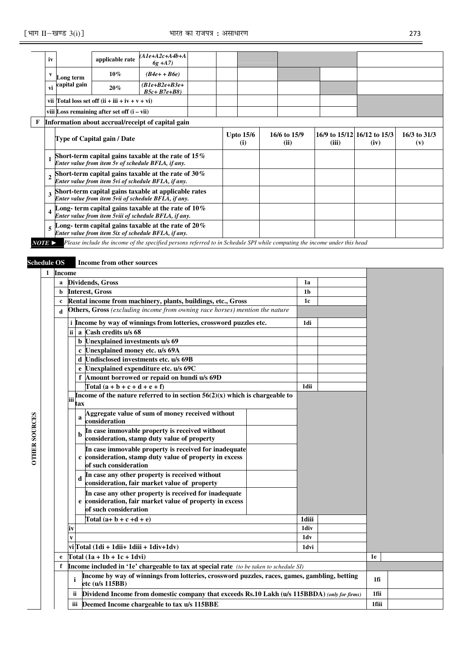|   | iv            |                 | applicable rate                                   | $(A1e+A2c+A4b+A)$<br>$6g + A7$                                                                                |                    |                      |       |                                     |                         |
|---|---------------|-----------------|---------------------------------------------------|---------------------------------------------------------------------------------------------------------------|--------------------|----------------------|-------|-------------------------------------|-------------------------|
|   | V             | Long term       | $10\%$                                            | $(B4e+ + B6e)$                                                                                                |                    |                      |       |                                     |                         |
|   |               | vi capital gain | 20%                                               | $(B1e+B2e+B3e+$<br>$B5c + B7e + B8$                                                                           |                    |                      |       |                                     |                         |
|   |               |                 | vii Total loss set off $(ii + iii + iv + v + vi)$ |                                                                                                               |                    |                      |       |                                     |                         |
|   |               |                 | viii Loss remaining after set off $(i - vii)$     |                                                                                                               |                    |                      |       |                                     |                         |
| F |               |                 |                                                   | Information about accrual/receipt of capital gain                                                             |                    |                      |       |                                     |                         |
|   |               |                 | Type of Capital gain / Date                       |                                                                                                               | Upto $15/6$<br>(i) | 16/6 to 15/9<br>(ii) | (iii) | 16/9 to 15/12 16/12 to 15/3<br>(iv) | $16/3$ to $31/3$<br>(v) |
|   |               |                 |                                                   | Short-term capital gains taxable at the rate of $15\%$<br>Enter value from item 5v of schedule BFLA, if any.  |                    |                      |       |                                     |                         |
|   | $\mathcal{D}$ |                 |                                                   | Short-term capital gains taxable at the rate of $30\%$<br>Enter value from item 5vi of schedule BFLA, if any. |                    |                      |       |                                     |                         |
|   | $\mathbf{3}$  |                 |                                                   | Short-term capital gains taxable at applicable rates<br>Enter value from item 5vii of schedule BFLA, if any.  |                    |                      |       |                                     |                         |

**<sup>4</sup>Long- term capital gains taxable at the rate of 10%**  *Enter value from item 5viii of schedule BFLA, if any.* **<sup>5</sup>Long- term capital gains taxable at the rate of 20%**  *Enter value from item 5ix of schedule BFLA, if any.*

 *NOTE* ► *Please include the income of the specified persons referred to in Schedule SPI while computing the income under this head*

#### **Schedule OS Income from other sources**

**OTHER SOURCES** 

#### **OTHER SOURCES 1 Income a Dividends, Gross 1a b Interest, Gross 1 1b c Rental income from machinery, plants, buildings, etc., Gross 1c d Others, Gross** *(excluding income from owning race horses) mention the nature*  **Income by way of winnings from lotteries, crossword puzzles etc.** | 1di **ii a Cash credits u/s 68 b Unexplained investments u/s 69 c Unexplained money etc. u/s 69A d Undisclosed investments etc. u/s 69B e Unexplained expenditure etc. u/s 69C f Amount borrowed or repaid on hundi u/s 69D**   $\text{Total } (a + b + c + d + e + f)$  1dii **Income of the nature referred to in section**  $56(2)(x)$  **which is chargeable to**  $\frac{1}{2}$ **tax a Aggregate value of sum of money received without consideration b In case immovable property is received without consideration, stamp duty value of property c In case immovable property is received for inadequate consideration, stamp duty value of property in excess of such consideration d In case any other property is received without consideration, fair market value of property e In case any other property is received for inadequate consideration, fair market value of property in excess of such consideration**   $\text{Total} (\mathbf{a} + \mathbf{b} + \mathbf{c} + \mathbf{d} + \mathbf{e})$  1diii **iv 1div v 1dv vi Total (1di + 1dii+ 1diii + 1div+1dv) 1dvi e Total (1a + 1b + 1c + 1dvi) 1e f Income included in '1e' chargeable to tax at special rate** *(to be taken to schedule SI)* **i** Income by way of winnings from lotteries, crossword puzzles, races, games, gambling, betting **1fi 1fi 1fi ii Dividend Income from domestic company that exceeds Rs.10 Lakh (u/s 115BBDA)** *(only for firms)* **1fii iii Deemed Income chargeable to tax u/s 115BBE 1fiii**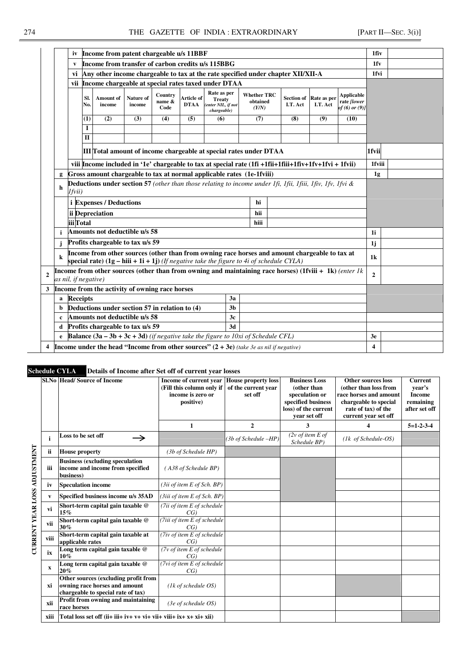|                |              | iv                                                                                                     |                                                                       | Income from patent chargeable u/s 11BBF                                                                             |                     |                           |                           |                                                                                                                                                                                             | 1fiv                                    |  |          |                                    |                                                   |                |  |
|----------------|--------------|--------------------------------------------------------------------------------------------------------|-----------------------------------------------------------------------|---------------------------------------------------------------------------------------------------------------------|---------------------|---------------------------|---------------------------|---------------------------------------------------------------------------------------------------------------------------------------------------------------------------------------------|-----------------------------------------|--|----------|------------------------------------|---------------------------------------------------|----------------|--|
|                |              | $\mathbf{v}$                                                                                           |                                                                       |                                                                                                                     |                     |                           |                           | Income from transfer of carbon credits u/s 115BBG                                                                                                                                           |                                         |  |          |                                    |                                                   | 1fv            |  |
|                |              | vi                                                                                                     |                                                                       |                                                                                                                     |                     |                           |                           | Any other income chargeable to tax at the rate specified under chapter XII/XII-A                                                                                                            |                                         |  |          |                                    |                                                   | 1fvi           |  |
|                |              | vii                                                                                                    |                                                                       |                                                                                                                     |                     |                           |                           | Income chargeable at special rates taxed under DTAA                                                                                                                                         |                                         |  |          |                                    |                                                   |                |  |
|                |              |                                                                                                        | Sl.<br>No.                                                            | Amount of<br>income                                                                                                 | Nature of<br>income | Country<br>name &<br>Code | Article of<br><b>DTAA</b> | Rate as per<br><b>Treaty</b><br>enter NIL, if not<br>chargeable)                                                                                                                            | <b>Whether TRC</b><br>obtained<br>(Y/N) |  | I.T. Act | Section of Rate as per<br>I.T. Act | <b>Applicable</b><br>rate [lower<br>of (6) or (9) |                |  |
|                |              |                                                                                                        | (1)                                                                   | (2)                                                                                                                 | (3)                 | (4)                       | (5)                       | (6)                                                                                                                                                                                         | (7)                                     |  | (8)      | (9)                                | (10)                                              |                |  |
|                |              |                                                                                                        | 1                                                                     |                                                                                                                     |                     |                           |                           |                                                                                                                                                                                             |                                         |  |          |                                    |                                                   |                |  |
|                |              |                                                                                                        | $\mathbf{I}$                                                          |                                                                                                                     |                     |                           |                           |                                                                                                                                                                                             |                                         |  |          |                                    |                                                   |                |  |
|                |              | III Total amount of income chargeable at special rates under DTAA                                      |                                                                       |                                                                                                                     |                     |                           |                           |                                                                                                                                                                                             |                                         |  |          |                                    | 1fvii                                             |                |  |
|                |              | viii Income included in '1e' chargeable to tax at special rate (1fi +1fii+1fiii+1fiv+1fv+1fvi + 1fvii) |                                                                       |                                                                                                                     |                     |                           |                           |                                                                                                                                                                                             |                                         |  |          |                                    | 1fviii                                            |                |  |
|                | g            |                                                                                                        | Gross amount chargeable to tax at normal applicable rates (1e-1fviii) |                                                                                                                     |                     |                           |                           |                                                                                                                                                                                             |                                         |  |          |                                    |                                                   | 1g             |  |
|                | h            | 1fvii)                                                                                                 |                                                                       | <b>Deductions under section 57</b> (other than those relating to income under 1fi, 1fii, 1fii, 1fiv, 1fv, 1fvi $\&$ |                     |                           |                           |                                                                                                                                                                                             |                                         |  |          |                                    |                                                   |                |  |
|                |              |                                                                                                        |                                                                       | <i>i</i> Expenses / Deductions                                                                                      |                     |                           |                           |                                                                                                                                                                                             | hi                                      |  |          |                                    |                                                   |                |  |
|                |              |                                                                                                        |                                                                       | ii Depreciation                                                                                                     |                     |                           |                           |                                                                                                                                                                                             | hii                                     |  |          |                                    |                                                   |                |  |
|                |              | iii Total                                                                                              |                                                                       |                                                                                                                     |                     |                           |                           |                                                                                                                                                                                             | hiii                                    |  |          |                                    |                                                   |                |  |
|                | i            |                                                                                                        |                                                                       | Amounts not deductible u/s 58                                                                                       |                     |                           |                           |                                                                                                                                                                                             |                                         |  |          |                                    |                                                   | 1i             |  |
|                |              |                                                                                                        |                                                                       | Profits chargeable to tax u/s 59                                                                                    |                     |                           |                           |                                                                                                                                                                                             |                                         |  |          |                                    |                                                   | 1j             |  |
|                |              |                                                                                                        |                                                                       |                                                                                                                     |                     |                           |                           | Income from other sources (other than from owning race horses and amount chargeable to tax at<br>special rate) $(1g - hiii + 1i + 1j)$ (If negative take the figure to 4i of schedule CYLA) |                                         |  |          |                                    |                                                   | 1 <sub>k</sub> |  |
| $\overline{2}$ |              | as nil, if negative)                                                                                   |                                                                       |                                                                                                                     |                     |                           |                           | Income from other sources (other than from owning and maintaining race horses) (1fviii + 1k) (enter 1k                                                                                      |                                         |  |          |                                    |                                                   | $\overline{2}$ |  |
| 3              |              |                                                                                                        | Income from the activity of owning race horses                        |                                                                                                                     |                     |                           |                           |                                                                                                                                                                                             |                                         |  |          |                                    |                                                   |                |  |
|                | a            |                                                                                                        | <b>Receipts</b><br>3a                                                 |                                                                                                                     |                     |                           |                           |                                                                                                                                                                                             |                                         |  |          |                                    |                                                   |                |  |
|                |              |                                                                                                        |                                                                       | b Deductions under section 57 in relation to $(4)$                                                                  |                     |                           |                           | 3 <sub>b</sub>                                                                                                                                                                              |                                         |  |          |                                    |                                                   |                |  |
|                | $\mathbf{c}$ |                                                                                                        |                                                                       | Amounts not deductible u/s 58                                                                                       |                     |                           |                           | 3c                                                                                                                                                                                          |                                         |  |          |                                    |                                                   |                |  |
|                | d            |                                                                                                        |                                                                       | Profits chargeable to tax u/s 59                                                                                    |                     |                           |                           | 3d                                                                                                                                                                                          |                                         |  |          |                                    |                                                   |                |  |
|                | $\mathbf{e}$ |                                                                                                        |                                                                       |                                                                                                                     |                     |                           |                           | <b>Balance (3a – 3b + 3c + 3d)</b> (if negative take the figure to 10xi of Schedule CFL)                                                                                                    |                                         |  |          |                                    |                                                   | 3e             |  |
| 4              |              | <b>Income under the head "Income from other sources"</b> $(2 + 3e)$ (take 3e as nil if negative)       |                                                                       |                                                                                                                     |                     |                           |                           |                                                                                                                                                                                             |                                         |  |          |                                    | 4                                                 |                |  |

## **Schedule CYLA Details of Income after Set off of current year losses**

|                                     |              | <b>Sl.No Head/Source of Income</b>                                                                          | Income of current year<br>(Fill this column only if<br>income is zero or<br>positive) | <b>House property loss</b><br>of the current year<br>set off | <b>Business Loss</b><br>(other than<br>speculation or<br>specified business<br>loss) of the current<br>vear set off | Other sources loss<br>(other than loss from<br>race horses and amount<br>chargeable to special<br>rate of tax) of the<br>current year set off | <b>Current</b><br>year's<br><b>Income</b><br>remaining<br>after set off |
|-------------------------------------|--------------|-------------------------------------------------------------------------------------------------------------|---------------------------------------------------------------------------------------|--------------------------------------------------------------|---------------------------------------------------------------------------------------------------------------------|-----------------------------------------------------------------------------------------------------------------------------------------------|-------------------------------------------------------------------------|
|                                     |              |                                                                                                             | 1                                                                                     | $\mathbf{2}$                                                 | 3                                                                                                                   | 4                                                                                                                                             | $5=1-2-3-4$                                                             |
|                                     | i            | Loss to be set off<br>$\rightarrow$                                                                         |                                                                                       | $(3b \text{ of Schedule }-HP)$                               | $(2v \text{ of item } E \text{ of }$<br>Schedule BP)                                                                | $(lk \text{ of Schedule-OS})$                                                                                                                 |                                                                         |
|                                     | ii.          | <b>House property</b>                                                                                       | (3b of Schedule HP)                                                                   |                                                              |                                                                                                                     |                                                                                                                                               |                                                                         |
| <b>CURRENT YEAR LOSS ADJUSTMENT</b> | iii          | <b>Business (excluding speculation)</b><br>income and income from specified<br>business)                    | A38 of Schedule BP)                                                                   |                                                              |                                                                                                                     |                                                                                                                                               |                                                                         |
|                                     | iv           | <b>Speculation income</b>                                                                                   | $(3ii$ of item E of Sch. BP)                                                          |                                                              |                                                                                                                     |                                                                                                                                               |                                                                         |
|                                     | V            | Specified business income u/s 35AD                                                                          | (3iii of item E of Sch. BP)                                                           |                                                              |                                                                                                                     |                                                                                                                                               |                                                                         |
|                                     | vi           | Short-term capital gain taxable @<br>$15\%$                                                                 | (7ii of item E of schedule<br>CG)                                                     |                                                              |                                                                                                                     |                                                                                                                                               |                                                                         |
|                                     | vii          | Short-term capital gain taxable @<br>30%                                                                    | (7iii of item E of schedule<br>CG)                                                    |                                                              |                                                                                                                     |                                                                                                                                               |                                                                         |
|                                     | viii         | Short-term capital gain taxable at<br>applicable rates                                                      | (7iv of item E of schedule<br>CG)                                                     |                                                              |                                                                                                                     |                                                                                                                                               |                                                                         |
|                                     | ix           | Long term capital gain taxable @<br>10%                                                                     | (7v of item E of schedule<br>CG)                                                      |                                                              |                                                                                                                     |                                                                                                                                               |                                                                         |
|                                     | $\mathbf{x}$ | Long term capital gain taxable @<br>20%                                                                     | (7vi of item E of schedule<br>CG)                                                     |                                                              |                                                                                                                     |                                                                                                                                               |                                                                         |
|                                     | xi           | Other sources (excluding profit from<br>owning race horses and amount<br>chargeable to special rate of tax) | (1k of schedule OS)                                                                   |                                                              |                                                                                                                     |                                                                                                                                               |                                                                         |
|                                     | xii          | Profit from owning and maintaining<br>race horses                                                           | $(3e$ of schedule OS)                                                                 |                                                              |                                                                                                                     |                                                                                                                                               |                                                                         |
|                                     | xiii         | Total loss set off $(ii+ iii+ iv+ v+ vi+ vii+ vii+ ix+ x+ xi+ xii)$                                         |                                                                                       |                                                              |                                                                                                                     |                                                                                                                                               |                                                                         |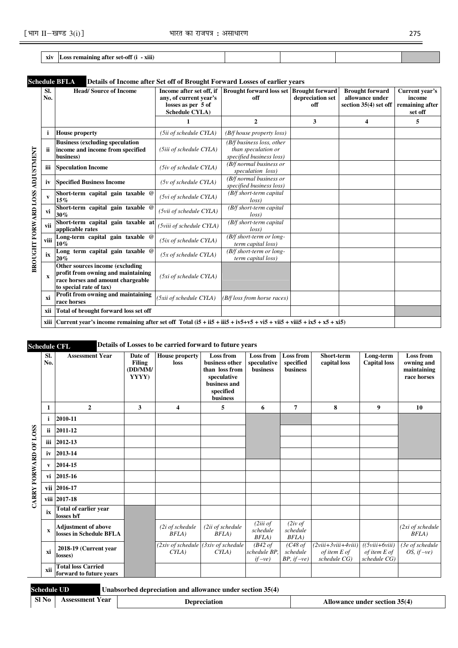| <b>STORY</b><br>.n.<br>-XI' | $\ddot{\phantom{0}}$<br>xiii<br>CO 63<br>വ |  |  |
|-----------------------------|--------------------------------------------|--|--|

## **Schedule BFLA Details of Income after Set off of Brought Forward Losses of earlier years**

|                                        | SI.<br>No.  | <b>Head/Source of Income</b>                                                                                                          | Income after set off, if<br>any, of current year's<br>losses as per 5 of<br><b>Schedule CYLA</b> ) | <b>Brought forward loss set Brought forward</b><br>off                       | depreciation set<br>off | <b>Brought forward</b><br>allowance under<br>section 35(4) set off | Current year's<br>income<br>remaining after<br>set off |
|----------------------------------------|-------------|---------------------------------------------------------------------------------------------------------------------------------------|----------------------------------------------------------------------------------------------------|------------------------------------------------------------------------------|-------------------------|--------------------------------------------------------------------|--------------------------------------------------------|
|                                        |             |                                                                                                                                       |                                                                                                    | $\mathbf{2}$                                                                 | 3                       | 4                                                                  | 5                                                      |
|                                        | i           | <b>House property</b>                                                                                                                 | (5ii of schedule CYLA)                                                                             | (B/f house property loss)                                                    |                         |                                                                    |                                                        |
|                                        | ii          | <b>Business (excluding speculation</b><br>income and income from specified<br>business)                                               | (5iii of schedule CYLA)                                                                            | (B/f business loss, other<br>than speculation or<br>specified business loss) |                         |                                                                    |                                                        |
|                                        | iii         | <b>Speculation Income</b>                                                                                                             | $(5iv \text{ of schedule CYLA})$                                                                   | (B/f normal business or<br>speculation loss)                                 |                         |                                                                    |                                                        |
| <b>BROUGHT FORWARD LOSS ADJUSTMENT</b> | iv          | <b>Specified Business Income</b>                                                                                                      | $(5v \text{ of schedule } CYLA)$                                                                   | (B/f normal business or<br>specified business loss)                          |                         |                                                                    |                                                        |
|                                        | v           | Short-term capital gain taxable @<br>15%                                                                                              | (5vi of schedule CYLA)                                                                             | $\sqrt{\frac{B}{f}}$ short-term capital<br>loss                              |                         |                                                                    |                                                        |
|                                        | vi          | Short-term capital gain taxable @<br>30%                                                                                              | (5vii of schedule CYLA)                                                                            | $(B/f \, short-term \, capital)$<br>loss                                     |                         |                                                                    |                                                        |
|                                        | vii         | Short-term capital gain taxable at<br>applicable rates                                                                                | (5viii of schedule CYLA)                                                                           | $(B/f \, short-term \, capital)$<br>loss                                     |                         |                                                                    |                                                        |
|                                        | viii        | Long-term capital gain taxable @<br>$10\%$                                                                                            | (5ix of schedule CYLA)                                                                             | $(B/f short-term or long-$<br>term capital loss)                             |                         |                                                                    |                                                        |
|                                        | ix          | Long term capital gain taxable @<br>20%                                                                                               | $(5x \text{ of schedule } CYLA)$                                                                   | (B/f short-term or long-<br>term capital loss)                               |                         |                                                                    |                                                        |
|                                        | $\mathbf X$ | Other sources income (excluding<br>profit from owning and maintaining<br>race horses and amount chargeable<br>to special rate of tax) | (5xi of schedule CYLA)                                                                             |                                                                              |                         |                                                                    |                                                        |
|                                        | xi          | Profit from owning and maintaining<br>race horses                                                                                     | (5xii of schedule CYLA)                                                                            | (B/f loss from horse races)                                                  |                         |                                                                    |                                                        |
|                                        | xii         | Total of brought forward loss set off                                                                                                 |                                                                                                    |                                                                              |                         |                                                                    |                                                        |
|                                        |             | xiii current year's income remaining after set off Total $(15 + i15 + i15 + i15 + i5 + i5 + i15 + i15 + i15 + i15 + i5 + i5 + i5)$    |                                                                                                    |                                                                              |                         |                                                                    |                                                        |

**Schedule CFL Details of Losses to be carried forward to future years** 

|                       | SI.<br>No.  | <b>Assessment Year</b>                                | Date of<br><b>Filing</b><br>(DD/MM/<br>YYYY) | <b>House property</b><br>loss                            | <b>Loss from</b><br>business other<br>than loss from<br>speculative<br>business and<br>specified<br><b>business</b> | <b>Loss from</b><br>speculative<br><b>business</b> | <b>Loss from</b><br>specified<br>business  | Short-term<br>capital loss                            | Long-term<br><b>Capital</b> loss                     | <b>Loss from</b><br>owning and<br>maintaining<br>race horses |
|-----------------------|-------------|-------------------------------------------------------|----------------------------------------------|----------------------------------------------------------|---------------------------------------------------------------------------------------------------------------------|----------------------------------------------------|--------------------------------------------|-------------------------------------------------------|------------------------------------------------------|--------------------------------------------------------------|
|                       | 1           | $\overline{2}$                                        | 3                                            | $\overline{\mathbf{4}}$                                  | 5                                                                                                                   | 6                                                  | $\overline{7}$                             | 8                                                     | 9                                                    | 10                                                           |
|                       | i           | 2010-11                                               |                                              |                                                          |                                                                                                                     |                                                    |                                            |                                                       |                                                      |                                                              |
|                       | ii          | 2011-12                                               |                                              |                                                          |                                                                                                                     |                                                    |                                            |                                                       |                                                      |                                                              |
|                       | iii         | 2012-13                                               |                                              |                                                          |                                                                                                                     |                                                    |                                            |                                                       |                                                      |                                                              |
|                       | iv          | 2013-14                                               |                                              |                                                          |                                                                                                                     |                                                    |                                            |                                                       |                                                      |                                                              |
|                       | V           | 2014-15                                               |                                              |                                                          |                                                                                                                     |                                                    |                                            |                                                       |                                                      |                                                              |
|                       | vi          | 2015-16                                               |                                              |                                                          |                                                                                                                     |                                                    |                                            |                                                       |                                                      |                                                              |
| CARRY FORWARD OF LOSS |             | vii 2016-17                                           |                                              |                                                          |                                                                                                                     |                                                    |                                            |                                                       |                                                      |                                                              |
|                       |             | viii 2017-18                                          |                                              |                                                          |                                                                                                                     |                                                    |                                            |                                                       |                                                      |                                                              |
|                       | ix          | Total of earlier year<br>losses b/f                   |                                              |                                                          |                                                                                                                     |                                                    |                                            |                                                       |                                                      |                                                              |
|                       | $\mathbf x$ | <b>Adjustment of above</b><br>losses in Schedule BFLA |                                              | $(2i$ of schedule<br>BFLA)                               | (2ii of schedule<br>BFLA)                                                                                           | (2iii of<br>schedule<br>$BFLA$ )                   | $(2iv \text{ of }$<br>schedule<br>$BFLA$ ) |                                                       |                                                      | (2xi of schedule<br>BFLA)                                    |
|                       | xi          | 2018-19 (Current year<br>losses)                      |                                              | $(2xiv \ of \ schedule \ (3xiv \ of \ schedule$<br>CYLA) | $CYLA$ )                                                                                                            | (B42 of<br>schedule BP.<br>$if$ -ve)               | (C48 of<br>schedule<br>$BP, if -ve)$       | $(2viii+3viii+4viii)$<br>of item E of<br>schedule CG) | $((5viii+6viii)$<br>$of$ item $E$ of<br>schedule CG) | (3e of schedule<br>OS, if $-ve$ )                            |
|                       | xii         | <b>Total loss Carried</b><br>forward to future vears  |                                              |                                                          |                                                                                                                     |                                                    |                                            |                                                       |                                                      |                                                              |

| <b>Schedule</b> |            |      | Unabsorbed depreciation and allowance under section 35(4) |                               |
|-----------------|------------|------|-----------------------------------------------------------|-------------------------------|
| Sl No           | Assessment | Year | Depreciation                                              | Allowance under section 35(4) |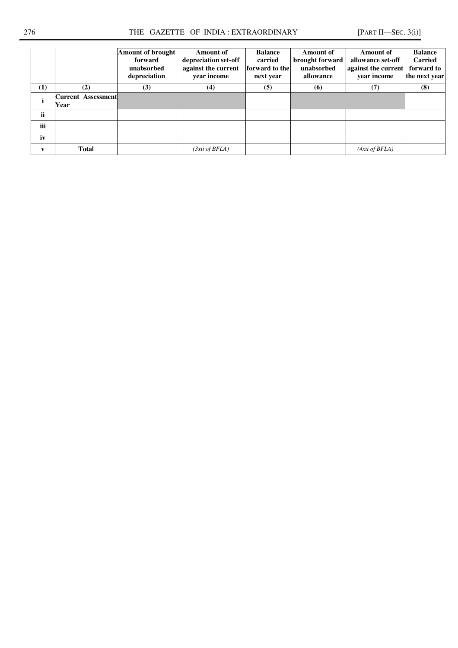|     |                            | <b>Amount of brought</b><br>forward<br>unabsorbed<br>depreciation | Amount of<br>depreciation set-off<br>against the current<br>year income | <b>Balance</b><br>carried<br>forward to the<br>next year | Amount of<br>brought forward<br>unabsorbed<br>allowance | <b>Amount of</b><br>allowance set-off<br>against the current<br>year income | <b>Balance</b><br><b>Carried</b><br>forward to<br>the next year |
|-----|----------------------------|-------------------------------------------------------------------|-------------------------------------------------------------------------|----------------------------------------------------------|---------------------------------------------------------|-----------------------------------------------------------------------------|-----------------------------------------------------------------|
| (1) | (2)                        | (3)                                                               | (4)                                                                     | (5)                                                      | (6)                                                     | (7)                                                                         | (8)                                                             |
|     | Current Assessment<br>Year |                                                                   |                                                                         |                                                          |                                                         |                                                                             |                                                                 |
| ii  |                            |                                                                   |                                                                         |                                                          |                                                         |                                                                             |                                                                 |
| iii |                            |                                                                   |                                                                         |                                                          |                                                         |                                                                             |                                                                 |
| iv  |                            |                                                                   |                                                                         |                                                          |                                                         |                                                                             |                                                                 |
| V   | <b>Total</b>               |                                                                   | (3xii of BFLA)                                                          |                                                          |                                                         | $(4xi$ of BFLA)                                                             |                                                                 |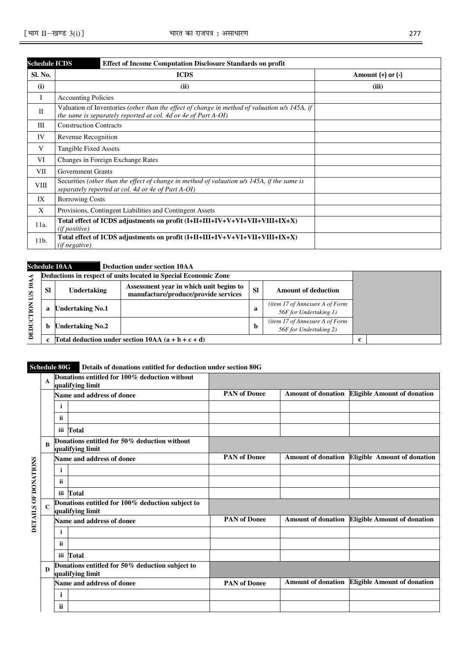| <b>Schedule ICDS</b><br><b>Effect of Income Computation Disclosure Standards on profit</b> |                                   |                                                                                                                                                                 |                       |  |  |  |
|--------------------------------------------------------------------------------------------|-----------------------------------|-----------------------------------------------------------------------------------------------------------------------------------------------------------------|-----------------------|--|--|--|
| Sl. No.                                                                                    |                                   | <b>ICDS</b>                                                                                                                                                     | Amount $(+)$ or $(-)$ |  |  |  |
| (i)                                                                                        |                                   | (ii)                                                                                                                                                            | (iii)                 |  |  |  |
| I                                                                                          | <b>Accounting Policies</b>        |                                                                                                                                                                 |                       |  |  |  |
| $\mathbf{I}$                                                                               |                                   | Valuation of Inventories (other than the effect of change in method of valuation u/s 145A, if<br>the same is separately reported at col. 4d or 4e of Part A-OI) |                       |  |  |  |
| Ш                                                                                          | <b>Construction Contracts</b>     |                                                                                                                                                                 |                       |  |  |  |
| IV                                                                                         | Revenue Recognition               |                                                                                                                                                                 |                       |  |  |  |
| V                                                                                          | Tangible Fixed Assets             |                                                                                                                                                                 |                       |  |  |  |
| VI                                                                                         | Changes in Foreign Exchange Rates |                                                                                                                                                                 |                       |  |  |  |
| VII                                                                                        | <b>Government Grants</b>          |                                                                                                                                                                 |                       |  |  |  |
| VIII                                                                                       |                                   | Securities (other than the effect of change in method of valuation u/s 145A, if the same is<br>separately reported at col. 4d or 4e of Part A-OI)               |                       |  |  |  |
| IX                                                                                         | <b>Borrowing Costs</b>            |                                                                                                                                                                 |                       |  |  |  |
| X                                                                                          |                                   | Provisions, Contingent Liabilities and Contingent Assets                                                                                                        |                       |  |  |  |
| 11a.                                                                                       | (if positive)                     | Total effect of ICDS adjustments on profit (I+II+III+IV+V+VI+VII+VIII+IX+X)                                                                                     |                       |  |  |  |
| 11 <sub>b</sub>                                                                            | (if negative)                     | Total effect of ICDS adjustments on profit (I+II+III+IV+V+VI+VII+VIII+IX+X)                                                                                     |                       |  |  |  |

## **Schedule 10AA Deduction under section 10AA**

|                     | Deductions in respect of units located in Special Economic Zone |                                                                                                                                           |  |   |                                                          |   |  |  |  |
|---------------------|-----------------------------------------------------------------|-------------------------------------------------------------------------------------------------------------------------------------------|--|---|----------------------------------------------------------|---|--|--|--|
| $10\text{Å}$<br>S/I | <b>SI</b>                                                       | Assessment year in which unit begins to<br><b>SI</b><br>Undertaking<br><b>Amount of deduction</b><br>manufacture/produce/provide services |  |   |                                                          |   |  |  |  |
|                     | a                                                               | <b>Undertaking No.1</b>                                                                                                                   |  | а | (item 17 of Annexure A of Form<br>56F for Undertaking 1) |   |  |  |  |
| <b>DEDUCTION</b>    |                                                                 | <b>Undertaking No.2</b>                                                                                                                   |  | b | (item 17 of Annexure A of Form<br>56F for Undertaking 2) |   |  |  |  |
|                     |                                                                 | Total deduction under section $10AA$ (a + b + c + d)                                                                                      |  |   |                                                          | c |  |  |  |

## **Schedule 80G Details of donations entitled for deduction under section 80G**

|                      | $\mathbf A$ |     | Donations entitled for 100% deduction without<br>qualifying limit    |                     |                           |                                                |
|----------------------|-------------|-----|----------------------------------------------------------------------|---------------------|---------------------------|------------------------------------------------|
|                      |             |     | Name and address of donee                                            | <b>PAN of Donee</b> |                           | Amount of donation Eligible Amount of donation |
|                      |             | i   |                                                                      |                     |                           |                                                |
|                      |             | ii. |                                                                      |                     |                           |                                                |
|                      |             |     | iii Total                                                            |                     |                           |                                                |
|                      | B           |     | Donations entitled for 50% deduction without<br>qualifying limit     |                     |                           |                                                |
|                      |             |     | Name and address of donee                                            | <b>PAN of Donee</b> |                           | Amount of donation Eligible Amount of donation |
|                      |             | i   |                                                                      |                     |                           |                                                |
|                      |             | ii  |                                                                      |                     |                           |                                                |
|                      |             |     | iii Total                                                            |                     |                           |                                                |
| DETAILS OF DONATIONS | $\mathbf C$ |     | Donations entitled for 100% deduction subject to<br>qualifying limit |                     |                           |                                                |
|                      |             |     | Name and address of donee                                            | <b>PAN</b> of Donee |                           | Amount of donation Eligible Amount of donation |
|                      |             | i   |                                                                      |                     |                           |                                                |
|                      |             | ii. |                                                                      |                     |                           |                                                |
|                      |             |     | iii Total                                                            |                     |                           |                                                |
|                      | D           |     | Donations entitled for 50% deduction subject to<br>qualifying limit  |                     |                           |                                                |
|                      |             |     | Name and address of donee                                            | <b>PAN of Donee</b> | <b>Amount of donation</b> | <b>Eligible Amount of donation</b>             |
|                      |             | i   |                                                                      |                     |                           |                                                |
|                      |             | ii  |                                                                      |                     |                           |                                                |
|                      |             |     |                                                                      |                     |                           |                                                |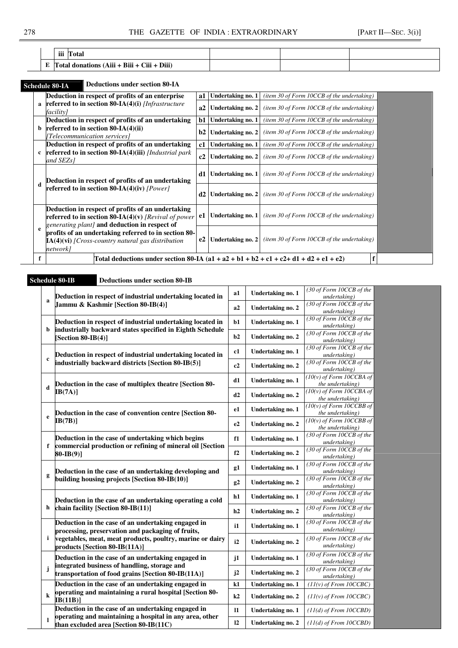| iii<br>Total                                     |  |  |
|--------------------------------------------------|--|--|
| Total donations (Aiii + Biii + Ciii + Diii)<br>E |  |  |

# **Schedule 80-IA Deductions under section 80-IA**

|              | Deduction in respect of profits of an enterprise                                                                                                                  | a1   | Undertaking no. 1 | (item 30 of Form 10CCB of the undertaking)   |  |
|--------------|-------------------------------------------------------------------------------------------------------------------------------------------------------------------|------|-------------------|----------------------------------------------|--|
|              | a referred to in section 80-IA(4)(i) [Infrastructure<br>facility]                                                                                                 | a2   | Undertaking no. 2 | (item 30 of Form 10CCB of the undertaking)   |  |
|              | Deduction in respect of profits of an undertaking                                                                                                                 | $b1$ | Undertaking no. 1 | (item 30 of Form 10CCB of the undertaking)   |  |
| b            | referred to in section $80-IA(4)(ii)$<br>[Telecommunication services]                                                                                             | b2   | Undertaking no. 2 | (item 30 of Form 10CCB of the undertaking)   |  |
|              | Deduction in respect of profits of an undertaking                                                                                                                 | c1   | Undertaking no. 1 | (item 30 of Form 10CCB of the undertaking)   |  |
|              | c referred to in section 80-IA(4)(iii) [Industrial park<br>and SEZs1                                                                                              | c2   | Undertaking no. 2 | (item 30 of Form 10CCB of the undertaking)   |  |
|              | Deduction in respect of profits of an undertaking<br>referred to in section 80-IA(4)(iv) [Power]                                                                  | d1   | Undertaking no. 1 | $(item 30 of Form 10CCB of the undertaking)$ |  |
|              |                                                                                                                                                                   | d2   | Undertaking no. 2 | (item 30 of Form 10CCB of the undertaking)   |  |
|              | Deduction in respect of profits of an undertaking<br><b>referred to in section 80-IA(4)(v)</b> [Revival of power<br>generating plant] and deduction in respect of | e1   | Undertaking no. 1 | (item 30 of Form 10CCB of the undertaking)   |  |
| $\mathbf{e}$ | profits of an undertaking referred to in section 80-<br>$IA(4)(vi)$ [Cross-country natural gas distribution<br>network]                                           |      | Undertaking no. 2 | (item 30 of Form 10CCB of the undertaking)   |  |
| f            | Total deductions under section 80-IA (a1 + a2 + b1 + b2 + c1 + c2+ d1 + d2 + e1 + e2)                                                                             |      |                   | f                                            |  |

### **Schedule 80-IB Deductions under section 80-IB**

|             |                                                                                                 | a1          | Undertaking no. 1        | (30 of Form 10CCB of the                       |
|-------------|-------------------------------------------------------------------------------------------------|-------------|--------------------------|------------------------------------------------|
| $\mathbf a$ | Deduction in respect of industrial undertaking located in<br>Jammu & Kashmir [Section 80-IB(4)] |             |                          | undertaking)<br>(30 of Form 10CCB of the       |
|             |                                                                                                 | a2          | Undertaking no. 2        | undertaking)                                   |
|             | Deduction in respect of industrial undertaking located in                                       | $b1$        | <b>Undertaking no. 1</b> | (30 of Form 10CCB of the                       |
| b           | industrially backward states specified in Eighth Schedule                                       |             |                          | undertaking)                                   |
|             | [Section 80-IB $(4)$ ]                                                                          | b2          | Undertaking no. 2        | (30 of Form 10CCB of the<br>undertaking)       |
|             |                                                                                                 |             |                          | (30 of Form 10CCB of the                       |
|             | Deduction in respect of industrial undertaking located in                                       | c1          | Undertaking no. 1        | undertaking)                                   |
| $\mathbf c$ | industrially backward districts [Section 80-IB(5)]                                              | c2          | <b>Undertaking no. 2</b> | (30 of Form 10CCB of the                       |
|             |                                                                                                 |             |                          | undertaking)                                   |
|             |                                                                                                 | d1          | Undertaking no. 1        | $(10(v)$ of Form 10CCBA of                     |
| d           | Deduction in the case of multiplex theatre [Section 80-<br>IB(7A)                               |             |                          | the undertaking)<br>$(10(v)$ of Form 10CCBA of |
|             |                                                                                                 | d2          | <b>Undertaking no. 2</b> | the undertaking)                               |
|             |                                                                                                 | e1          |                          | $(10(v)$ of Form $10CCBB$ of                   |
|             | Deduction in the case of convention centre [Section 80-                                         |             | Undertaking no. 1        | the undertaking)                               |
| e           | IB(7B)]                                                                                         | e2          | <b>Undertaking no. 2</b> | $(10(v)$ of Form 10CCBB of                     |
|             |                                                                                                 |             |                          | the undertaking)                               |
|             | Deduction in the case of undertaking which begins                                               | f1          | Undertaking no. 1        | (30 of Form 10CCB of the                       |
| f           | commercial production or refining of mineral oil [Section]                                      |             |                          | undertaking)<br>(30 of Form 10CCB of the       |
|             | 80-IB(9)]                                                                                       | f2          | <b>Undertaking no. 2</b> | undertaking)                                   |
|             |                                                                                                 |             |                          | (30 of Form 10CCB of the                       |
|             | Deduction in the case of an undertaking developing and                                          | g1          | Undertaking no. 1        | undertaking)                                   |
| g           | building housing projects [Section 80-IB(10)]                                                   | g2          | Undertaking no. 2        | (30 of Form 10CCB of the                       |
|             |                                                                                                 |             |                          | undertaking)                                   |
|             | Deduction in the case of an undertaking operating a cold                                        | h1          | <b>Undertaking no. 1</b> | (30 of Form 10CCB of the<br>undertaking)       |
| h           | chain facility [Section 80-IB(11)]                                                              |             |                          | (30 of Form 10CCB of the                       |
|             |                                                                                                 | h2          | <b>Undertaking no. 2</b> | undertaking)                                   |
|             | Deduction in the case of an undertaking engaged in                                              | $\mathbf i$ | Undertaking no. 1        | (30 of Form 10CCB of the                       |
|             | processing, preservation and packaging of fruits,                                               |             |                          | undertaking)                                   |
| i           | vegetables, meat, meat products, poultry, marine or dairy                                       | i2          | <b>Undertaking no. 2</b> | (30 of Form 10CCB of the                       |
|             | products [Section 80-IB(11A)]                                                                   |             |                          | undertaking)                                   |
|             | Deduction in the case of an undertaking engaged in                                              | j1          | Undertaking no. 1        | (30 of Form 10CCB of the                       |
|             | integrated business of handling, storage and                                                    |             |                          | undertaking)                                   |
| j           | transportation of food grains [Section 80-IB(11A)]                                              | j2          | Undertaking no. 2        | (30 of Form 10CCB of the<br>undertaking)       |
|             | Deduction in the case of an undertaking engaged in                                              | k1          | Undertaking no. 1        | $(11(v)$ of From $10CCBC$ )                    |
|             | operating and maintaining a rural hospital [Section 80-<br>IB(11B)                              |             |                          |                                                |
| $\bf k$     |                                                                                                 |             | <b>Undertaking no. 2</b> | $(11(v)$ of From 10CCBC)                       |
|             | Deduction in the case of an undertaking engaged in                                              | 11          | Undertaking no. 1        | $(11(d)$ of From $10CCBD)$                     |
| I           | operating and maintaining a hospital in any area, other                                         |             |                          |                                                |
|             | than excluded area [Section 80-IB(11C)                                                          | 12          | <b>Undertaking no. 2</b> | $(11(d)$ of From 10CCBD)                       |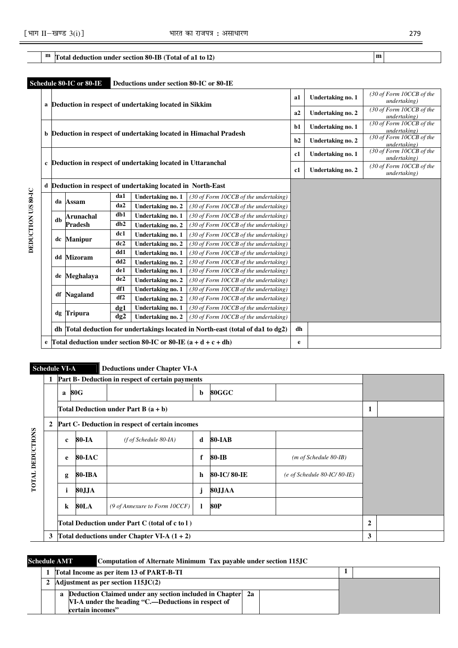### **m** *Total deduction under section 80-IB (Total of a1 to l2)* **<b>m** *m*

#### **Schedule 80-IC or 80-IE Deductions under section 80-IC or 80-IE a1** Undertaking no. 1 *(30 of Form 10CCB of the undertaking) undertaking)* **a Deduction in respect of undertaking located in Sikkim a2 Undertaking no. 2** *(30 of Form 10CCB of the undertaking)* **b1** Undertaking no. 1 *(30 of Form 10CCB of the undertaking)* **b Deduction in respect of undertaking located in Himachal Pradesh b2** Undertaking no. 2 *(30 of Form 10CCB of the undertaking)* **c1 Undertaking no. 1** *(30 of Form 10CCB of the undertaking)* **c Deduction in respect of undertaking located in Uttaranchal c1 Undertaking no. 2** *(30 of Form 10CCB of the undertaking)* **d Deduction in respect of undertaking located in North-East DEDUCTION U/S 80-IC OFDUCTION U/S 80-IC da1 Undertaking no. 1** *(30 of Form 10CCB of the undertaking)* **da Assam da2 Undertaking no. 2** *(30 of Form 10CCB of the undertaking)* **db1 Undertaking no. 1** *(30 of Form 10CCB of the undertaking)* **db Arunachal Pradesh db2 Undertaking no. 2** *(30 of Form 10CCB of the undertaking)* **dc1 Undertaking no. 1** *(30 of Form 10CCB of the undertaking)* **dc Manipur dc2 Undertaking no. 2** *(30 of Form 10CCB of the undertaking)* **dd1 Undertaking no. 1** *(30 of Form 10CCB of the undertaking)* **dd Mizoram dd2 Undertaking no. 2** *(30 of Form 10CCB of the undertaking)* **de1 Undertaking no. 1** *(30 of Form 10CCB of the undertaking)* **de Meghalaya de2 Undertaking no. 2** *(30 of Form 10CCB of the undertaking)* **df1 Undertaking no. 1** *(30 of Form 10CCB of the undertaking)* **df Nagaland df2 Undertaking no. 2** *(30 of Form 10CCB of the undertaking)* **dg1 Undertaking no. 1** *(30 of Form 10CCB of the undertaking)* **dg Tripura dg2 Undertaking no. 2** *(30 of Form 10CCB of the undertaking)* **dh Total deduction for undertakings located in North-east (total of da1 to dg2) dh e Total deduction under section 80-IC or 80-IE**  $(a + d + c + dh)$  **<b>e**

### **Schedule VI-A Deductions under Chapter VI-A**

|                   |   |                                                    |                                        | Part B- Deduction in respect of certain payments  |   |                 |                                        |                |  |
|-------------------|---|----------------------------------------------------|----------------------------------------|---------------------------------------------------|---|-----------------|----------------------------------------|----------------|--|
|                   |   | a                                                  | <b>80G</b>                             |                                                   | b | 80GGC           |                                        |                |  |
|                   |   |                                                    | Total Deduction under Part B $(a + b)$ | л                                                 |   |                 |                                        |                |  |
|                   | 2 |                                                    |                                        | Part C- Deduction in respect of certain incomes   |   |                 |                                        |                |  |
|                   |   | $\mathbf c$                                        | 80-IA                                  | $(f \circ f \text{ Scheduling 80-IA})$            | d | <b>80-IAB</b>   |                                        |                |  |
| <b>DEDUCTIONS</b> |   | e                                                  | <b>80-IAC</b>                          |                                                   | f | 80-IB           | $(m of Schedule 80-IB)$                |                |  |
| TOTAL             |   | g                                                  | 80-IBA                                 |                                                   | h | 80-IC/80-IE     | $(e \text{ of Schedule } 80-IC/80-IE)$ |                |  |
|                   |   | $\mathbf i$                                        | 80.J.JA                                |                                                   | j | <b>80.J.JAA</b> |                                        |                |  |
|                   |   | $\bf k$                                            | 80LA                                   | $(9 \text{ of } \text{Annexure to Form } 10 CCF)$ |   | 80P             |                                        |                |  |
|                   |   | Total Deduction under Part C (total of c to 1)     |                                        |                                                   |   |                 |                                        | $\overline{2}$ |  |
|                   | 3 | Total deductions under Chapter VI-A $(1 + 2)$<br>3 |                                        |                                                   |   |                 |                                        |                |  |

### **Schedule AMT Computation of Alternate Minimum Tax payable under section 115JC**

|  | <b>Total Income as per item 13 of PART-B-TI</b>                                                                                       |  |
|--|---------------------------------------------------------------------------------------------------------------------------------------|--|
|  | 2 Adjustment as per section $115JC(2)$                                                                                                |  |
|  | Deduction Claimed under any section included in Chapter 2a<br>VI-A under the heading "C.—Deductions in respect of<br>certain incomes" |  |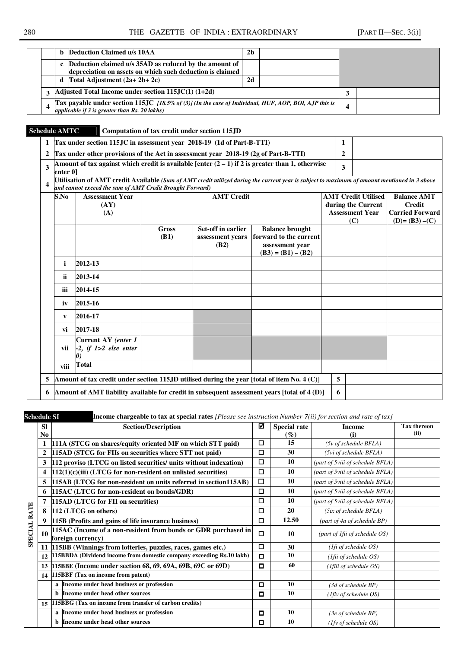|  | h | Deduction Claimed u/s 10AA                                                                                                                                | 2 <sub>b</sub> |  |  |
|--|---|-----------------------------------------------------------------------------------------------------------------------------------------------------------|----------------|--|--|
|  |   | Deduction claimed u/s 35AD as reduced by the amount of<br>depreciation on assets on which such deduction is claimed                                       |                |  |  |
|  | d | Total Adjustment $(2a+2b+2c)$                                                                                                                             | 2d             |  |  |
|  |   | Adjusted Total Income under section $115JC(1)$ (1+2d)                                                                                                     |                |  |  |
|  |   | [Tax payable under section 115JC [18.5% of (3)] (In the case of Individual, HUF, AOP, BOI, AJP this is<br>applicable if $3$ is greater than Rs. 20 lakhs) |                |  |  |

## **Schedule AMTC** Computation of tax credit under section 115JD

| 1 [Tax under section 115JC in assessment year 2018-19 (1d of Part-B-TTI)                                       |  |
|----------------------------------------------------------------------------------------------------------------|--|
| 2 Tax under other provisions of the Act in assessment year 2018-19 (2g of Part-B-TTI)                          |  |
| Amount of tax against which credit is available [enter $(2 - 1)$ if 2 is greater than 1, otherwise<br>enter 01 |  |

**<sup>4</sup>Utilisation of AMT credit Available** *(Sum of AMT credit utilized during the current year is subject to maximum of amount mentioned in 3 above and cannot exceed the sum of AMT Credit Brought Forward)*

|   | S.No        | <b>Assessment Year</b>                                                                            |              | <b>AMT</b> Credit  |                                                                                             |   | <b>AMT Credit Utilised</b> | <b>Balance AMT</b>     |  |
|---|-------------|---------------------------------------------------------------------------------------------------|--------------|--------------------|---------------------------------------------------------------------------------------------|---|----------------------------|------------------------|--|
|   |             | (AY)                                                                                              |              |                    |                                                                                             |   | during the Current         | <b>Credit</b>          |  |
|   |             | (A)                                                                                               |              |                    |                                                                                             |   | <b>Assessment Year</b>     | <b>Carried Forward</b> |  |
|   |             |                                                                                                   |              |                    |                                                                                             |   | (C)                        | $(D)=(B3)-(C)$         |  |
|   |             |                                                                                                   | <b>Gross</b> | Set-off in earlier | <b>Balance brought</b>                                                                      |   |                            |                        |  |
|   |             |                                                                                                   | <b>(B1)</b>  | assessment years   | forward to the current                                                                      |   |                            |                        |  |
|   |             |                                                                                                   |              | <b>(B2)</b>        | assessment year                                                                             |   |                            |                        |  |
|   |             |                                                                                                   |              |                    | $(B3) = (B1) - (B2)$                                                                        |   |                            |                        |  |
|   | $\mathbf i$ | 2012-13                                                                                           |              |                    |                                                                                             |   |                            |                        |  |
|   | ii          | 2013-14                                                                                           |              |                    |                                                                                             |   |                            |                        |  |
|   | iii         | 2014-15                                                                                           |              |                    |                                                                                             |   |                            |                        |  |
|   | iv          | 2015-16                                                                                           |              |                    |                                                                                             |   |                            |                        |  |
|   | V           | 2016-17                                                                                           |              |                    |                                                                                             |   |                            |                        |  |
|   | vi          | 2017-18                                                                                           |              |                    |                                                                                             |   |                            |                        |  |
|   | vii         | Current AY (enter 1<br>$-2$ , if $1>2$ else enter                                                 |              |                    |                                                                                             |   |                            |                        |  |
|   | viii        | <b>Total</b>                                                                                      |              |                    |                                                                                             |   |                            |                        |  |
| 5 |             |                                                                                                   |              |                    | Amount of tax credit under section 115JD utilised during the year [total of item No. 4 (C)] | 5 |                            |                        |  |
| 6 |             | Amount of AMT liability available for credit in subsequent assessment years [total of 4 (D)]<br>6 |              |                    |                                                                                             |   |                            |                        |  |

| <b>Schedule SI</b> |                | Income chargeable to tax at special rates [Please see instruction Number-7(ii) for section and rate of tax] |        |                     |                                  |                    |
|--------------------|----------------|-------------------------------------------------------------------------------------------------------------|--------|---------------------|----------------------------------|--------------------|
|                    | <b>SI</b>      | <b>Section/Description</b>                                                                                  | ⊠      | <b>Special rate</b> | <b>Income</b>                    | <b>Tax thereon</b> |
|                    | N <sub>0</sub> |                                                                                                             |        | $(\%)$              | (i)                              | (ii)               |
|                    | 1              | 111A (STCG on shares/equity oriented MF on which STT paid)                                                  | П      | 15                  | (5v of schedule BFLA)            |                    |
|                    | $\overline{2}$ | 115AD (STCG for FIIs on securities where STT not paid)                                                      | П      | 30                  | (5vi of schedule BFLA)           |                    |
|                    | 3              | 112 proviso (LTCG on listed securities/ units without indexation)                                           | П      | 10                  | (part of 5viii of schedule BFLA) |                    |
|                    | 4              | $[112(1)(c)(iii)$ (LTCG for non-resident on unlisted securities)                                            | П      | 10                  | (part of 5viii of schedule BFLA) |                    |
|                    | 5              | 115AB (LTCG for non-resident on units referred in section115AB)                                             | $\Box$ | 10                  | (part of 5viii of schedule BFLA) |                    |
|                    | 6              | 115AC (LTCG for non-resident on bonds/GDR)                                                                  | П      | 10                  | (part of 5viii of schedule BFLA) |                    |
|                    | 7              | 115AD (LTCG for FII on securities)                                                                          | П      | 10                  | (part of 5viii of schedule BFLA) |                    |
|                    | 8              | 112 (LTCG on others)                                                                                        | П      | 20                  | (5ix of schedule BFLA)           |                    |
|                    | 9              | 115B (Profits and gains of life insurance business)                                                         | $\Box$ | 12.50               | (part of 4a of schedule BP)      |                    |
| SPECIAL RATE       | 10             | 115AC (Income of a non-resident from bonds or GDR purchased in<br>foreign currency)                         | □      | 10                  | (part of 1fii of schedule OS)    |                    |
|                    |                | 11 115BB (Winnings from lotteries, puzzles, races, games etc.)                                              | □      | 30                  | (1fi of schedule OS)             |                    |
|                    | 12             | 15BBDA (Dividend income from domestic company exceeding Rs.10 lakh)                                         | $\Box$ | 10                  | $(1$ fii of schedule OS)         |                    |
|                    | 13             | 115BBE (Income under section 68, 69, 69A, 69B, 69C or 69D)                                                  | о      | 60                  | ( <i>Ifiii of schedule OS</i> )  |                    |
|                    | 14             | 115BBF (Tax on income from patent)                                                                          |        |                     |                                  |                    |
|                    |                | Income under head business or profession                                                                    | о      | 10                  | $(3d \text{ of schedule BP})$    |                    |
|                    |                | Income under head other sources<br>b.                                                                       | 0      | 10                  | (Ifiv of schedule OS)            |                    |
|                    | 15             | 115BBG (Tax on income from transfer of carbon credits)                                                      |        |                     |                                  |                    |
|                    |                | a Income under head business or profession                                                                  | о      | 10                  | (3e of schedule BP)              |                    |
|                    |                | Income under head other sources<br>b                                                                        | 0      | 10                  | $(1fv \text{ of schedule OS})$   |                    |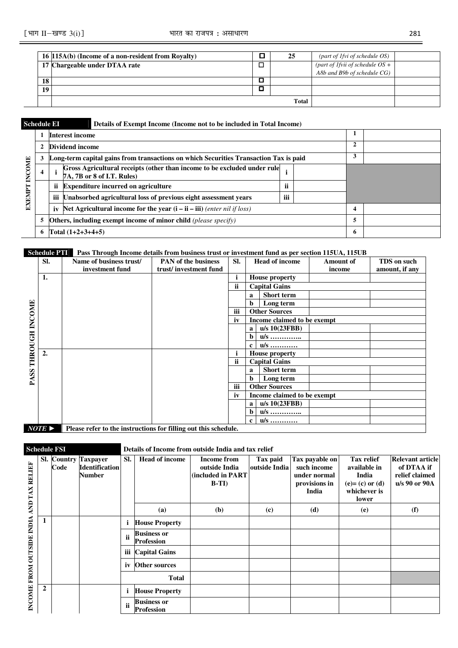|    | 16 115A(b) (Income of a non-resident from Royalty) |   | 25    | (part of 1 fvi of schedule OS)     |  |
|----|----------------------------------------------------|---|-------|------------------------------------|--|
|    | 17 Chargeable under DTAA rate                      |   |       | (part of 1 fvii of schedule $OS +$ |  |
|    |                                                    |   |       | A8b and B9b of schedule CG)        |  |
| 18 |                                                    | О |       |                                    |  |
| 19 |                                                    | о |       |                                    |  |
|    |                                                    |   | Total |                                    |  |

| <b>Schedule EI</b> |   |     |                                                                                       |                                                                                                        |       |  |  |  |
|--------------------|---|-----|---------------------------------------------------------------------------------------|--------------------------------------------------------------------------------------------------------|-------|--|--|--|
|                    |   |     | <b>Interest income</b>                                                                |                                                                                                        |       |  |  |  |
|                    |   |     | Dividend income                                                                       |                                                                                                        |       |  |  |  |
|                    | 3 |     | Long-term capital gains from transactions on which Securities Transaction Tax is paid |                                                                                                        |       |  |  |  |
| INCOME             | 4 |     |                                                                                       | Gross Agricultural receipts (other than income to be excluded under rule<br>7A, 7B or 8 of I.T. Rules) |       |  |  |  |
|                    |   | ÎÎ. |                                                                                       | <b>Expenditure incurred on agriculture</b>                                                             | <br>п |  |  |  |
| EXEMPT             |   | m   |                                                                                       | Unabsorbed agricultural loss of previous eight assessment years                                        | <br>m |  |  |  |
|                    |   | iv  |                                                                                       | Net Agricultural income for the year $(i - ii - iii)$ (enter nil if loss)                              |       |  |  |  |
|                    | 5 |     |                                                                                       | <b>Others, including exempt income of minor child</b> (please specify)                                 |       |  |  |  |
|                    | 6 |     | Total $(1+2+3+4+5)$                                                                   | $\mathbf b$                                                                                            |       |  |  |  |

## **Schedule PTI Pass Through Income details from business trust or investment fund as per section 115UA, 115UB**

|                   | SI.  | $\overline{\phantom{a}}$<br>Name of business trust/<br>investment fund | <b>PAN</b> of the business<br>trust/investment fund | SI.       | <b>Head of income</b>             | <b>Amount of</b> | TDS on such    |  |  |  |  |
|-------------------|------|------------------------------------------------------------------------|-----------------------------------------------------|-----------|-----------------------------------|------------------|----------------|--|--|--|--|
|                   | 1.   |                                                                        |                                                     | i         | <b>House property</b>             | income           | amount, if any |  |  |  |  |
|                   |      |                                                                        |                                                     | <b>ii</b> | <b>Capital Gains</b>              |                  |                |  |  |  |  |
|                   |      |                                                                        |                                                     |           | <b>Short term</b><br>a            |                  |                |  |  |  |  |
|                   |      |                                                                        |                                                     |           | Long term<br>b.                   |                  |                |  |  |  |  |
| THROUGH INCOME    |      |                                                                        |                                                     | iii       | <b>Other Sources</b>              |                  |                |  |  |  |  |
|                   |      |                                                                        |                                                     | iv        | Income claimed to be exempt       |                  |                |  |  |  |  |
|                   |      |                                                                        |                                                     |           | u/s 10(23FBB)<br>a <sub>1</sub>   |                  |                |  |  |  |  |
|                   |      |                                                                        |                                                     |           | u/s <u></u>                       |                  |                |  |  |  |  |
|                   |      |                                                                        |                                                     |           | u/s                               |                  |                |  |  |  |  |
|                   | 2.   |                                                                        |                                                     | п         | <b>House property</b>             |                  |                |  |  |  |  |
|                   |      |                                                                        |                                                     | ii.       | <b>Capital Gains</b>              |                  |                |  |  |  |  |
| PASS <sup>'</sup> |      |                                                                        |                                                     |           | <b>Short term</b><br>$\mathbf{a}$ |                  |                |  |  |  |  |
|                   |      |                                                                        |                                                     |           | Long term<br>h.                   |                  |                |  |  |  |  |
|                   |      |                                                                        |                                                     | iii       | <b>Other Sources</b>              |                  |                |  |  |  |  |
|                   |      |                                                                        |                                                     | iv        | Income claimed to be exempt       |                  |                |  |  |  |  |
|                   |      |                                                                        |                                                     |           | u/s 10(23FBB)<br>$\mathbf a$      |                  |                |  |  |  |  |
|                   |      |                                                                        |                                                     |           | $u/s$                             |                  |                |  |  |  |  |
|                   | MATE | <b>Dlogge rator to the instructions for filling out this schoolule</b> |                                                     |           | $u/s$                             |                  |                |  |  |  |  |

**Please refer to the instructions for filling out this schedule.** 

|                           |                | <b>Schedule FSI</b> |                                                         | Details of Income from outside India and tax relief |                                         |                                                                    |                           |                                                                         |                                                                                           |                                                                   |  |  |  |
|---------------------------|----------------|---------------------|---------------------------------------------------------|-----------------------------------------------------|-----------------------------------------|--------------------------------------------------------------------|---------------------------|-------------------------------------------------------------------------|-------------------------------------------------------------------------------------------|-------------------------------------------------------------------|--|--|--|
| AND TAX RELIEF            |                | Code                | Sl. Country Taxpayer<br><b>Identification</b><br>Number | SI.                                                 | <b>Head of income</b>                   | <b>Income from</b><br>outside India<br>(included in PART<br>$B-TI$ | Tax paid<br>outside India | Tax payable on<br>such income<br>under normal<br>provisions in<br>India | <b>Tax relief</b><br>available in<br>India<br>$(e)=(c)$ or $(d)$<br>whichever is<br>lower | Relevant article<br>of DTAA if<br>relief claimed<br>u/s 90 or 90A |  |  |  |
|                           |                |                     |                                                         |                                                     | (a)                                     | (b)                                                                | (c)                       | (d)                                                                     | (e)                                                                                       | (f)                                                               |  |  |  |
|                           | 1              |                     |                                                         | i                                                   | <b>House Property</b>                   |                                                                    |                           |                                                                         |                                                                                           |                                                                   |  |  |  |
| INCOME FROM OUTSIDE INDIA |                |                     |                                                         | ii                                                  | <b>Business or</b><br><b>Profession</b> |                                                                    |                           |                                                                         |                                                                                           |                                                                   |  |  |  |
|                           |                |                     |                                                         | iii                                                 | <b>Capital Gains</b>                    |                                                                    |                           |                                                                         |                                                                                           |                                                                   |  |  |  |
|                           |                |                     |                                                         | iv                                                  | Other sources                           |                                                                    |                           |                                                                         |                                                                                           |                                                                   |  |  |  |
|                           |                |                     |                                                         |                                                     | <b>Total</b>                            |                                                                    |                           |                                                                         |                                                                                           |                                                                   |  |  |  |
|                           | $\overline{2}$ |                     |                                                         | i                                                   | <b>House Property</b>                   |                                                                    |                           |                                                                         |                                                                                           |                                                                   |  |  |  |
|                           |                |                     |                                                         | ii                                                  | <b>Business or</b><br><b>Profession</b> |                                                                    |                           |                                                                         |                                                                                           |                                                                   |  |  |  |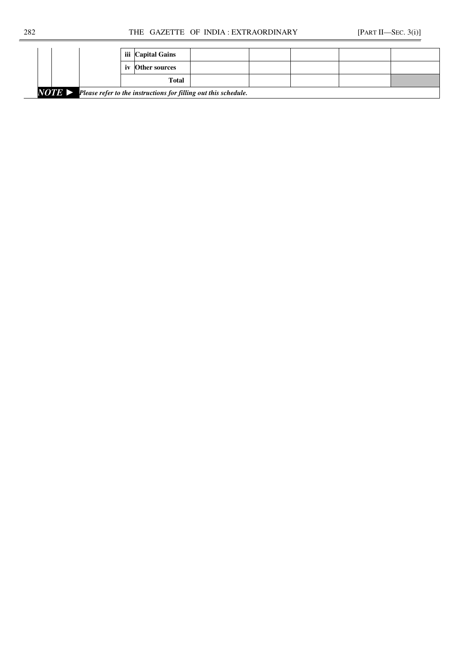|                       |    | iii Capital Gains |                                                                 |  |  |
|-----------------------|----|-------------------|-----------------------------------------------------------------|--|--|
|                       | 1V | Other sources     |                                                                 |  |  |
|                       |    | <b>Total</b>      |                                                                 |  |  |
| $NOTE \triangleright$ |    |                   | Please refer to the instructions for filling out this schedule. |  |  |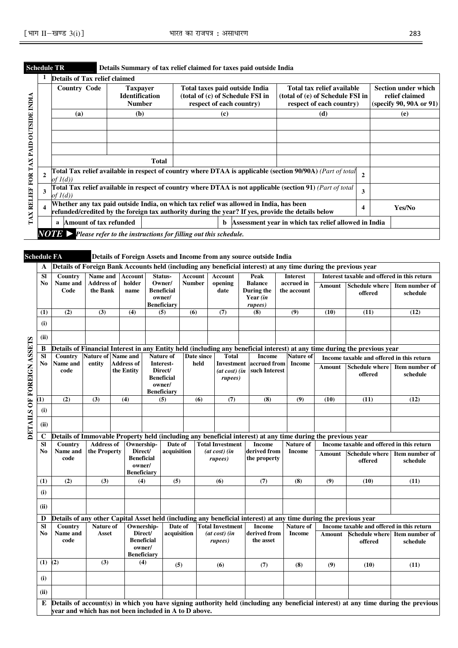|                         |                       | Details of Tax relief claimed                                                          |                                                                                                                     |                                                                                                                                                                                              |        |  |  |  |  |
|-------------------------|-----------------------|----------------------------------------------------------------------------------------|---------------------------------------------------------------------------------------------------------------------|----------------------------------------------------------------------------------------------------------------------------------------------------------------------------------------------|--------|--|--|--|--|
| <b>INDIA</b>            |                       | <b>Country Code</b>                                                                    | <b>Taxpayer</b><br><b>Identification</b><br><b>Number</b>                                                           | Total tax relief available<br>Total taxes paid outside India<br>(total of (c) of Schedule FSI in<br>(total of (e) of Schedule FSI in<br>respect of each country)<br>respect of each country) |        |  |  |  |  |
|                         |                       | (a)                                                                                    | (b)                                                                                                                 |                                                                                                                                                                                              | (e)    |  |  |  |  |
| <b>OUTSIDE</b>          |                       |                                                                                        |                                                                                                                     |                                                                                                                                                                                              |        |  |  |  |  |
|                         |                       |                                                                                        |                                                                                                                     |                                                                                                                                                                                              |        |  |  |  |  |
|                         |                       |                                                                                        |                                                                                                                     |                                                                                                                                                                                              |        |  |  |  |  |
|                         |                       |                                                                                        |                                                                                                                     |                                                                                                                                                                                              |        |  |  |  |  |
| TAX RELIEF FOR TAX PAID | $\mathbf{2}$          | of $I(d)$ )                                                                            | Total Tax relief available in respect of country where DTAA is applicable (section 90/90A) ( <i>Part of total</i> ) | $\mathbf{2}$                                                                                                                                                                                 |        |  |  |  |  |
|                         | 3                     | of $I(d)$                                                                              | Total Tax relief available in respect of country where DTAA is not applicable (section 91) (Part of total           | 3                                                                                                                                                                                            |        |  |  |  |  |
|                         | $\boldsymbol{\Delta}$ | Whether any tax paid outside India, on which tax relief was allowed in India, has been | refunded/credited by the foreign tax authority during the year? If yes, provide the details below                   | 4                                                                                                                                                                                            | Yes/No |  |  |  |  |
|                         |                       | Amount of tax refunded<br>я                                                            | Assessment year in which tax relief allowed in India                                                                |                                                                                                                                                                                              |        |  |  |  |  |
|                         |                       |                                                                                        |                                                                                                                     | $\bf{NOTE}$ > Please refer to the instructions for filling out this schedule.                                                                                                                |        |  |  |  |  |

**Schedule FA** Details of Foreign Assets and Income from any source outside India

|                                                                                                                            | A                   | Details of Foreign Bank Accounts held (including any beneficial interest) at any time during the previous year |                               |                                 |                                                              |  |                                                                           |                                                                        |                                                                                                                           |                                 |                                                                                                                  |               |                           |                                           |                                             |                                                                                                                                    |  |
|----------------------------------------------------------------------------------------------------------------------------|---------------------|----------------------------------------------------------------------------------------------------------------|-------------------------------|---------------------------------|--------------------------------------------------------------|--|---------------------------------------------------------------------------|------------------------------------------------------------------------|---------------------------------------------------------------------------------------------------------------------------|---------------------------------|------------------------------------------------------------------------------------------------------------------|---------------|---------------------------|-------------------------------------------|---------------------------------------------|------------------------------------------------------------------------------------------------------------------------------------|--|
|                                                                                                                            | <b>SI</b>           | Country                                                                                                        | Name and                      |                                 | <b>Account</b>                                               |  | Status-                                                                   | <b>Account</b>                                                         |                                                                                                                           | <b>Account</b>                  | Peak                                                                                                             |               | <b>Interest</b>           |                                           | Interest taxable and offered in this return |                                                                                                                                    |  |
|                                                                                                                            | N <sub>0</sub>      | Name and<br>Code                                                                                               | <b>Address of</b><br>the Bank |                                 | holder<br>name                                               |  | Owner/<br><b>Beneficial</b><br>owner/<br><b>Beneficiary</b>               | <b>Number</b>                                                          |                                                                                                                           | opening<br>date                 | <b>Balance</b><br>During the<br>Year (in<br>rupees)                                                              |               | accrued in<br>the account | Amount                                    | Schedule where<br>offered                   | Item number of<br>schedule                                                                                                         |  |
|                                                                                                                            | (1)                 | (2)                                                                                                            | $\overline{3)}$               |                                 | (4)                                                          |  | (5)                                                                       | $\overline{\boldsymbol{\theta}}$                                       |                                                                                                                           | $\overline{(7)}$                | (8)                                                                                                              |               | $\overline{(9)}$          | (10)                                      | (11)                                        | (12)                                                                                                                               |  |
|                                                                                                                            | (i)                 |                                                                                                                |                               |                                 |                                                              |  |                                                                           |                                                                        |                                                                                                                           |                                 |                                                                                                                  |               |                           |                                           |                                             |                                                                                                                                    |  |
|                                                                                                                            | (ii)                |                                                                                                                |                               |                                 |                                                              |  |                                                                           |                                                                        |                                                                                                                           |                                 |                                                                                                                  |               |                           |                                           |                                             |                                                                                                                                    |  |
|                                                                                                                            | $\bf{B}$            |                                                                                                                |                               |                                 |                                                              |  |                                                                           |                                                                        | Details of Financial Interest in any Entity held (including any beneficial interest) at any time during the previous year |                                 |                                                                                                                  |               |                           |                                           |                                             |                                                                                                                                    |  |
|                                                                                                                            | <b>SI</b>           | Country                                                                                                        | Nature of Name and            |                                 |                                                              |  | Nature of                                                                 | Date since                                                             |                                                                                                                           | <b>Total</b>                    | Income                                                                                                           |               | Nature of                 |                                           | Income taxable and offered in this return   |                                                                                                                                    |  |
| DETAILS OF FOREIGN ASSETS                                                                                                  | No                  | Name and<br>code                                                                                               | entity                        | <b>Address of</b><br>the Entity |                                                              |  | Interest-<br>Direct/<br><b>Beneficial</b><br>owner/<br><b>Beneficiary</b> |                                                                        | held<br>Investment<br>(at cost) (in<br>rupees)                                                                            |                                 | accrued from<br>such Interest                                                                                    |               | <b>Income</b>             | Amount                                    | Schedule where<br>offered                   | Item number of<br>schedule                                                                                                         |  |
|                                                                                                                            | 1)                  | (2)                                                                                                            | (3)                           | (4)                             |                                                              |  | (5)                                                                       |                                                                        | (6)                                                                                                                       | (7)                             | (8)                                                                                                              |               | (9)                       | (10)                                      | (11)                                        | (12)                                                                                                                               |  |
|                                                                                                                            | (i)                 |                                                                                                                |                               |                                 |                                                              |  |                                                                           |                                                                        |                                                                                                                           |                                 |                                                                                                                  |               |                           |                                           |                                             |                                                                                                                                    |  |
|                                                                                                                            | (ii)                |                                                                                                                |                               |                                 |                                                              |  |                                                                           |                                                                        |                                                                                                                           |                                 |                                                                                                                  |               |                           |                                           |                                             |                                                                                                                                    |  |
| $\mathbf C$<br>Details of Immovable Property held (including any beneficial interest) at any time during the previous year |                     |                                                                                                                |                               |                                 |                                                              |  |                                                                           |                                                                        |                                                                                                                           |                                 |                                                                                                                  |               |                           |                                           |                                             |                                                                                                                                    |  |
|                                                                                                                            | $\overline{\bf SI}$ | Country                                                                                                        | <b>Address of</b>             |                                 | Ownership-                                                   |  | Date of                                                                   | <b>Total Investment</b><br>acquisition<br>$(at \cos t)$ (in<br>rupees) |                                                                                                                           |                                 |                                                                                                                  | <b>Income</b> |                           | Income taxable and offered in this return |                                             |                                                                                                                                    |  |
|                                                                                                                            | No                  | Name and<br>code                                                                                               | the Property                  |                                 | Direct/<br><b>Beneficial</b><br>owner/<br><b>Beneficiary</b> |  |                                                                           |                                                                        |                                                                                                                           |                                 | derived from<br>the property                                                                                     |               | <b>Income</b>             | Amount                                    | <b>Schedule where</b><br>offered            | Item number of<br>schedule                                                                                                         |  |
|                                                                                                                            | (1)                 | (2)                                                                                                            | (3)                           |                                 | (4)                                                          |  | (5)                                                                       |                                                                        | (6)                                                                                                                       |                                 | (7)                                                                                                              |               | (8)                       | (9)                                       | (10)                                        | (11)                                                                                                                               |  |
|                                                                                                                            | (i)                 |                                                                                                                |                               |                                 |                                                              |  |                                                                           |                                                                        |                                                                                                                           |                                 |                                                                                                                  |               |                           |                                           |                                             |                                                                                                                                    |  |
|                                                                                                                            | (ii)                |                                                                                                                |                               |                                 |                                                              |  |                                                                           |                                                                        |                                                                                                                           |                                 |                                                                                                                  |               |                           |                                           |                                             |                                                                                                                                    |  |
|                                                                                                                            | D                   |                                                                                                                |                               |                                 |                                                              |  |                                                                           |                                                                        |                                                                                                                           |                                 | Details of any other Capital Asset held (including any beneficial interest) at any time during the previous year |               |                           |                                           |                                             |                                                                                                                                    |  |
|                                                                                                                            | <b>SI</b>           | Country                                                                                                        | Nature of                     |                                 | Ownership-                                                   |  | Date of                                                                   |                                                                        |                                                                                                                           | <b>Total Investment</b>         | <b>Income</b>                                                                                                    |               | Nature of                 |                                           | Income taxable and offered in this return   |                                                                                                                                    |  |
|                                                                                                                            | N <sub>0</sub>      | Name and<br>code                                                                                               | Asset                         |                                 | Direct/<br><b>Beneficial</b><br>owner/<br><b>Beneficiary</b> |  | acquisition                                                               |                                                                        |                                                                                                                           | $(at \, cost)$ $(in$<br>rupees) | derived from<br>the asset                                                                                        |               | <b>Income</b>             | Amount                                    | offered                                     | Schedule where Item number of<br>schedule                                                                                          |  |
|                                                                                                                            | (1)                 | (2)                                                                                                            | (3)                           |                                 | (4)                                                          |  | (5)                                                                       |                                                                        |                                                                                                                           | (6)                             | (7)                                                                                                              |               | (8)                       | (9)                                       | (10)                                        | (11)                                                                                                                               |  |
|                                                                                                                            | (i)                 |                                                                                                                |                               |                                 |                                                              |  |                                                                           |                                                                        |                                                                                                                           |                                 |                                                                                                                  |               |                           |                                           |                                             |                                                                                                                                    |  |
|                                                                                                                            | (ii)                |                                                                                                                |                               |                                 |                                                              |  |                                                                           |                                                                        |                                                                                                                           |                                 |                                                                                                                  |               |                           |                                           |                                             |                                                                                                                                    |  |
|                                                                                                                            | E                   | year and which has not been included in A to D above.                                                          |                               |                                 |                                                              |  |                                                                           |                                                                        |                                                                                                                           |                                 |                                                                                                                  |               |                           |                                           |                                             | Details of account(s) in which you have signing authority held (including any beneficial interest) at any time during the previous |  |